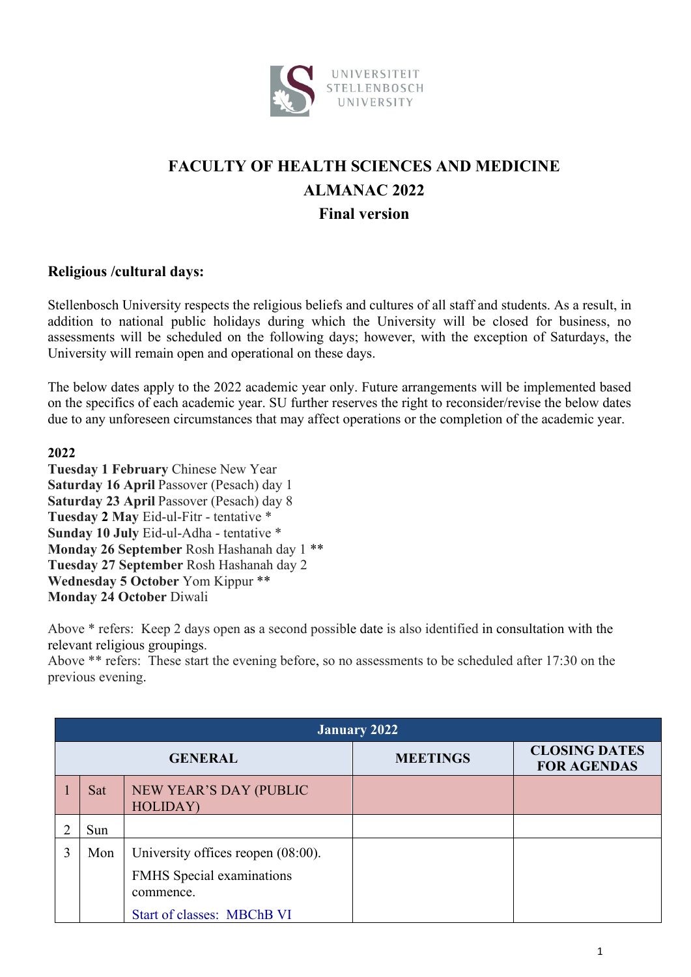

## **FACULTY OF HEALTH SCIENCES AND MEDICINE ALMANAC 2022 Final version**

## **Religious /cultural days:**

Stellenbosch University respects the religious beliefs and cultures of all staff and students. As a result, in addition to national public holidays during which the University will be closed for business, no assessments will be scheduled on the following days; however, with the exception of Saturdays, the University will remain open and operational on these days.

The below dates apply to the 2022 academic year only. Future arrangements will be implemented based on the specifics of each academic year. SU further reserves the right to reconsider/revise the below dates due to any unforeseen circumstances that may affect operations or the completion of the academic year.

## **2022**

**Tuesday 1 February** Chinese New Year **Saturday 16 April** Passover (Pesach) day 1 **Saturday 23 April** Passover (Pesach) day 8 **Tuesday 2 May** Eid-ul-Fitr - tentative \* **Sunday 10 July** Eid-ul-Adha - tentative \* **Monday 26 September** Rosh Hashanah day 1 \*\* **Tuesday 27 September** Rosh Hashanah day 2 **Wednesday 5 October** Yom Kippur \*\* **Monday 24 October** Diwali

Above \* refers: Keep 2 days open as a second possible date is also identified in consultation with the relevant religious groupings.

Above \*\* refers: These start the evening before, so no assessments to be scheduled after 17:30 on the previous evening.

|   | <b>January 2022</b> |                                                                                                                             |                 |                                            |  |  |
|---|---------------------|-----------------------------------------------------------------------------------------------------------------------------|-----------------|--------------------------------------------|--|--|
|   |                     | <b>GENERAL</b>                                                                                                              | <b>MEETINGS</b> | <b>CLOSING DATES</b><br><b>FOR AGENDAS</b> |  |  |
|   | Sat                 | NEW YEAR'S DAY (PUBLIC<br>HOLIDAY)                                                                                          |                 |                                            |  |  |
|   | Sun                 |                                                                                                                             |                 |                                            |  |  |
| 3 | Mon                 | University offices reopen $(08:00)$ .<br><b>FMHS</b> Special examinations<br>commence.<br><b>Start of classes: MBChB VI</b> |                 |                                            |  |  |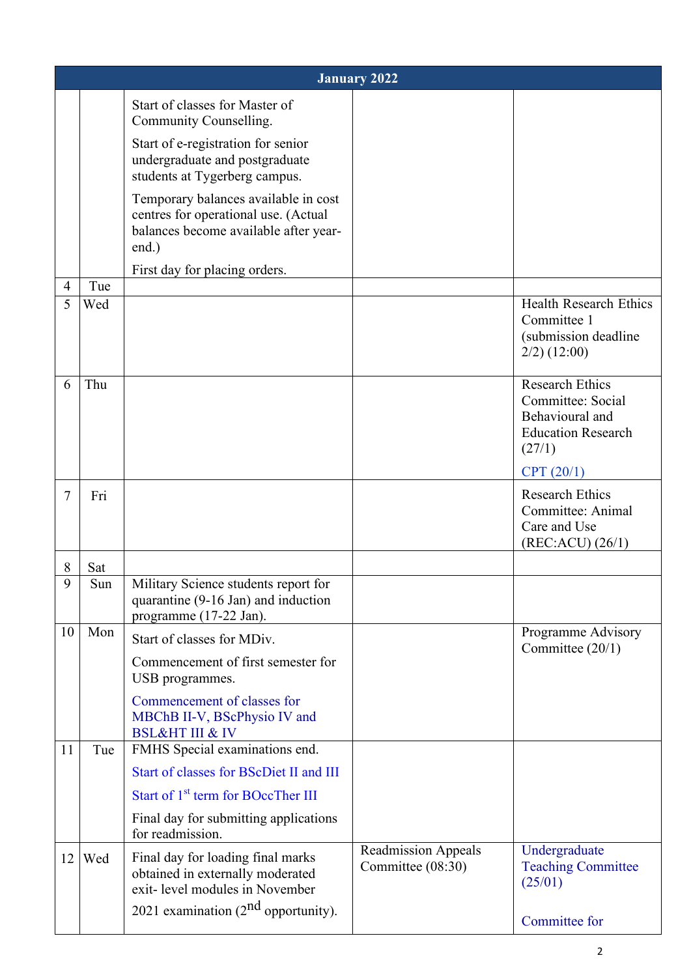|                     | <b>January 2022</b> |                                                                                                                                                                   |                                                 |                                                                                                       |  |
|---------------------|---------------------|-------------------------------------------------------------------------------------------------------------------------------------------------------------------|-------------------------------------------------|-------------------------------------------------------------------------------------------------------|--|
|                     |                     | Start of classes for Master of<br>Community Counselling.<br>Start of e-registration for senior<br>undergraduate and postgraduate<br>students at Tygerberg campus. |                                                 |                                                                                                       |  |
|                     |                     | Temporary balances available in cost<br>centres for operational use. (Actual<br>balances become available after year-<br>end.)                                    |                                                 |                                                                                                       |  |
|                     |                     | First day for placing orders.                                                                                                                                     |                                                 |                                                                                                       |  |
| $\overline{4}$<br>5 | Tue<br>Wed          |                                                                                                                                                                   |                                                 | <b>Health Research Ethics</b>                                                                         |  |
|                     |                     |                                                                                                                                                                   |                                                 | Committee 1<br>(submission deadline<br>$2/2)$ (12:00)                                                 |  |
| 6                   | Thu                 |                                                                                                                                                                   |                                                 | <b>Research Ethics</b><br>Committee: Social<br>Behavioural and<br><b>Education Research</b><br>(27/1) |  |
|                     |                     |                                                                                                                                                                   |                                                 | CPT (20/1)                                                                                            |  |
| 7                   | Fri                 |                                                                                                                                                                   |                                                 | <b>Research Ethics</b><br>Committee: Animal<br>Care and Use<br>(REC:ACU) (26/1)                       |  |
| 8                   | Sat                 |                                                                                                                                                                   |                                                 |                                                                                                       |  |
| 9                   | Sun                 | Military Science students report for<br>quarantine (9-16 Jan) and induction<br>programme (17-22 Jan).                                                             |                                                 |                                                                                                       |  |
| 10                  | Mon                 | Start of classes for MDiv.                                                                                                                                        |                                                 | Programme Advisory<br>Committee (20/1)                                                                |  |
|                     |                     | Commencement of first semester for<br>USB programmes.                                                                                                             |                                                 |                                                                                                       |  |
| 11                  | Tue                 | Commencement of classes for<br>MBChB II-V, BScPhysio IV and<br><b>BSL&amp;HT III &amp; IV</b><br>FMHS Special examinations end.                                   |                                                 |                                                                                                       |  |
|                     |                     | Start of classes for BScDiet II and III                                                                                                                           |                                                 |                                                                                                       |  |
|                     |                     | Start of 1 <sup>st</sup> term for BOccTher III                                                                                                                    |                                                 |                                                                                                       |  |
|                     |                     | Final day for submitting applications<br>for readmission.                                                                                                         |                                                 |                                                                                                       |  |
| 12                  | Wed                 | Final day for loading final marks<br>obtained in externally moderated<br>exit-level modules in November<br>2021 examination $(2^{nd}$ opportunity).               | <b>Readmission Appeals</b><br>Committee (08:30) | Undergraduate<br><b>Teaching Committee</b><br>(25/01)                                                 |  |
|                     |                     |                                                                                                                                                                   |                                                 | Committee for                                                                                         |  |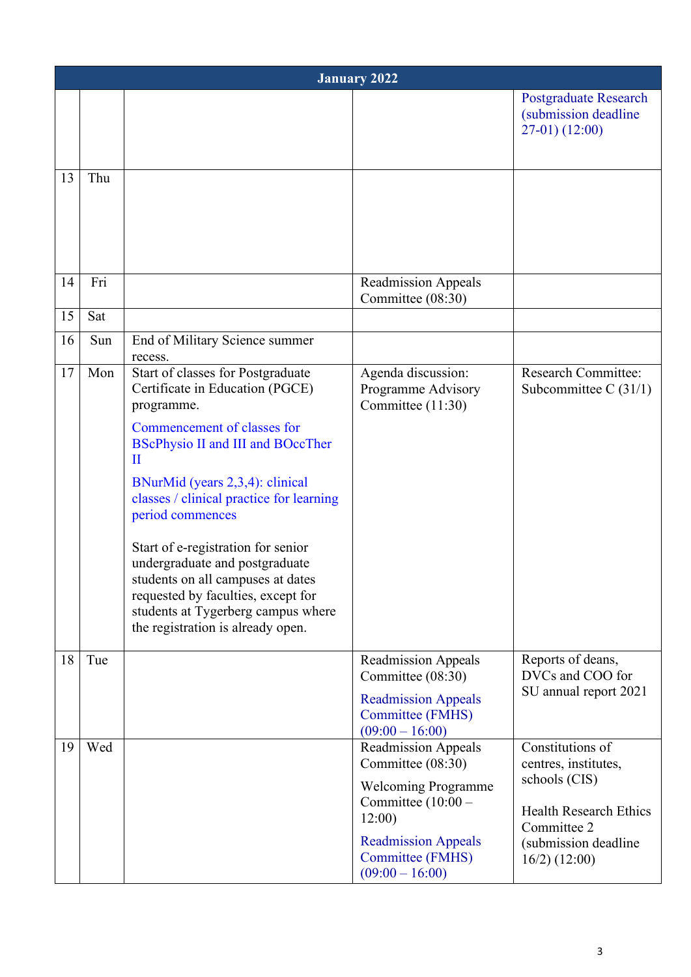|    | <b>January 2022</b> |                                                                                                                                                                                                                                                                                                                                                                                                                                                                                                     |                                                                                                                                                                                              |                                                                                                                                                      |  |
|----|---------------------|-----------------------------------------------------------------------------------------------------------------------------------------------------------------------------------------------------------------------------------------------------------------------------------------------------------------------------------------------------------------------------------------------------------------------------------------------------------------------------------------------------|----------------------------------------------------------------------------------------------------------------------------------------------------------------------------------------------|------------------------------------------------------------------------------------------------------------------------------------------------------|--|
|    |                     |                                                                                                                                                                                                                                                                                                                                                                                                                                                                                                     |                                                                                                                                                                                              | <b>Postgraduate Research</b><br>(submission deadline<br>$27-01)$ (12:00)                                                                             |  |
| 13 | Thu                 |                                                                                                                                                                                                                                                                                                                                                                                                                                                                                                     |                                                                                                                                                                                              |                                                                                                                                                      |  |
| 14 | Fri                 |                                                                                                                                                                                                                                                                                                                                                                                                                                                                                                     | <b>Readmission Appeals</b><br>Committee (08:30)                                                                                                                                              |                                                                                                                                                      |  |
| 15 | Sat                 |                                                                                                                                                                                                                                                                                                                                                                                                                                                                                                     |                                                                                                                                                                                              |                                                                                                                                                      |  |
| 16 | Sun                 | End of Military Science summer<br>recess.                                                                                                                                                                                                                                                                                                                                                                                                                                                           |                                                                                                                                                                                              |                                                                                                                                                      |  |
| 17 | Mon                 | Start of classes for Postgraduate<br>Certificate in Education (PGCE)<br>programme.<br>Commencement of classes for<br><b>BScPhysio II and III and BOccTher</b><br>П<br>BNurMid (years 2,3,4): clinical<br>classes / clinical practice for learning<br>period commences<br>Start of e-registration for senior<br>undergraduate and postgraduate<br>students on all campuses at dates<br>requested by faculties, except for<br>students at Tygerberg campus where<br>the registration is already open. | Agenda discussion:<br>Programme Advisory<br>Committee (11:30)                                                                                                                                | <b>Research Committee:</b><br>Subcommittee C $(31/1)$                                                                                                |  |
| 18 | Tue                 |                                                                                                                                                                                                                                                                                                                                                                                                                                                                                                     | <b>Readmission Appeals</b><br>Committee (08:30)<br><b>Readmission Appeals</b><br><b>Committee (FMHS)</b><br>$(09:00 - 16:00)$                                                                | Reports of deans,<br>DVCs and COO for<br>SU annual report 2021                                                                                       |  |
| 19 | Wed                 |                                                                                                                                                                                                                                                                                                                                                                                                                                                                                                     | <b>Readmission Appeals</b><br>Committee (08:30)<br><b>Welcoming Programme</b><br>Committee $(10:00 -$<br>12:00<br><b>Readmission Appeals</b><br><b>Committee (FMHS)</b><br>$(09:00 - 16:00)$ | Constitutions of<br>centres, institutes,<br>schools (CIS)<br><b>Health Research Ethics</b><br>Committee 2<br>(submission deadline<br>$16/2)$ (12:00) |  |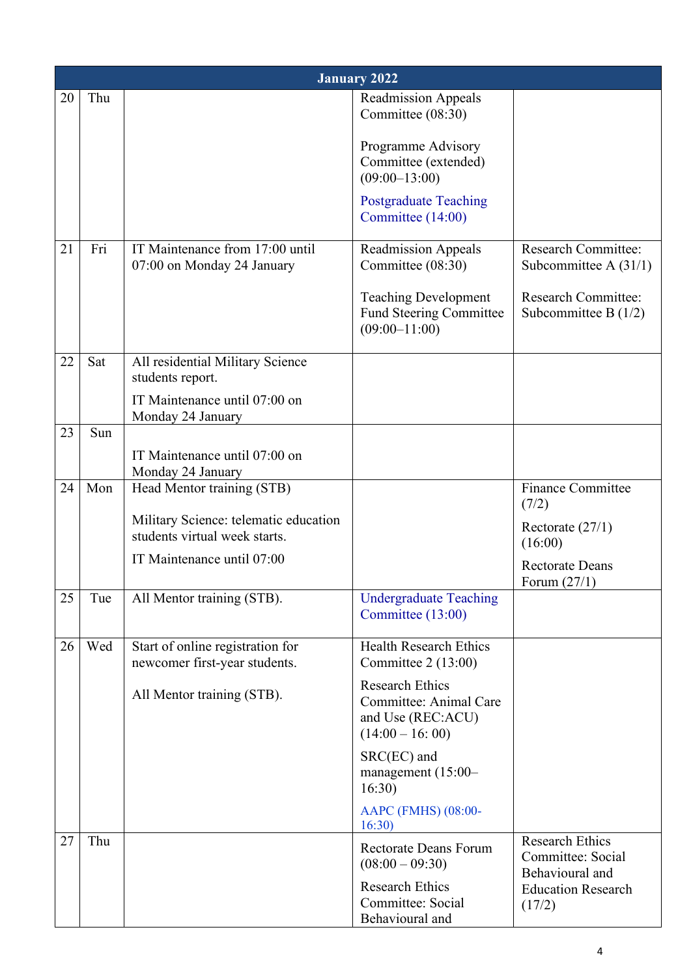|    | <b>January 2022</b> |                                                                        |                                                                                            |                                                                |  |
|----|---------------------|------------------------------------------------------------------------|--------------------------------------------------------------------------------------------|----------------------------------------------------------------|--|
| 20 | Thu                 |                                                                        | <b>Readmission Appeals</b><br>Committee (08:30)                                            |                                                                |  |
|    |                     |                                                                        | Programme Advisory<br>Committee (extended)<br>$(09:00-13:00)$                              |                                                                |  |
|    |                     |                                                                        | <b>Postgraduate Teaching</b><br>Committee (14:00)                                          |                                                                |  |
| 21 | Fri                 | IT Maintenance from 17:00 until<br>07:00 on Monday 24 January          | <b>Readmission Appeals</b><br>Committee (08:30)                                            | <b>Research Committee:</b><br>Subcommittee A $(31/1)$          |  |
|    |                     |                                                                        | <b>Teaching Development</b><br><b>Fund Steering Committee</b><br>$(09:00-11:00)$           | <b>Research Committee:</b><br>Subcommittee B $(1/2)$           |  |
| 22 | Sat                 | All residential Military Science<br>students report.                   |                                                                                            |                                                                |  |
|    |                     | IT Maintenance until 07:00 on<br>Monday 24 January                     |                                                                                            |                                                                |  |
| 23 | Sun                 |                                                                        |                                                                                            |                                                                |  |
|    |                     | IT Maintenance until 07:00 on<br>Monday 24 January                     |                                                                                            |                                                                |  |
| 24 | Mon                 | Head Mentor training (STB)                                             |                                                                                            | <b>Finance Committee</b><br>(7/2)                              |  |
|    |                     | Military Science: telematic education<br>students virtual week starts. |                                                                                            | Rectorate $(27/1)$<br>(16:00)                                  |  |
|    |                     | IT Maintenance until 07:00                                             |                                                                                            | <b>Rectorate Deans</b><br>Forum $(27/1)$                       |  |
| 25 | Tue                 | All Mentor training (STB).                                             | <b>Undergraduate Teaching</b><br>Committee (13:00)                                         |                                                                |  |
| 26 | Wed                 | Start of online registration for<br>newcomer first-year students.      | <b>Health Research Ethics</b><br>Committee 2 (13:00)                                       |                                                                |  |
|    |                     | All Mentor training (STB).                                             | <b>Research Ethics</b><br>Committee: Animal Care<br>and Use (REC:ACU)<br>$(14:00 - 16:00)$ |                                                                |  |
|    |                     |                                                                        | SRC(EC) and<br>management $(15:00-$<br>16:30)                                              |                                                                |  |
|    |                     |                                                                        | AAPC (FMHS) (08:00-<br>16:30                                                               |                                                                |  |
| 27 | Thu                 |                                                                        | <b>Rectorate Deans Forum</b><br>$(08:00 - 09:30)$                                          | <b>Research Ethics</b><br>Committee: Social<br>Behavioural and |  |
|    |                     |                                                                        | <b>Research Ethics</b><br>Committee: Social<br>Behavioural and                             | <b>Education Research</b><br>(17/2)                            |  |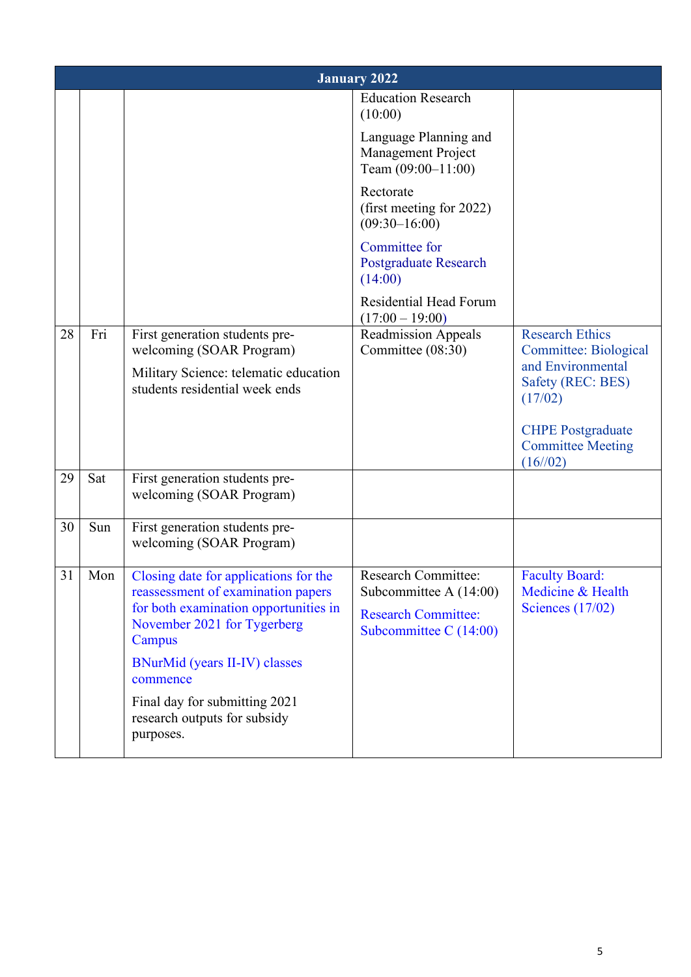|    | <b>January 2022</b> |                                                                                                                                                               |                                                                                                                |                                                                                                             |  |
|----|---------------------|---------------------------------------------------------------------------------------------------------------------------------------------------------------|----------------------------------------------------------------------------------------------------------------|-------------------------------------------------------------------------------------------------------------|--|
|    |                     |                                                                                                                                                               | <b>Education Research</b><br>(10:00)                                                                           |                                                                                                             |  |
|    |                     |                                                                                                                                                               | Language Planning and<br>Management Project<br>Team $(09:00-11:00)$                                            |                                                                                                             |  |
|    |                     |                                                                                                                                                               | Rectorate<br>(first meeting for 2022)<br>$(09:30 - 16:00)$                                                     |                                                                                                             |  |
|    |                     |                                                                                                                                                               | Committee for<br><b>Postgraduate Research</b><br>(14:00)                                                       |                                                                                                             |  |
|    |                     |                                                                                                                                                               | <b>Residential Head Forum</b><br>$(17:00 - 19:00)$                                                             |                                                                                                             |  |
| 28 | Fri                 | First generation students pre-<br>welcoming (SOAR Program)<br>Military Science: telematic education<br>students residential week ends                         | <b>Readmission Appeals</b><br>Committee (08:30)                                                                | <b>Research Ethics</b><br><b>Committee: Biological</b><br>and Environmental<br>Safety (REC: BES)<br>(17/02) |  |
|    |                     |                                                                                                                                                               |                                                                                                                | <b>CHPE</b> Postgraduate<br><b>Committee Meeting</b><br>(16/02)                                             |  |
| 29 | Sat                 | First generation students pre-<br>welcoming (SOAR Program)                                                                                                    |                                                                                                                |                                                                                                             |  |
| 30 | Sun                 | First generation students pre-<br>welcoming (SOAR Program)                                                                                                    |                                                                                                                |                                                                                                             |  |
| 31 | Mon                 | Closing date for applications for the<br>reassessment of examination papers<br>for both examination opportunities in<br>November 2021 for Tygerberg<br>Campus | <b>Research Committee:</b><br>Subcommittee A (14:00)<br><b>Research Committee:</b><br>Subcommittee C $(14:00)$ | <b>Faculty Board:</b><br>Medicine & Health<br>Sciences $(17/02)$                                            |  |
|    |                     | <b>BNurMid (years II-IV) classes</b><br>commence                                                                                                              |                                                                                                                |                                                                                                             |  |
|    |                     | Final day for submitting 2021<br>research outputs for subsidy<br>purposes.                                                                                    |                                                                                                                |                                                                                                             |  |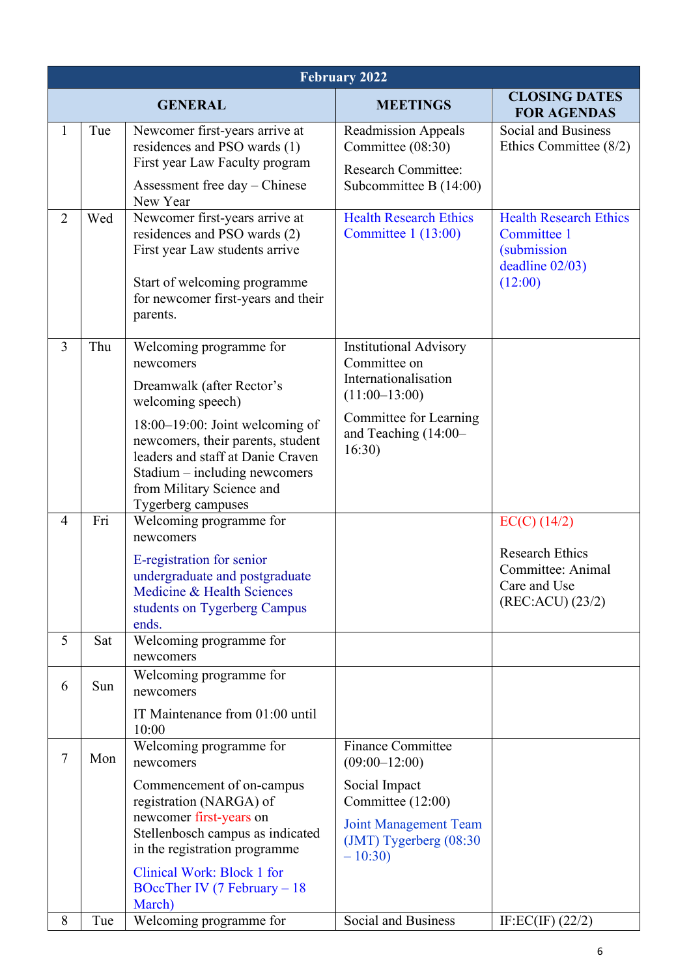|                | <b>February 2022</b> |                                                                                                                                                                                                                               |                                                                                                               |                                                                                                      |  |
|----------------|----------------------|-------------------------------------------------------------------------------------------------------------------------------------------------------------------------------------------------------------------------------|---------------------------------------------------------------------------------------------------------------|------------------------------------------------------------------------------------------------------|--|
|                |                      | <b>GENERAL</b>                                                                                                                                                                                                                | <b>MEETINGS</b>                                                                                               | <b>CLOSING DATES</b><br><b>FOR AGENDAS</b>                                                           |  |
| $\mathbf{1}$   | Tue                  | Newcomer first-years arrive at<br>residences and PSO wards (1)<br>First year Law Faculty program                                                                                                                              | <b>Readmission Appeals</b><br>Committee (08:30)<br><b>Research Committee:</b>                                 | <b>Social and Business</b><br>Ethics Committee $(8/2)$                                               |  |
| $\overline{2}$ | Wed                  | Assessment free day - Chinese<br>New Year<br>Newcomer first-years arrive at<br>residences and PSO wards (2)<br>First year Law students arrive<br>Start of welcoming programme<br>for newcomer first-years and their           | Subcommittee B $(14:00)$<br><b>Health Research Ethics</b><br>Committee $1(13:00)$                             | <b>Health Research Ethics</b><br>Committee 1<br><i>(submission)</i><br>deadline $02/03$ )<br>(12:00) |  |
| $\overline{3}$ | Thu                  | parents.<br>Welcoming programme for<br>newcomers<br>Dreamwalk (after Rector's                                                                                                                                                 | <b>Institutional Advisory</b><br>Committee on<br>Internationalisation                                         |                                                                                                      |  |
|                |                      | welcoming speech)<br>$18:00-19:00$ : Joint welcoming of<br>newcomers, their parents, student<br>leaders and staff at Danie Craven<br>Stadium – including newcomers<br>from Military Science and<br>Tygerberg campuses         | $(11:00-13:00)$<br>Committee for Learning<br>and Teaching (14:00-<br>16:30)                                   |                                                                                                      |  |
| $\overline{4}$ | Fri                  | Welcoming programme for<br>newcomers<br>E-registration for senior<br>undergraduate and postgraduate<br>Medicine & Health Sciences<br>students on Tygerberg Campus<br>ends.                                                    |                                                                                                               | $EC(C)$ (14/2)<br><b>Research Ethics</b><br>Committee: Animal<br>Care and Use<br>(REC:ACU) (23/2)    |  |
| 5              | Sat                  | Welcoming programme for<br>newcomers                                                                                                                                                                                          |                                                                                                               |                                                                                                      |  |
| 6              | Sun                  | Welcoming programme for<br>newcomers<br>IT Maintenance from 01:00 until<br>10:00                                                                                                                                              |                                                                                                               |                                                                                                      |  |
| $\tau$         | Mon                  | Welcoming programme for<br>newcomers                                                                                                                                                                                          | <b>Finance Committee</b><br>$(09:00-12:00)$                                                                   |                                                                                                      |  |
|                |                      | Commencement of on-campus<br>registration (NARGA) of<br>newcomer first-years on<br>Stellenbosch campus as indicated<br>in the registration programme<br>Clinical Work: Block 1 for<br>BOccTher IV (7 February $-18$<br>March) | Social Impact<br>Committee (12:00)<br><b>Joint Management Team</b><br>$(JMT)$ Tygerberg $(08:30)$<br>$-10:30$ |                                                                                                      |  |
| 8              | Tue                  | Welcoming programme for                                                                                                                                                                                                       | Social and Business                                                                                           | IF:EC(IF) $(22/2)$                                                                                   |  |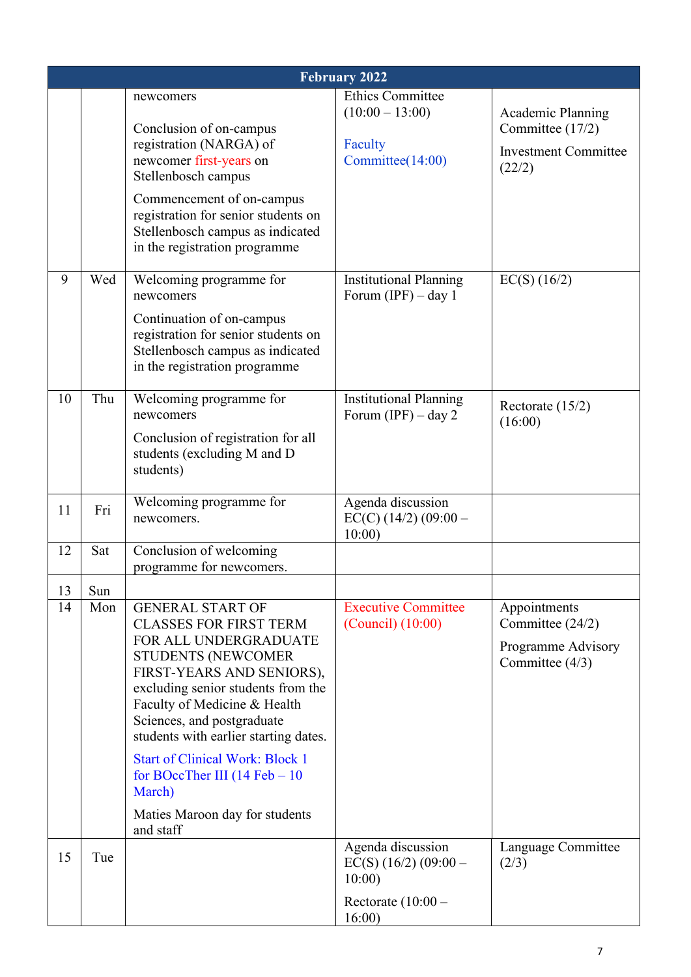|    | <b>February 2022</b> |                                                                                                                                                                                                                                                                                          |                                                        |                                                                           |  |
|----|----------------------|------------------------------------------------------------------------------------------------------------------------------------------------------------------------------------------------------------------------------------------------------------------------------------------|--------------------------------------------------------|---------------------------------------------------------------------------|--|
|    |                      | newcomers<br>Conclusion of on-campus                                                                                                                                                                                                                                                     | <b>Ethics Committee</b><br>$(10:00 - 13:00)$           | Academic Planning<br>Committee (17/2)                                     |  |
|    |                      | registration (NARGA) of<br>newcomer first-years on<br>Stellenbosch campus                                                                                                                                                                                                                | Faculty<br>Committee(14:00)                            | <b>Investment Committee</b><br>(22/2)                                     |  |
|    |                      | Commencement of on-campus<br>registration for senior students on<br>Stellenbosch campus as indicated<br>in the registration programme                                                                                                                                                    |                                                        |                                                                           |  |
| 9  | Wed                  | Welcoming programme for<br>newcomers<br>Continuation of on-campus<br>registration for senior students on<br>Stellenbosch campus as indicated                                                                                                                                             | <b>Institutional Planning</b><br>Forum $(IPF) - day 1$ | $EC(S)$ (16/2)                                                            |  |
| 10 | Thu                  | in the registration programme<br>Welcoming programme for                                                                                                                                                                                                                                 |                                                        |                                                                           |  |
|    |                      | newcomers<br>Conclusion of registration for all<br>students (excluding M and D<br>students)                                                                                                                                                                                              | <b>Institutional Planning</b><br>Forum (IPF) $-$ day 2 | Rectorate $(15/2)$<br>(16:00)                                             |  |
| 11 | Fri                  | Welcoming programme for<br>newcomers.                                                                                                                                                                                                                                                    | Agenda discussion<br>$EC(C)$ (14/2) (09:00 -<br>10:00  |                                                                           |  |
| 12 | Sat                  | Conclusion of welcoming<br>programme for newcomers.                                                                                                                                                                                                                                      |                                                        |                                                                           |  |
| 13 | Sun                  |                                                                                                                                                                                                                                                                                          |                                                        |                                                                           |  |
| 14 | Mon                  | <b>GENERAL START OF</b><br><b>CLASSES FOR FIRST TERM</b><br>FOR ALL UNDERGRADUATE<br><b>STUDENTS (NEWCOMER</b><br>FIRST-YEARS AND SENIORS),<br>excluding senior students from the<br>Faculty of Medicine & Health<br>Sciences, and postgraduate<br>students with earlier starting dates. | <b>Executive Committee</b><br>$(Council)$ $(10:00)$    | Appointments<br>Committee (24/2)<br>Programme Advisory<br>Committee (4/3) |  |
|    |                      | <b>Start of Clinical Work: Block 1</b><br>for BOccTher III $(14 \text{ Feb} - 10$<br>March)<br>Maties Maroon day for students<br>and staff                                                                                                                                               |                                                        |                                                                           |  |
| 15 | Tue                  |                                                                                                                                                                                                                                                                                          | Agenda discussion<br>$EC(S)$ (16/2) (09:00 –<br>10:00  | Language Committee<br>(2/3)                                               |  |
|    |                      |                                                                                                                                                                                                                                                                                          | Rectorate $(10:00 -$<br>16:00                          |                                                                           |  |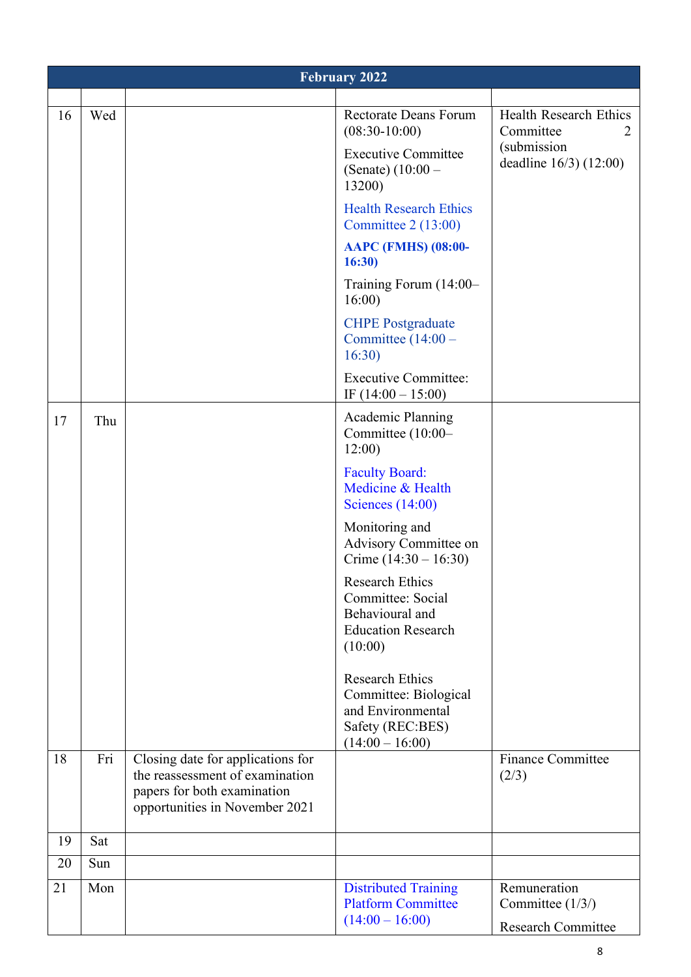|    | <b>February 2022</b> |                                                                                                                                       |                                                                                                               |                                                               |  |
|----|----------------------|---------------------------------------------------------------------------------------------------------------------------------------|---------------------------------------------------------------------------------------------------------------|---------------------------------------------------------------|--|
|    |                      |                                                                                                                                       |                                                                                                               |                                                               |  |
| 16 | Wed                  |                                                                                                                                       | <b>Rectorate Deans Forum</b><br>$(08:30-10:00)$                                                               | Health Research Ethics<br>Committee<br>2                      |  |
|    |                      |                                                                                                                                       | <b>Executive Committee</b><br>(Senate) $(10:00 -$<br>13200)                                                   | (submission<br>deadline 16/3) (12:00)                         |  |
|    |                      |                                                                                                                                       | <b>Health Research Ethics</b><br>Committee $2(13:00)$                                                         |                                                               |  |
|    |                      |                                                                                                                                       | <b>AAPC (FMHS) (08:00-</b><br>16:30                                                                           |                                                               |  |
|    |                      |                                                                                                                                       | Training Forum (14:00-<br>16:00                                                                               |                                                               |  |
|    |                      |                                                                                                                                       | <b>CHPE Postgraduate</b><br>Committee $(14:00 -$<br>16:30                                                     |                                                               |  |
|    |                      |                                                                                                                                       | <b>Executive Committee:</b><br>IF $(14:00 - 15:00)$                                                           |                                                               |  |
| 17 | Thu                  |                                                                                                                                       | <b>Academic Planning</b><br>Committee (10:00-<br>12:00                                                        |                                                               |  |
|    |                      |                                                                                                                                       | <b>Faculty Board:</b><br>Medicine & Health<br>Sciences $(14:00)$                                              |                                                               |  |
|    |                      |                                                                                                                                       | Monitoring and<br>Advisory Committee on<br>Crime $(14:30 - 16:30)$                                            |                                                               |  |
|    |                      |                                                                                                                                       | <b>Research Ethics</b><br>Committee: Social<br>Behavioural and<br><b>Education Research</b><br>(10:00)        |                                                               |  |
|    |                      |                                                                                                                                       | <b>Research Ethics</b><br>Committee: Biological<br>and Environmental<br>Safety (REC:BES)<br>$(14:00 - 16:00)$ |                                                               |  |
| 18 | Fri                  | Closing date for applications for<br>the reassessment of examination<br>papers for both examination<br>opportunities in November 2021 |                                                                                                               | <b>Finance Committee</b><br>(2/3)                             |  |
| 19 | Sat                  |                                                                                                                                       |                                                                                                               |                                                               |  |
| 20 | Sun                  |                                                                                                                                       |                                                                                                               |                                                               |  |
| 21 | Mon                  |                                                                                                                                       | <b>Distributed Training</b><br><b>Platform Committee</b><br>$(14:00 - 16:00)$                                 | Remuneration<br>Committee (1/3/)<br><b>Research Committee</b> |  |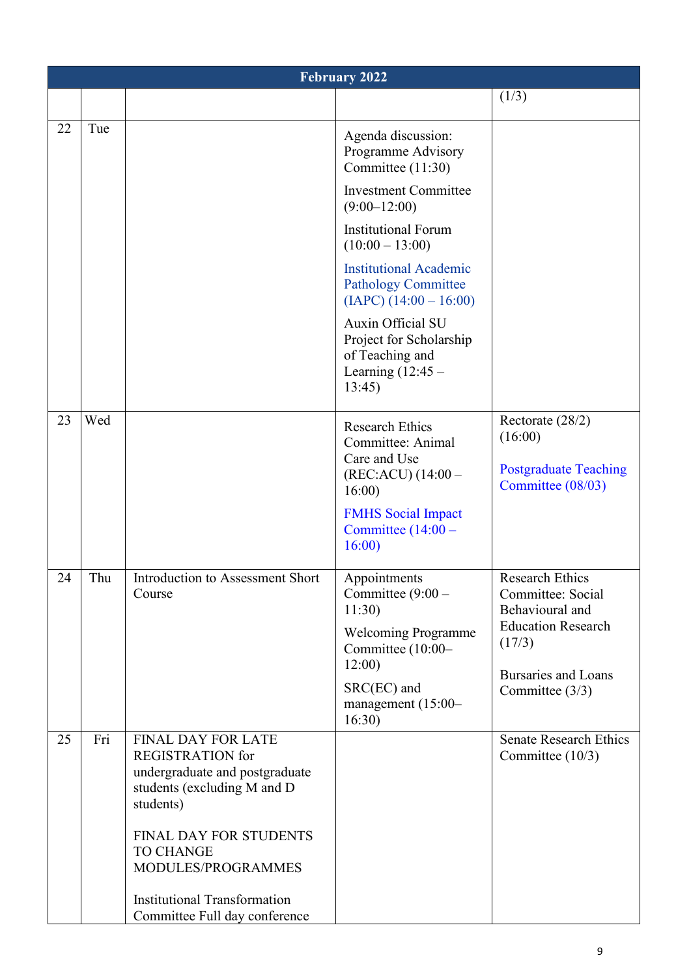|    | <b>February 2022</b> |                                                                                                                                                                                                               |                                                                                                                                                          |                                                                                                                                                        |  |
|----|----------------------|---------------------------------------------------------------------------------------------------------------------------------------------------------------------------------------------------------------|----------------------------------------------------------------------------------------------------------------------------------------------------------|--------------------------------------------------------------------------------------------------------------------------------------------------------|--|
|    |                      |                                                                                                                                                                                                               |                                                                                                                                                          | (1/3)                                                                                                                                                  |  |
| 22 | Tue                  |                                                                                                                                                                                                               | Agenda discussion:<br>Programme Advisory<br>Committee (11:30)                                                                                            |                                                                                                                                                        |  |
|    |                      |                                                                                                                                                                                                               | <b>Investment Committee</b><br>$(9:00-12:00)$                                                                                                            |                                                                                                                                                        |  |
|    |                      |                                                                                                                                                                                                               | <b>Institutional Forum</b><br>$(10:00 - 13:00)$                                                                                                          |                                                                                                                                                        |  |
|    |                      |                                                                                                                                                                                                               | <b>Institutional Academic</b><br><b>Pathology Committee</b><br>$(IAPC) (14:00 - 16:00)$                                                                  |                                                                                                                                                        |  |
|    |                      |                                                                                                                                                                                                               | Auxin Official SU<br>Project for Scholarship<br>of Teaching and<br>Learning $(12:45 -$<br>13:45                                                          |                                                                                                                                                        |  |
| 23 | Wed                  |                                                                                                                                                                                                               | <b>Research Ethics</b><br>Committee: Animal<br>Care and Use<br>$(REC:ACU) (14:00 -$<br>16:00<br><b>FMHS</b> Social Impact<br>Committee $(14:00 -$        | Rectorate (28/2)<br>(16:00)<br><b>Postgraduate Teaching</b><br>Committee (08/03)                                                                       |  |
| 24 | Thu                  | Introduction to Assessment Short<br>Course                                                                                                                                                                    | 16:00<br>Appointments<br>Committee $(9:00 -$<br>11:30<br><b>Welcoming Programme</b><br>Committee (10:00-<br>12:00<br>SRC(EC) and<br>management $(15:00-$ | <b>Research Ethics</b><br>Committee: Social<br>Behavioural and<br><b>Education Research</b><br>(17/3)<br><b>Bursaries and Loans</b><br>Committee (3/3) |  |
|    |                      |                                                                                                                                                                                                               | 16:30)                                                                                                                                                   |                                                                                                                                                        |  |
| 25 | Fri                  | <b>FINAL DAY FOR LATE</b><br><b>REGISTRATION</b> for<br>undergraduate and postgraduate<br>students (excluding M and D<br>students)<br><b>FINAL DAY FOR STUDENTS</b><br><b>TO CHANGE</b><br>MODULES/PROGRAMMES |                                                                                                                                                          | <b>Senate Research Ethics</b><br>Committee (10/3)                                                                                                      |  |
|    |                      | <b>Institutional Transformation</b><br>Committee Full day conference                                                                                                                                          |                                                                                                                                                          |                                                                                                                                                        |  |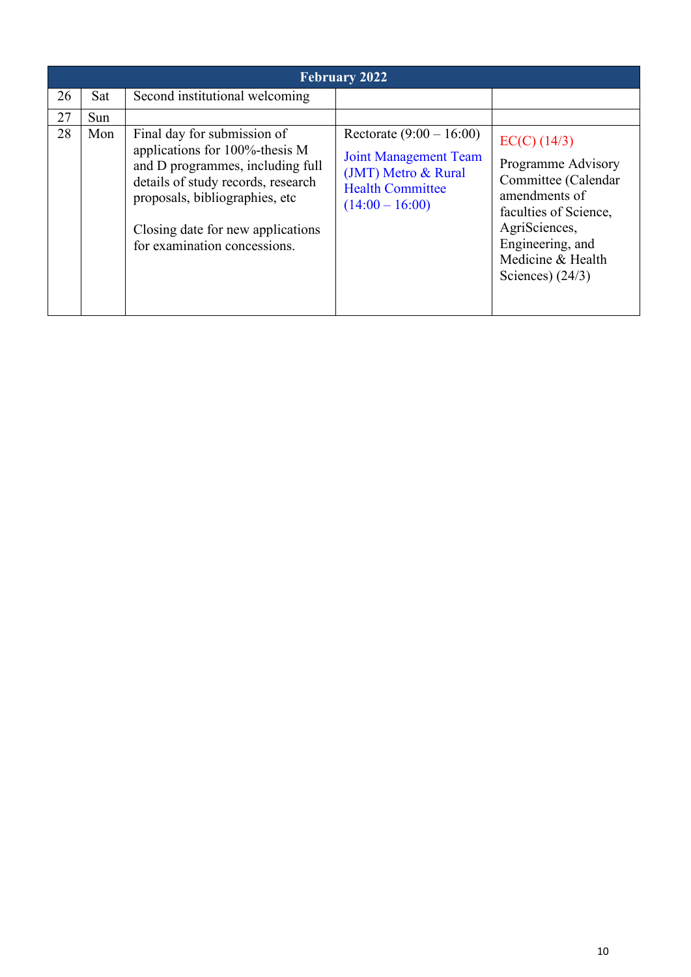|    | <b>February 2022</b> |                                                                                                                                                                                                                                                 |                                                                                                                                   |                                                                                                                                                                                       |  |
|----|----------------------|-------------------------------------------------------------------------------------------------------------------------------------------------------------------------------------------------------------------------------------------------|-----------------------------------------------------------------------------------------------------------------------------------|---------------------------------------------------------------------------------------------------------------------------------------------------------------------------------------|--|
| 26 | Sat                  | Second institutional welcoming                                                                                                                                                                                                                  |                                                                                                                                   |                                                                                                                                                                                       |  |
| 27 | Sun                  |                                                                                                                                                                                                                                                 |                                                                                                                                   |                                                                                                                                                                                       |  |
| 28 | Mon                  | Final day for submission of<br>applications for 100%-thesis M<br>and D programmes, including full<br>details of study records, research<br>proposals, bibliographies, etc.<br>Closing date for new applications<br>for examination concessions. | Rectorate $(9:00 - 16:00)$<br><b>Joint Management Team</b><br>(JMT) Metro & Rural<br><b>Health Committee</b><br>$(14:00 - 16:00)$ | $EC(C)$ (14/3)<br>Programme Advisory<br>Committee (Calendar<br>amendments of<br>faculties of Science,<br>AgriSciences,<br>Engineering, and<br>Medicine & Health<br>Sciences) $(24/3)$ |  |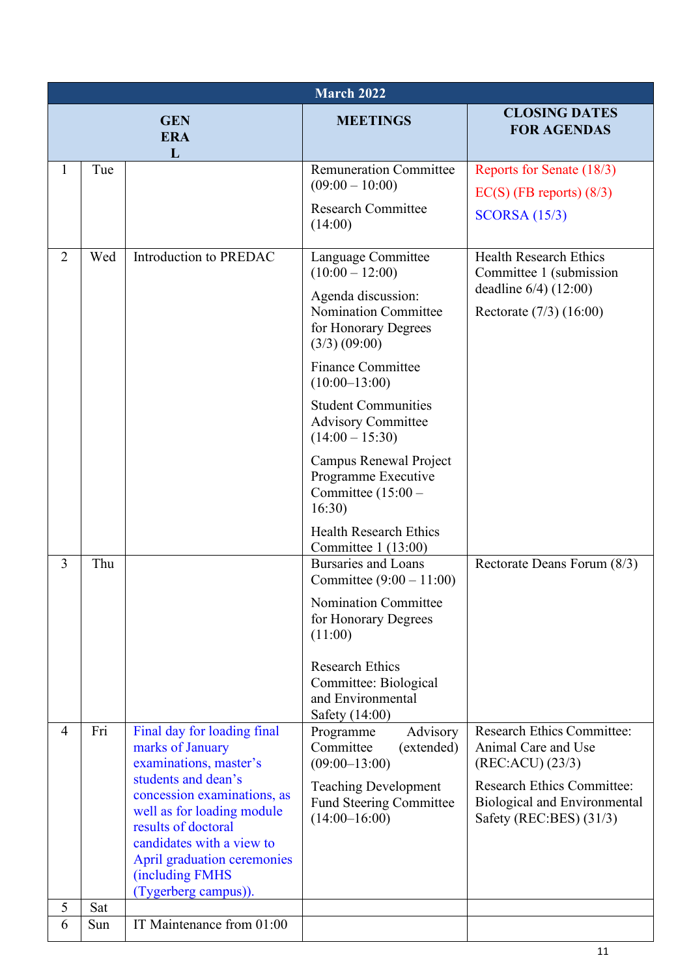|                | March 2022 |                                                                                                                                                                                                                                                                                             |                                                                                                                                                                                                                                                                                                                                                                                                                     |                                                                                                                                                                              |  |
|----------------|------------|---------------------------------------------------------------------------------------------------------------------------------------------------------------------------------------------------------------------------------------------------------------------------------------------|---------------------------------------------------------------------------------------------------------------------------------------------------------------------------------------------------------------------------------------------------------------------------------------------------------------------------------------------------------------------------------------------------------------------|------------------------------------------------------------------------------------------------------------------------------------------------------------------------------|--|
|                |            | <b>GEN</b><br><b>ERA</b><br>L                                                                                                                                                                                                                                                               | <b>MEETINGS</b>                                                                                                                                                                                                                                                                                                                                                                                                     | <b>CLOSING DATES</b><br><b>FOR AGENDAS</b>                                                                                                                                   |  |
| $\mathbf{1}$   | Tue        |                                                                                                                                                                                                                                                                                             | <b>Remuneration Committee</b><br>$(09:00 - 10:00)$<br><b>Research Committee</b><br>(14:00)                                                                                                                                                                                                                                                                                                                          | Reports for Senate (18/3)<br>$EC(S)$ (FB reports) $(8/3)$<br>SCORSA (15/3)                                                                                                   |  |
| $\overline{2}$ | Wed        | Introduction to PREDAC                                                                                                                                                                                                                                                                      | Language Committee<br>$(10:00 - 12:00)$<br>Agenda discussion:<br><b>Nomination Committee</b><br>for Honorary Degrees<br>$(3/3)$ $(09:00)$<br><b>Finance Committee</b><br>$(10:00-13:00)$<br><b>Student Communities</b><br><b>Advisory Committee</b><br>$(14:00 - 15:30)$<br>Campus Renewal Project<br>Programme Executive<br>Committee $(15:00 -$<br>16:30)<br><b>Health Research Ethics</b><br>Committee 1 (13:00) | <b>Health Research Ethics</b><br>Committee 1 (submission<br>deadline 6/4) (12:00)<br>Rectorate $(7/3)$ $(16:00)$                                                             |  |
| 3              | Thu        |                                                                                                                                                                                                                                                                                             | <b>Bursaries and Loans</b><br>Committee $(9:00 - 11:00)$<br>Nomination Committee<br>for Honorary Degrees<br>(11:00)<br><b>Research Ethics</b><br>Committee: Biological<br>and Environmental<br>Safety (14:00)                                                                                                                                                                                                       | Rectorate Deans Forum (8/3)                                                                                                                                                  |  |
| $\overline{4}$ | Fri        | Final day for loading final<br>marks of January<br>examinations, master's<br>students and dean's<br>concession examinations, as<br>well as for loading module<br>results of doctoral<br>candidates with a view to<br>April graduation ceremonies<br>(including FMHS<br>(Tygerberg campus)). | Advisory<br>Programme<br>Committee<br>(extended)<br>$(09:00-13:00)$<br><b>Teaching Development</b><br><b>Fund Steering Committee</b><br>$(14:00-16:00)$                                                                                                                                                                                                                                                             | <b>Research Ethics Committee:</b><br>Animal Care and Use<br>(REC:ACU) (23/3)<br><b>Research Ethics Committee:</b><br>Biological and Environmental<br>Safety (REC:BES) (31/3) |  |
| 5<br>6         | Sat<br>Sun | IT Maintenance from 01:00                                                                                                                                                                                                                                                                   |                                                                                                                                                                                                                                                                                                                                                                                                                     |                                                                                                                                                                              |  |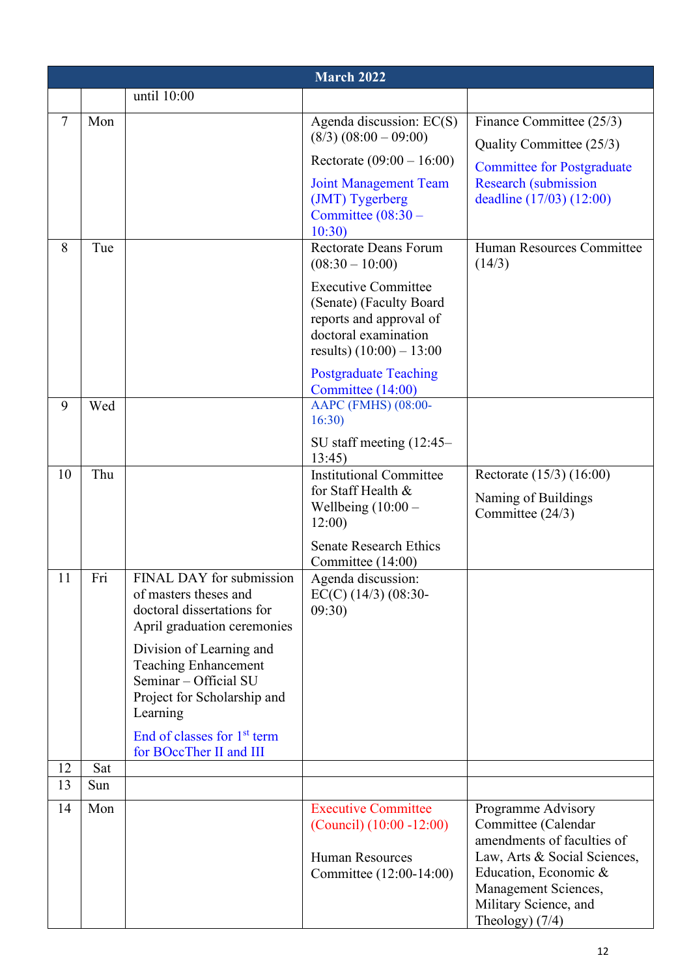|        | <b>March 2022</b> |                                                                                                                             |                                                                                                                                        |                                                                                                                                                                                                        |  |
|--------|-------------------|-----------------------------------------------------------------------------------------------------------------------------|----------------------------------------------------------------------------------------------------------------------------------------|--------------------------------------------------------------------------------------------------------------------------------------------------------------------------------------------------------|--|
|        |                   | until 10:00                                                                                                                 |                                                                                                                                        |                                                                                                                                                                                                        |  |
| $\tau$ | Mon               |                                                                                                                             | Agenda discussion: EC(S)<br>$(8/3) (08:00 - 09:00)$                                                                                    | Finance Committee (25/3)<br>Quality Committee (25/3)                                                                                                                                                   |  |
|        |                   |                                                                                                                             | Rectorate $(09:00 - 16:00)$                                                                                                            | <b>Committee for Postgraduate</b>                                                                                                                                                                      |  |
| 8      | Tue               |                                                                                                                             | <b>Joint Management Team</b><br>(JMT) Tygerberg<br>Committee $(08:30 -$<br>10:30<br><b>Rectorate Deans Forum</b><br>$(08:30 - 10:00)$  | <b>Research (submission</b><br>deadline (17/03) (12:00)<br>Human Resources Committee                                                                                                                   |  |
|        |                   |                                                                                                                             | <b>Executive Committee</b><br>(Senate) (Faculty Board<br>reports and approval of<br>doctoral examination<br>results) $(10:00) - 13:00$ | (14/3)                                                                                                                                                                                                 |  |
| 9      | Wed               |                                                                                                                             | <b>Postgraduate Teaching</b><br>Committee (14:00)<br>AAPC (FMHS) (08:00-<br>16:30)                                                     |                                                                                                                                                                                                        |  |
| 10     | Thu               |                                                                                                                             | SU staff meeting $(12:45-$<br>13:45<br><b>Institutional Committee</b><br>for Staff Health &<br>Wellbeing $(10:00 -$<br>12:00           | Rectorate (15/3) (16:00)<br>Naming of Buildings<br>Committee (24/3)                                                                                                                                    |  |
|        |                   |                                                                                                                             | <b>Senate Research Ethics</b><br>Committee (14:00)                                                                                     |                                                                                                                                                                                                        |  |
| 11     | Fri               | FINAL DAY for submission<br>of masters theses and<br>doctoral dissertations for<br>April graduation ceremonies              | Agenda discussion:<br>$EC(C)$ (14/3) (08:30-<br>09:30)                                                                                 |                                                                                                                                                                                                        |  |
|        |                   | Division of Learning and<br><b>Teaching Enhancement</b><br>Seminar - Official SU<br>Project for Scholarship and<br>Learning |                                                                                                                                        |                                                                                                                                                                                                        |  |
|        |                   | End of classes for $1st$ term<br>for BOccTher II and III                                                                    |                                                                                                                                        |                                                                                                                                                                                                        |  |
| 12     | Sat               |                                                                                                                             |                                                                                                                                        |                                                                                                                                                                                                        |  |
| 13     | Sun               |                                                                                                                             |                                                                                                                                        |                                                                                                                                                                                                        |  |
| 14     | Mon               |                                                                                                                             | <b>Executive Committee</b><br>$(Council) (10:00 - 12:00)$<br><b>Human Resources</b><br>Committee (12:00-14:00)                         | Programme Advisory<br>Committee (Calendar<br>amendments of faculties of<br>Law, Arts & Social Sciences,<br>Education, Economic &<br>Management Sciences,<br>Military Science, and<br>Theology) $(7/4)$ |  |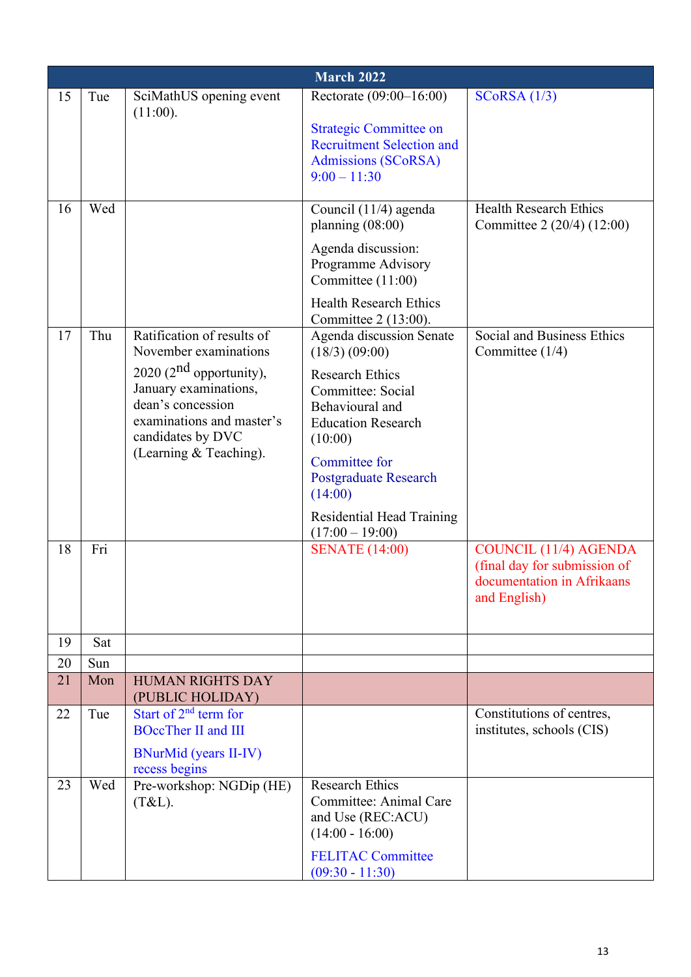|    | March 2022 |                                                                                                                                                      |                                                                                                                   |                                                                                                            |  |
|----|------------|------------------------------------------------------------------------------------------------------------------------------------------------------|-------------------------------------------------------------------------------------------------------------------|------------------------------------------------------------------------------------------------------------|--|
| 15 | Tue        | SciMathUS opening event                                                                                                                              | Rectorate (09:00-16:00)                                                                                           | SCoRSA (1/3)                                                                                               |  |
|    |            | (11:00).                                                                                                                                             | <b>Strategic Committee on</b><br><b>Recruitment Selection and</b><br><b>Admissions (SCoRSA)</b><br>$9:00 - 11:30$ |                                                                                                            |  |
| 16 | Wed        |                                                                                                                                                      | Council (11/4) agenda<br>planning $(08:00)$                                                                       | <b>Health Research Ethics</b><br>Committee 2 (20/4) (12:00)                                                |  |
|    |            |                                                                                                                                                      | Agenda discussion:<br>Programme Advisory<br>Committee (11:00)                                                     |                                                                                                            |  |
|    |            |                                                                                                                                                      | <b>Health Research Ethics</b><br>Committee 2 (13:00).                                                             |                                                                                                            |  |
| 17 | Thu        | Ratification of results of<br>November examinations                                                                                                  | Agenda discussion Senate<br>$(18/3)$ $(09:00)$                                                                    | Social and Business Ethics<br>Committee $(1/4)$                                                            |  |
|    |            | 2020 ( $2nd$ opportunity),<br>January examinations,<br>dean's concession<br>examinations and master's<br>candidates by DVC<br>(Learning & Teaching). | <b>Research Ethics</b><br>Committee: Social<br>Behavioural and<br><b>Education Research</b><br>(10:00)            |                                                                                                            |  |
|    |            |                                                                                                                                                      | Committee for<br>Postgraduate Research<br>(14:00)                                                                 |                                                                                                            |  |
|    |            |                                                                                                                                                      | Residential Head Training<br>$(17:00 - 19:00)$                                                                    |                                                                                                            |  |
| 18 | Fri        |                                                                                                                                                      | <b>SENATE</b> (14:00)                                                                                             | <b>COUNCIL (11/4) AGENDA</b><br>(final day for submission of<br>documentation in Afrikaans<br>and English) |  |
| 19 | Sat        |                                                                                                                                                      |                                                                                                                   |                                                                                                            |  |
| 20 | Sun        |                                                                                                                                                      |                                                                                                                   |                                                                                                            |  |
| 21 | Mon        | <b>HUMAN RIGHTS DAY</b><br>(PUBLIC HOLIDAY)                                                                                                          |                                                                                                                   |                                                                                                            |  |
| 22 | Tue        | Start of $2nd$ term for<br><b>BOccTher II and III</b>                                                                                                |                                                                                                                   | Constitutions of centres,<br>institutes, schools (CIS)                                                     |  |
| 23 | Wed        | <b>BNurMid (years II-IV)</b><br>recess begins<br>Pre-workshop: NGDip (HE)<br>$(T&L)$ .                                                               | <b>Research Ethics</b><br>Committee: Animal Care                                                                  |                                                                                                            |  |
|    |            |                                                                                                                                                      | and Use (REC:ACU)<br>$(14:00 - 16:00)$                                                                            |                                                                                                            |  |
|    |            |                                                                                                                                                      | <b>FELITAC Committee</b><br>$(09:30 - 11:30)$                                                                     |                                                                                                            |  |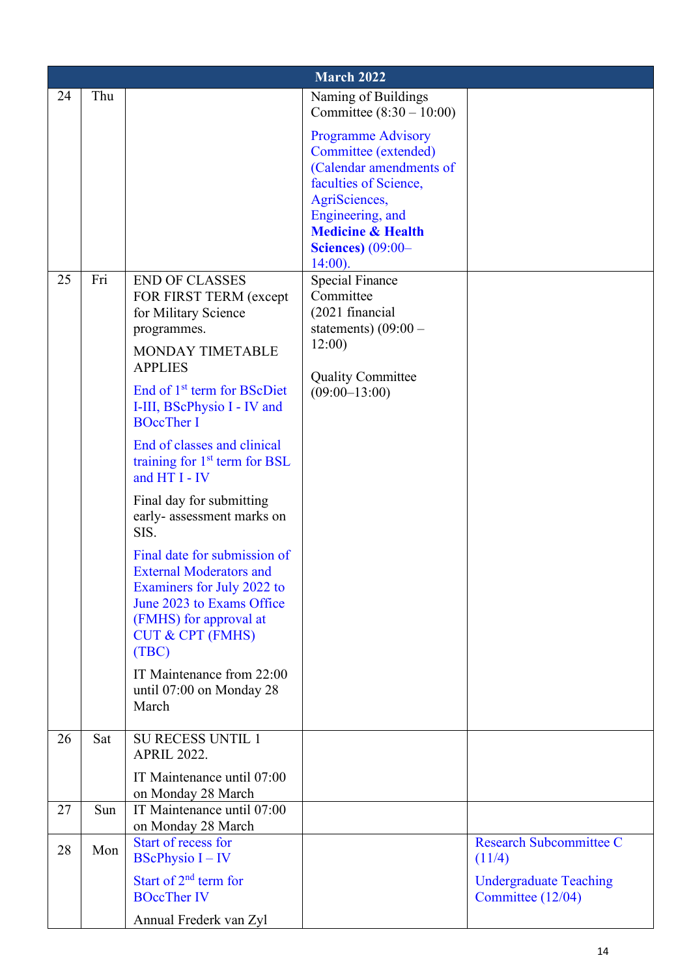|    | <b>March 2022</b> |                                                                |                                                  |                                |  |  |
|----|-------------------|----------------------------------------------------------------|--------------------------------------------------|--------------------------------|--|--|
| 24 | Thu               |                                                                | Naming of Buildings                              |                                |  |  |
|    |                   |                                                                | Committee $(8:30 - 10:00)$                       |                                |  |  |
|    |                   |                                                                | <b>Programme Advisory</b>                        |                                |  |  |
|    |                   |                                                                | Committee (extended)<br>(Calendar amendments of  |                                |  |  |
|    |                   |                                                                | faculties of Science,                            |                                |  |  |
|    |                   |                                                                | AgriSciences,                                    |                                |  |  |
|    |                   |                                                                | Engineering, and<br><b>Medicine &amp; Health</b> |                                |  |  |
|    |                   |                                                                | <b>Sciences</b> ) (09:00-                        |                                |  |  |
|    |                   |                                                                | $14:00$ ).                                       |                                |  |  |
| 25 | Fri               | <b>END OF CLASSES</b>                                          | <b>Special Finance</b><br>Committee              |                                |  |  |
|    |                   | FOR FIRST TERM (except<br>for Military Science                 | (2021 financial                                  |                                |  |  |
|    |                   | programmes.                                                    | statements) $(09:00 -$                           |                                |  |  |
|    |                   | MONDAY TIMETABLE                                               | 12:00)                                           |                                |  |  |
|    |                   | <b>APPLIES</b>                                                 | <b>Quality Committee</b>                         |                                |  |  |
|    |                   | End of 1 <sup>st</sup> term for BScDiet                        | $(09:00-13:00)$                                  |                                |  |  |
|    |                   | I-III, BScPhysio I - IV and<br><b>BOccTher I</b>               |                                                  |                                |  |  |
|    |                   |                                                                |                                                  |                                |  |  |
|    |                   | End of classes and clinical<br>training for $1st$ term for BSL |                                                  |                                |  |  |
|    |                   | and HT I - IV                                                  |                                                  |                                |  |  |
|    |                   | Final day for submitting                                       |                                                  |                                |  |  |
|    |                   | early-assessment marks on                                      |                                                  |                                |  |  |
|    |                   | SIS.                                                           |                                                  |                                |  |  |
|    |                   | Final date for submission of<br><b>External Moderators and</b> |                                                  |                                |  |  |
|    |                   | Examiners for July 2022 to                                     |                                                  |                                |  |  |
|    |                   | June 2023 to Exams Office                                      |                                                  |                                |  |  |
|    |                   | (FMHS) for approval at<br><b>CUT &amp; CPT (FMHS)</b>          |                                                  |                                |  |  |
|    |                   | (TBC)                                                          |                                                  |                                |  |  |
|    |                   | IT Maintenance from 22:00                                      |                                                  |                                |  |  |
|    |                   | until 07:00 on Monday 28                                       |                                                  |                                |  |  |
|    |                   | March                                                          |                                                  |                                |  |  |
| 26 | Sat               | <b>SU RECESS UNTIL 1</b>                                       |                                                  |                                |  |  |
|    |                   | <b>APRIL 2022.</b>                                             |                                                  |                                |  |  |
|    |                   | IT Maintenance until 07:00                                     |                                                  |                                |  |  |
|    |                   | on Monday 28 March                                             |                                                  |                                |  |  |
| 27 | Sun               | IT Maintenance until 07:00<br>on Monday 28 March               |                                                  |                                |  |  |
| 28 | Mon               | Start of recess for                                            |                                                  | <b>Research Subcommittee C</b> |  |  |
|    |                   | <b>BScPhysio I</b> $-$ IV                                      |                                                  | (11/4)                         |  |  |
|    |                   | Start of 2 <sup>nd</sup> term for                              |                                                  | <b>Undergraduate Teaching</b>  |  |  |
|    |                   | <b>BOccTher IV</b>                                             |                                                  | Committee (12/04)              |  |  |
|    |                   | Annual Frederk van Zyl                                         |                                                  |                                |  |  |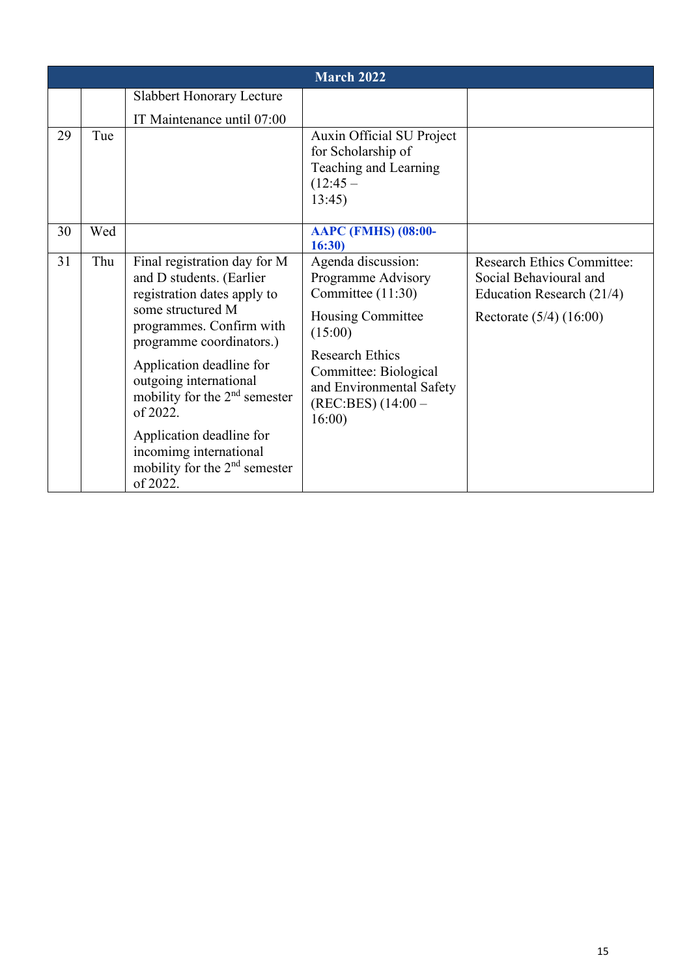|    |     |                                                                                                                                                                                                                                                                                                                                                                                          | <b>March 2022</b>                                                                                                                                                                                           |                                                                                                                         |
|----|-----|------------------------------------------------------------------------------------------------------------------------------------------------------------------------------------------------------------------------------------------------------------------------------------------------------------------------------------------------------------------------------------------|-------------------------------------------------------------------------------------------------------------------------------------------------------------------------------------------------------------|-------------------------------------------------------------------------------------------------------------------------|
|    |     | <b>Slabbert Honorary Lecture</b><br>IT Maintenance until 07:00                                                                                                                                                                                                                                                                                                                           |                                                                                                                                                                                                             |                                                                                                                         |
| 29 | Tue |                                                                                                                                                                                                                                                                                                                                                                                          | Auxin Official SU Project<br>for Scholarship of<br>Teaching and Learning<br>$(12:45 -$<br>13:45                                                                                                             |                                                                                                                         |
| 30 | Wed |                                                                                                                                                                                                                                                                                                                                                                                          | <b>AAPC (FMHS) (08:00-</b><br>16:30)                                                                                                                                                                        |                                                                                                                         |
| 31 | Thu | Final registration day for M<br>and D students. (Earlier<br>registration dates apply to<br>some structured M<br>programmes. Confirm with<br>programme coordinators.)<br>Application deadline for<br>outgoing international<br>mobility for the $2nd$ semester<br>of 2022.<br>Application deadline for<br>incomimg international<br>mobility for the 2 <sup>nd</sup> semester<br>of 2022. | Agenda discussion:<br>Programme Advisory<br>Committee (11:30)<br>Housing Committee<br>(15:00)<br><b>Research Ethics</b><br>Committee: Biological<br>and Environmental Safety<br>(REC:BES) (14:00 –<br>16:00 | <b>Research Ethics Committee:</b><br>Social Behavioural and<br>Education Research (21/4)<br>Rectorate $(5/4)$ $(16:00)$ |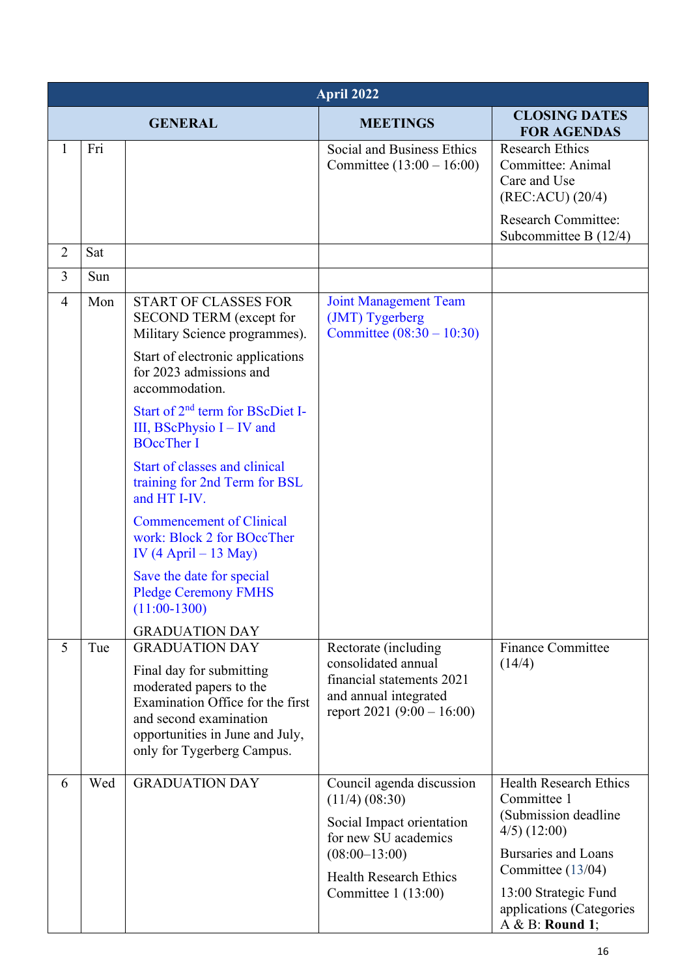|                | April 2022 |                                                                                                                                                                                    |                                                                                                                                                                                  |                                                                                                                                                                                                                  |  |
|----------------|------------|------------------------------------------------------------------------------------------------------------------------------------------------------------------------------------|----------------------------------------------------------------------------------------------------------------------------------------------------------------------------------|------------------------------------------------------------------------------------------------------------------------------------------------------------------------------------------------------------------|--|
|                |            | <b>GENERAL</b>                                                                                                                                                                     | <b>MEETINGS</b>                                                                                                                                                                  | <b>CLOSING DATES</b><br><b>FOR AGENDAS</b>                                                                                                                                                                       |  |
| 1              | Fri        |                                                                                                                                                                                    | Social and Business Ethics<br>Committee $(13:00 - 16:00)$                                                                                                                        | <b>Research Ethics</b><br>Committee: Animal<br>Care and Use<br>(REC:ACU) (20/4)<br><b>Research Committee:</b>                                                                                                    |  |
|                |            |                                                                                                                                                                                    |                                                                                                                                                                                  | Subcommittee B $(12/4)$                                                                                                                                                                                          |  |
| $\overline{2}$ | Sat        |                                                                                                                                                                                    |                                                                                                                                                                                  |                                                                                                                                                                                                                  |  |
| $\overline{3}$ | Sun        |                                                                                                                                                                                    |                                                                                                                                                                                  |                                                                                                                                                                                                                  |  |
| $\overline{4}$ | Mon        | <b>START OF CLASSES FOR</b><br>SECOND TERM (except for<br>Military Science programmes).                                                                                            | <b>Joint Management Team</b><br>(JMT) Tygerberg<br>Committee $(08:30 - 10:30)$                                                                                                   |                                                                                                                                                                                                                  |  |
|                |            | Start of electronic applications<br>for 2023 admissions and<br>accommodation.                                                                                                      |                                                                                                                                                                                  |                                                                                                                                                                                                                  |  |
|                |            | Start of 2 <sup>nd</sup> term for BScDiet I-<br>III, BScPhysio $I - IV$ and<br><b>BOccTher I</b>                                                                                   |                                                                                                                                                                                  |                                                                                                                                                                                                                  |  |
|                |            | Start of classes and clinical<br>training for 2nd Term for BSL<br>and HT I-IV.                                                                                                     |                                                                                                                                                                                  |                                                                                                                                                                                                                  |  |
|                |            | <b>Commencement of Clinical</b><br>work: Block 2 for BOccTher<br>IV $(4$ April – 13 May)                                                                                           |                                                                                                                                                                                  |                                                                                                                                                                                                                  |  |
|                |            | Save the date for special<br><b>Pledge Ceremony FMHS</b><br>$(11:00-1300)$                                                                                                         |                                                                                                                                                                                  |                                                                                                                                                                                                                  |  |
| 5              | Tue        | <b>GRADUATION DAY</b><br><b>GRADUATION DAY</b>                                                                                                                                     | Rectorate (including)                                                                                                                                                            | <b>Finance Committee</b>                                                                                                                                                                                         |  |
|                |            | Final day for submitting<br>moderated papers to the<br>Examination Office for the first<br>and second examination<br>opportunities in June and July,<br>only for Tygerberg Campus. | consolidated annual<br>financial statements 2021<br>and annual integrated<br>report $2021 (9:00 - 16:00)$                                                                        | (14/4)                                                                                                                                                                                                           |  |
| 6              | Wed        | <b>GRADUATION DAY</b>                                                                                                                                                              | Council agenda discussion<br>$(11/4)$ $(08:30)$<br>Social Impact orientation<br>for new SU academics<br>$(08:00-13:00)$<br><b>Health Research Ethics</b><br>Committee $1(13:00)$ | <b>Health Research Ethics</b><br>Committee 1<br>(Submission deadline<br>$4/5)$ (12:00)<br><b>Bursaries and Loans</b><br>Committee (13/04)<br>13:00 Strategic Fund<br>applications (Categories<br>A & B: Round 1; |  |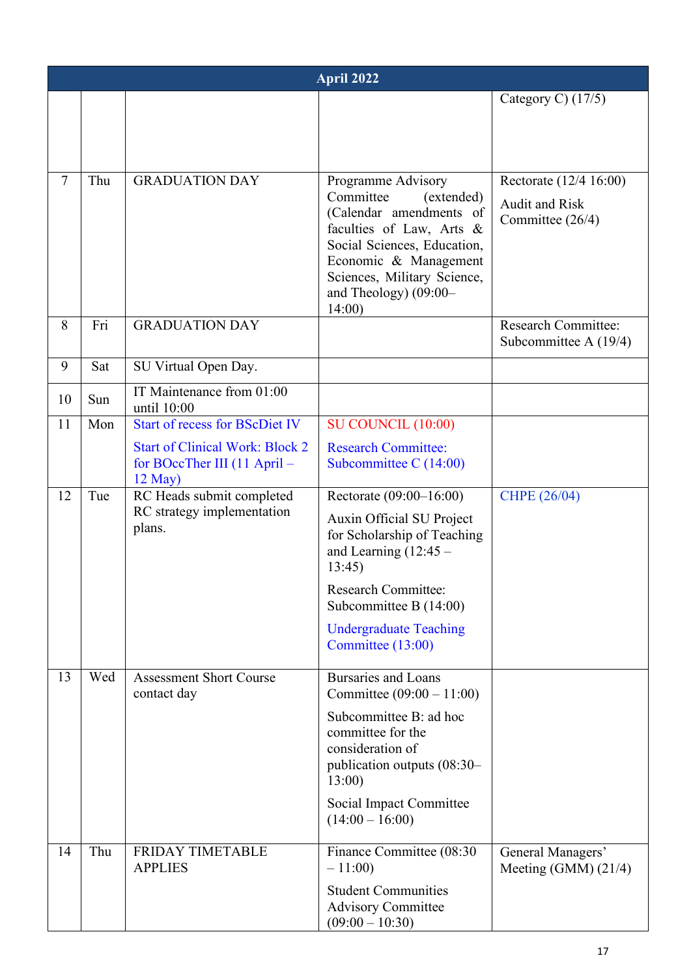|                | April 2022 |                                                                                     |                                                                                                                                                                                                                                |                                                                     |  |
|----------------|------------|-------------------------------------------------------------------------------------|--------------------------------------------------------------------------------------------------------------------------------------------------------------------------------------------------------------------------------|---------------------------------------------------------------------|--|
|                |            |                                                                                     |                                                                                                                                                                                                                                | Category C) $(17/5)$                                                |  |
|                |            |                                                                                     |                                                                                                                                                                                                                                |                                                                     |  |
|                |            |                                                                                     |                                                                                                                                                                                                                                |                                                                     |  |
| $\overline{7}$ | Thu        | <b>GRADUATION DAY</b>                                                               | Programme Advisory<br>Committee<br>(extended)<br>(Calendar amendments of<br>faculties of Law, Arts &<br>Social Sciences, Education,<br>Economic & Management<br>Sciences, Military Science,<br>and Theology) (09:00-<br>14:00) | Rectorate (12/4 16:00)<br><b>Audit and Risk</b><br>Committee (26/4) |  |
| 8              | Fri        | <b>GRADUATION DAY</b>                                                               |                                                                                                                                                                                                                                | <b>Research Committee:</b><br>Subcommittee A $(19/4)$               |  |
| 9              | Sat        | SU Virtual Open Day.                                                                |                                                                                                                                                                                                                                |                                                                     |  |
| 10             | Sun        | IT Maintenance from 01:00<br>until 10:00                                            |                                                                                                                                                                                                                                |                                                                     |  |
| 11             | Mon        | <b>Start of recess for BScDiet IV</b>                                               | SU COUNCIL (10:00)                                                                                                                                                                                                             |                                                                     |  |
|                |            | <b>Start of Clinical Work: Block 2</b><br>for BOccTher III (11 April –<br>$12$ May) | <b>Research Committee:</b><br>Subcommittee C $(14:00)$                                                                                                                                                                         |                                                                     |  |
| 12             | Tue        | RC Heads submit completed<br>RC strategy implementation                             | Rectorate (09:00–16:00)                                                                                                                                                                                                        | CHPE (26/04)                                                        |  |
|                |            | plans.                                                                              | Auxin Official SU Project<br>for Scholarship of Teaching<br>and Learning $(12:45 -$<br>13:45)                                                                                                                                  |                                                                     |  |
|                |            |                                                                                     | <b>Research Committee:</b><br>Subcommittee B (14:00)                                                                                                                                                                           |                                                                     |  |
|                |            |                                                                                     | <b>Undergraduate Teaching</b><br>Committee (13:00)                                                                                                                                                                             |                                                                     |  |
| 13             | Wed        | <b>Assessment Short Course</b><br>contact day                                       | <b>Bursaries and Loans</b><br>Committee $(09:00 - 11:00)$                                                                                                                                                                      |                                                                     |  |
|                |            |                                                                                     | Subcommittee B: ad hoc<br>committee for the<br>consideration of<br>publication outputs (08:30-<br>13:00<br>Social Impact Committee                                                                                             |                                                                     |  |
| 14             | Thu        | FRIDAY TIMETABLE                                                                    | $(14:00 - 16:00)$<br>Finance Committee (08:30                                                                                                                                                                                  | General Managers'                                                   |  |
|                |            | <b>APPLIES</b>                                                                      | $-11:00$                                                                                                                                                                                                                       | Meeting $(GMM)$ $(21/4)$                                            |  |
|                |            |                                                                                     | <b>Student Communities</b><br><b>Advisory Committee</b><br>$(09:00 - 10:30)$                                                                                                                                                   |                                                                     |  |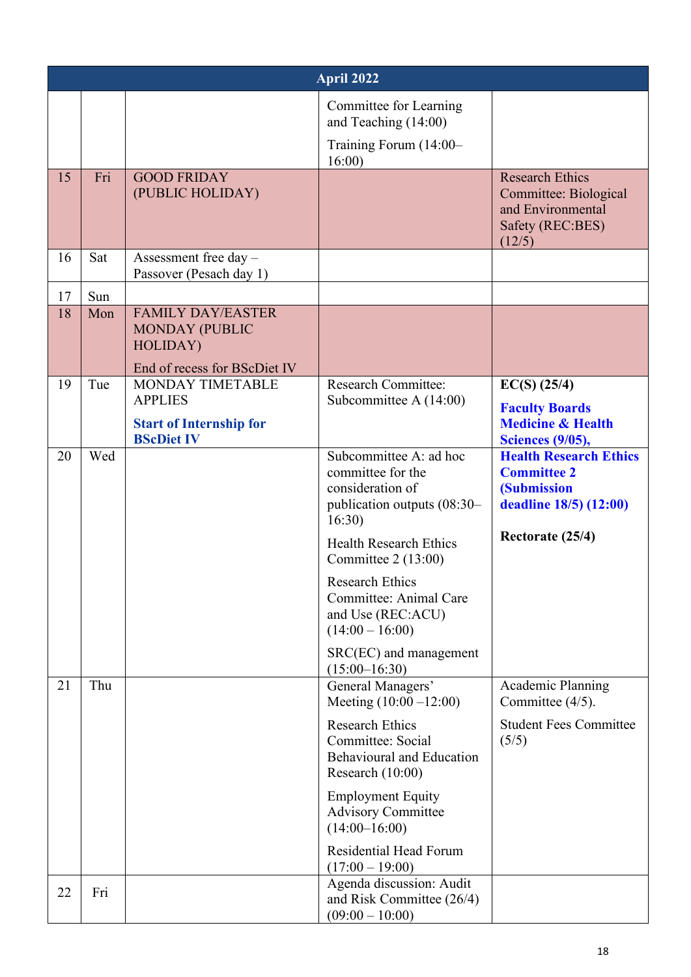|          |            |                                                                                               | April 2022                                                                                                                                                                                                                                                                                                                                                            |                                                                                                                         |
|----------|------------|-----------------------------------------------------------------------------------------------|-----------------------------------------------------------------------------------------------------------------------------------------------------------------------------------------------------------------------------------------------------------------------------------------------------------------------------------------------------------------------|-------------------------------------------------------------------------------------------------------------------------|
|          |            |                                                                                               | Committee for Learning<br>and Teaching (14:00)<br>Training Forum (14:00-<br>16:00                                                                                                                                                                                                                                                                                     |                                                                                                                         |
| 15       | Fri        | <b>GOOD FRIDAY</b><br>(PUBLIC HOLIDAY)                                                        |                                                                                                                                                                                                                                                                                                                                                                       | <b>Research Ethics</b><br>Committee: Biological<br>and Environmental<br>Safety (REC:BES)<br>(12/5)                      |
| 16       | Sat        | Assessment free day -<br>Passover (Pesach day 1)                                              |                                                                                                                                                                                                                                                                                                                                                                       |                                                                                                                         |
| 17       | Sun        |                                                                                               |                                                                                                                                                                                                                                                                                                                                                                       |                                                                                                                         |
| 18       | Mon        | <b>FAMILY DAY/EASTER</b><br><b>MONDAY (PUBLIC</b><br>HOLIDAY)<br>End of recess for BScDiet IV |                                                                                                                                                                                                                                                                                                                                                                       |                                                                                                                         |
| 19       | Tue        | MONDAY TIMETABLE                                                                              | <b>Research Committee:</b>                                                                                                                                                                                                                                                                                                                                            | $EC(S)$ (25/4)                                                                                                          |
|          |            | <b>APPLIES</b><br><b>Start of Internship for</b><br><b>BScDiet IV</b>                         | Subcommittee A $(14:00)$                                                                                                                                                                                                                                                                                                                                              | <b>Faculty Boards</b><br><b>Medicine &amp; Health</b><br><b>Sciences (9/05),</b>                                        |
| 20       | Wed        |                                                                                               | Subcommittee A: ad hoc<br>committee for the<br>consideration of<br>publication outputs (08:30-<br>16:30)<br><b>Health Research Ethics</b><br>Committee $2(13:00)$<br>Research Ethics<br>Committee: Animal Care<br>and Use (REC:ACU)<br>$(14:00 - 16:00)$<br>SRC(EC) and management<br>$(15:00-16:30)$                                                                 | <b>Health Research Ethics</b><br><b>Committee 2</b><br><b>(Submission</b><br>deadline 18/5) (12:00)<br>Rectorate (25/4) |
| 21<br>22 | Thu<br>Fri |                                                                                               | General Managers'<br>Meeting $(10:00 - 12:00)$<br><b>Research Ethics</b><br>Committee: Social<br><b>Behavioural and Education</b><br>Research (10:00)<br><b>Employment Equity</b><br><b>Advisory Committee</b><br>$(14:00-16:00)$<br><b>Residential Head Forum</b><br>$(17:00 - 19:00)$<br>Agenda discussion: Audit<br>and Risk Committee (26/4)<br>$(09:00 - 10:00)$ | <b>Academic Planning</b><br>Committee (4/5).<br><b>Student Fees Committee</b><br>(5/5)                                  |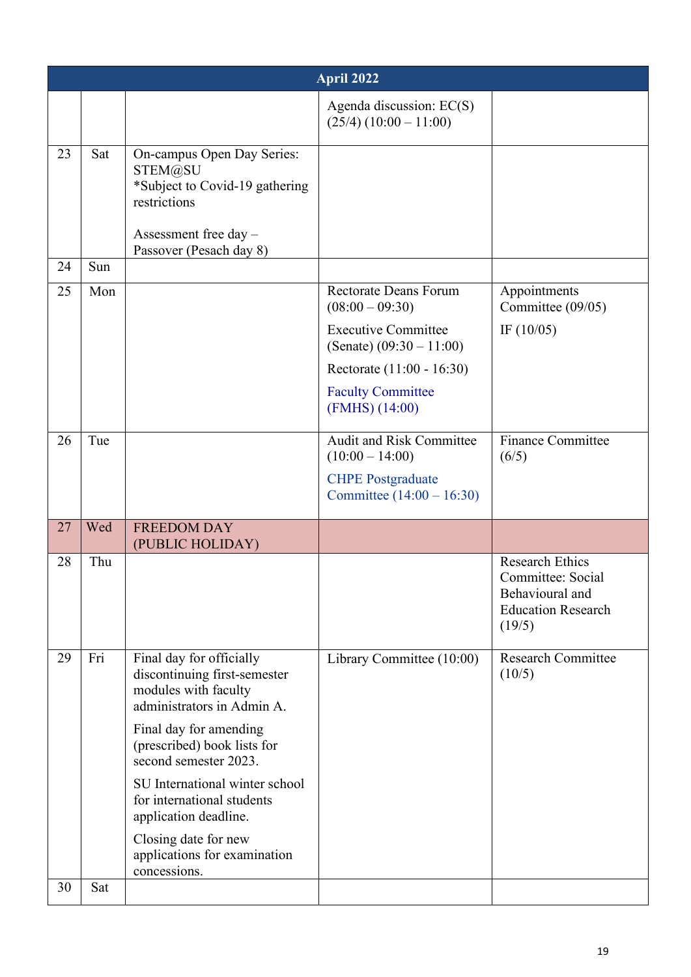|    |     |                                                                                                                    | April 2022                                               |                                                                                                       |
|----|-----|--------------------------------------------------------------------------------------------------------------------|----------------------------------------------------------|-------------------------------------------------------------------------------------------------------|
|    |     |                                                                                                                    | Agenda discussion: EC(S)<br>$(25/4) (10:00 - 11:00)$     |                                                                                                       |
| 23 | Sat | On-campus Open Day Series:<br>STEM@SU<br>*Subject to Covid-19 gathering<br>restrictions<br>Assessment free day $-$ |                                                          |                                                                                                       |
| 24 | Sun | Passover (Pesach day 8)                                                                                            |                                                          |                                                                                                       |
| 25 | Mon |                                                                                                                    | <b>Rectorate Deans Forum</b><br>$(08:00 - 09:30)$        | Appointments<br>Committee (09/05)                                                                     |
|    |     |                                                                                                                    | <b>Executive Committee</b><br>(Senate) $(09:30 - 11:00)$ | IF $(10/05)$                                                                                          |
|    |     |                                                                                                                    | Rectorate (11:00 - 16:30)                                |                                                                                                       |
|    |     |                                                                                                                    | <b>Faculty Committee</b><br>(FMHS) (14:00)               |                                                                                                       |
| 26 | Tue |                                                                                                                    | <b>Audit and Risk Committee</b><br>$(10:00 - 14:00)$     | <b>Finance Committee</b><br>(6/5)                                                                     |
|    |     |                                                                                                                    | <b>CHPE</b> Postgraduate<br>Committee $(14:00 - 16:30)$  |                                                                                                       |
| 27 | Wed | <b>FREEDOM DAY</b><br>(PUBLIC HOLIDAY)                                                                             |                                                          |                                                                                                       |
| 28 | Thu |                                                                                                                    |                                                          | <b>Research Ethics</b><br>Committee: Social<br>Behavioural and<br><b>Education Research</b><br>(19/5) |
| 29 | Fri | Final day for officially<br>discontinuing first-semester<br>modules with faculty<br>administrators in Admin A.     | Library Committee (10:00)                                | <b>Research Committee</b><br>(10/5)                                                                   |
|    |     | Final day for amending<br>(prescribed) book lists for<br>second semester 2023.                                     |                                                          |                                                                                                       |
|    |     | SU International winter school<br>for international students<br>application deadline.                              |                                                          |                                                                                                       |
|    |     | Closing date for new<br>applications for examination<br>concessions.                                               |                                                          |                                                                                                       |
| 30 | Sat |                                                                                                                    |                                                          |                                                                                                       |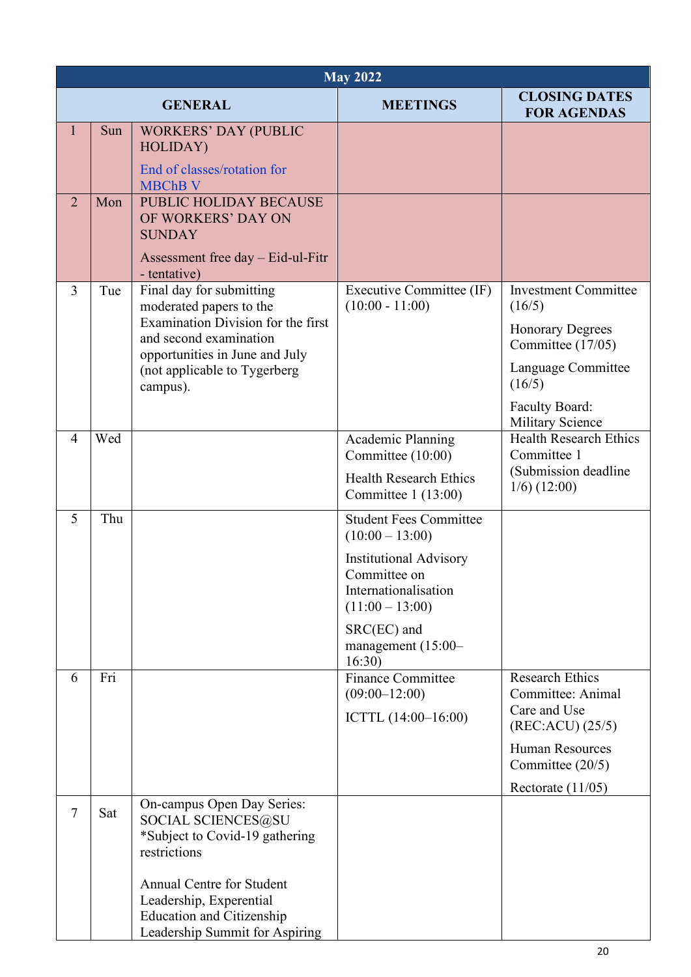|                | <b>May 2022</b> |                                                                                                    |                                                                                            |                                              |  |
|----------------|-----------------|----------------------------------------------------------------------------------------------------|--------------------------------------------------------------------------------------------|----------------------------------------------|--|
|                |                 | <b>GENERAL</b>                                                                                     | <b>MEETINGS</b>                                                                            | <b>CLOSING DATES</b><br><b>FOR AGENDAS</b>   |  |
| $\mathbf{1}$   | Sun             | <b>WORKERS' DAY (PUBLIC</b><br>HOLIDAY)                                                            |                                                                                            |                                              |  |
|                |                 | End of classes/rotation for<br><b>MBChB V</b>                                                      |                                                                                            |                                              |  |
| $\overline{2}$ | Mon             | <b>PUBLIC HOLIDAY BECAUSE</b><br>OF WORKERS' DAY ON<br><b>SUNDAY</b>                               |                                                                                            |                                              |  |
|                |                 | Assessment free day – Eid-ul-Fitr<br>- tentative)                                                  |                                                                                            |                                              |  |
| $\overline{3}$ | Tue             | Final day for submitting<br>moderated papers to the                                                | Executive Committee (IF)<br>$(10:00 - 11:00)$                                              | <b>Investment Committee</b><br>(16/5)        |  |
|                |                 | Examination Division for the first<br>and second examination<br>opportunities in June and July     |                                                                                            | <b>Honorary Degrees</b><br>Committee (17/05) |  |
|                |                 | (not applicable to Tygerberg<br>campus).                                                           |                                                                                            | Language Committee<br>(16/5)                 |  |
|                |                 |                                                                                                    |                                                                                            | Faculty Board:<br><b>Military Science</b>    |  |
| $\overline{4}$ | Wed             |                                                                                                    | Academic Planning<br>Committee (10:00)                                                     | <b>Health Research Ethics</b><br>Committee 1 |  |
|                |                 |                                                                                                    | <b>Health Research Ethics</b><br>Committee $1(13:00)$                                      | (Submission deadline<br>$1/6$ (12:00)        |  |
| 5              | Thu             |                                                                                                    | <b>Student Fees Committee</b><br>$(10:00 - 13:00)$                                         |                                              |  |
|                |                 |                                                                                                    | <b>Institutional Advisory</b><br>Committee on<br>Internationalisation<br>$(11:00 - 13:00)$ |                                              |  |
|                |                 |                                                                                                    | $SRC(EC)$ and<br>management $(15:00-$<br>16:30                                             |                                              |  |
| 6              | Fri             |                                                                                                    | <b>Finance Committee</b><br>$(09:00-12:00)$                                                | <b>Research Ethics</b><br>Committee: Animal  |  |
|                |                 |                                                                                                    | ICTTL $(14:00-16:00)$                                                                      | Care and Use<br>(REC:ACU) (25/5)             |  |
|                |                 |                                                                                                    |                                                                                            | <b>Human Resources</b><br>Committee (20/5)   |  |
|                |                 |                                                                                                    |                                                                                            | Rectorate $(11/05)$                          |  |
| $\tau$         | Sat             | On-campus Open Day Series:<br>SOCIAL SCIENCES@SU<br>*Subject to Covid-19 gathering<br>restrictions |                                                                                            |                                              |  |
|                |                 | <b>Annual Centre for Student</b>                                                                   |                                                                                            |                                              |  |
|                |                 | Leadership, Experential                                                                            |                                                                                            |                                              |  |
|                |                 | <b>Education and Citizenship</b><br>Leadership Summit for Aspiring                                 |                                                                                            |                                              |  |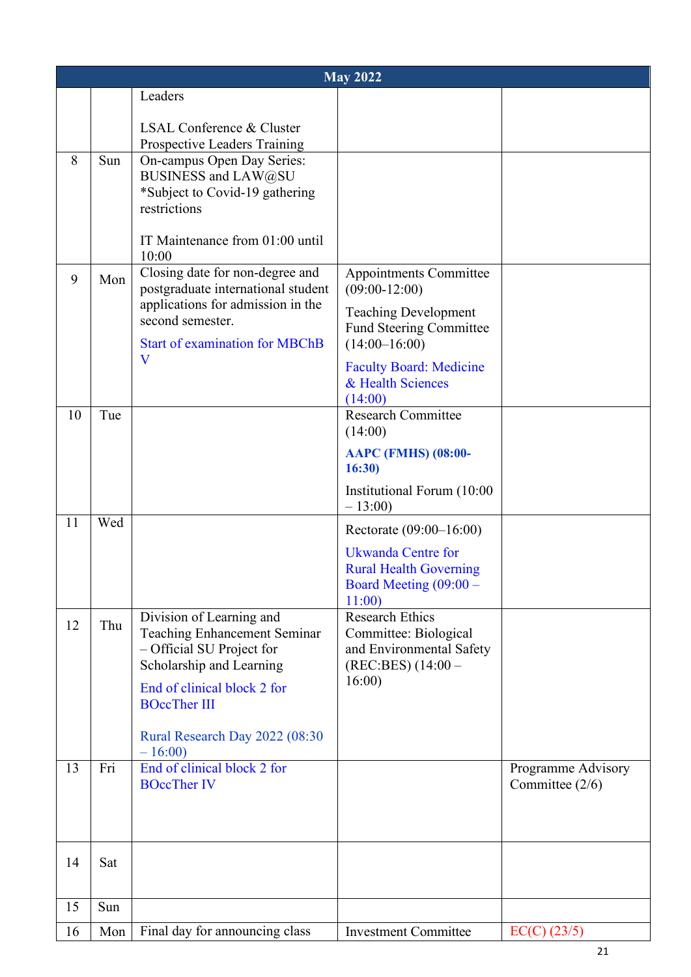|    | <b>May 2022</b> |                                                                                                                                                                                                                              |                                                                                                                                                                                                                 |                                       |  |
|----|-----------------|------------------------------------------------------------------------------------------------------------------------------------------------------------------------------------------------------------------------------|-----------------------------------------------------------------------------------------------------------------------------------------------------------------------------------------------------------------|---------------------------------------|--|
|    |                 | Leaders                                                                                                                                                                                                                      |                                                                                                                                                                                                                 |                                       |  |
| 8  | Sun             | LSAL Conference & Cluster<br>Prospective Leaders Training<br>On-campus Open Day Series:<br>BUSINESS and LAW@SU<br>*Subject to Covid-19 gathering<br>restrictions<br>IT Maintenance from 01:00 until<br>10:00                 |                                                                                                                                                                                                                 |                                       |  |
| 9  | Mon             | Closing date for non-degree and<br>postgraduate international student<br>applications for admission in the<br>second semester.<br><b>Start of examination for MBChB</b><br>V                                                 | Appointments Committee<br>$(09:00-12:00)$<br><b>Teaching Development</b><br><b>Fund Steering Committee</b><br>$(14:00-16:00)$<br><b>Faculty Board: Medicine</b><br>& Health Sciences<br>(14:00)                 |                                       |  |
| 10 | Tue             |                                                                                                                                                                                                                              | <b>Research Committee</b><br>(14:00)<br><b>AAPC (FMHS) (08:00-</b><br>16:30<br>Institutional Forum (10:00<br>$-13:00$                                                                                           |                                       |  |
| 11 | Wed             |                                                                                                                                                                                                                              | Rectorate (09:00–16:00)                                                                                                                                                                                         |                                       |  |
| 12 | Thu             | Division of Learning and<br><b>Teaching Enhancement Seminar</b><br>- Official SU Project for<br>Scholarship and Learning<br>End of clinical block 2 for<br><b>BOccTher III</b><br>Rural Research Day 2022 (08:30<br>$-16:00$ | <b>Ukwanda Centre for</b><br><b>Rural Health Governing</b><br>Board Meeting $(09:00 -$<br>11:00<br><b>Research Ethics</b><br>Committee: Biological<br>and Environmental Safety<br>$(REC:BES) (14:00 -$<br>16:00 |                                       |  |
| 13 | Fri             | End of clinical block 2 for<br><b>BOccTher IV</b>                                                                                                                                                                            |                                                                                                                                                                                                                 | Programme Advisory<br>Committee (2/6) |  |
| 14 | Sat             |                                                                                                                                                                                                                              |                                                                                                                                                                                                                 |                                       |  |
| 15 | Sun             |                                                                                                                                                                                                                              |                                                                                                                                                                                                                 |                                       |  |
| 16 | Mon             | Final day for announcing class                                                                                                                                                                                               | <b>Investment Committee</b>                                                                                                                                                                                     | $EC(C)$ (23/5)                        |  |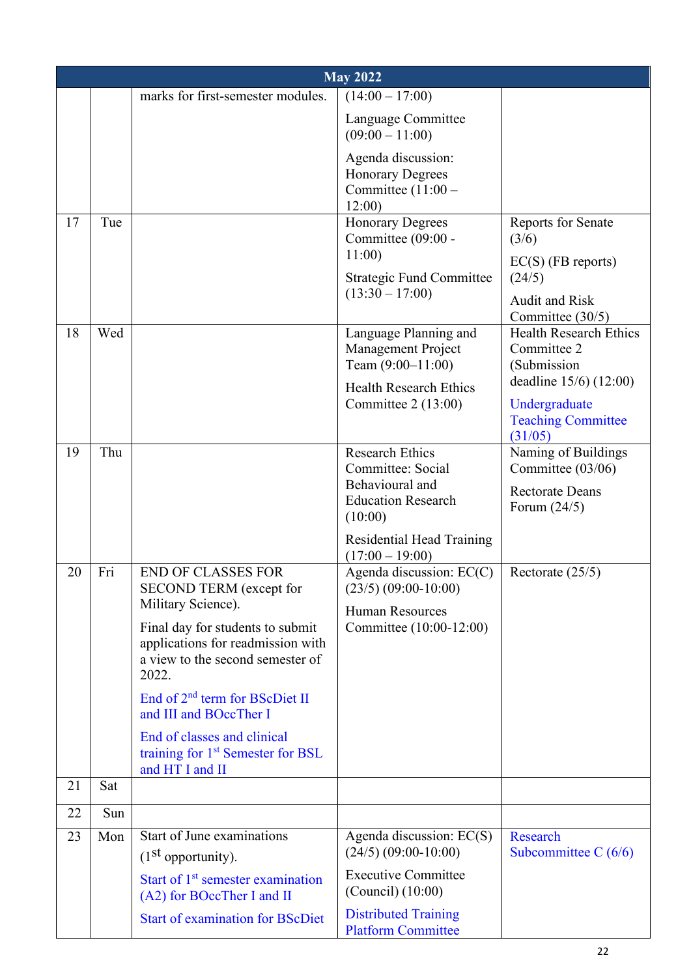|    | <b>May 2022</b> |                                                                                                                                                                                                                                                                                                                                                                   |                                                                                                                                                                 |                                                                                                                                        |  |  |
|----|-----------------|-------------------------------------------------------------------------------------------------------------------------------------------------------------------------------------------------------------------------------------------------------------------------------------------------------------------------------------------------------------------|-----------------------------------------------------------------------------------------------------------------------------------------------------------------|----------------------------------------------------------------------------------------------------------------------------------------|--|--|
|    |                 | marks for first-semester modules.                                                                                                                                                                                                                                                                                                                                 | $(14:00 - 17:00)$                                                                                                                                               |                                                                                                                                        |  |  |
|    |                 |                                                                                                                                                                                                                                                                                                                                                                   | Language Committee<br>$(09:00 - 11:00)$                                                                                                                         |                                                                                                                                        |  |  |
|    |                 |                                                                                                                                                                                                                                                                                                                                                                   | Agenda discussion:<br><b>Honorary Degrees</b><br>Committee $(11:00 -$<br>12:00                                                                                  |                                                                                                                                        |  |  |
| 17 | Tue             |                                                                                                                                                                                                                                                                                                                                                                   | <b>Honorary Degrees</b><br>Committee (09:00 -<br>11:00<br><b>Strategic Fund Committee</b><br>$(13:30 - 17:00)$                                                  | Reports for Senate<br>(3/6)<br>$EC(S)$ (FB reports)<br>(24/5)<br><b>Audit and Risk</b><br>Committee (30/5)                             |  |  |
| 18 | Wed             |                                                                                                                                                                                                                                                                                                                                                                   | Language Planning and<br><b>Management Project</b><br>Team $(9:00-11:00)$<br><b>Health Research Ethics</b><br>Committee $2(13:00)$                              | <b>Health Research Ethics</b><br>Committee 2<br>(Submission<br>deadline $15/6$ ) (12:00)<br>Undergraduate<br><b>Teaching Committee</b> |  |  |
| 19 | Thu             |                                                                                                                                                                                                                                                                                                                                                                   | <b>Research Ethics</b><br>Committee: Social<br>Behavioural and<br><b>Education Research</b><br>(10:00)<br><b>Residential Head Training</b><br>$(17:00 - 19:00)$ | (31/05)<br>Naming of Buildings<br>Committee (03/06)<br><b>Rectorate Deans</b><br>Forum $(24/5)$                                        |  |  |
| 20 | Fri             | <b>END OF CLASSES FOR</b><br>SECOND TERM (except for<br>Military Science).<br>Final day for students to submit<br>applications for readmission with<br>a view to the second semester of<br>2022.<br>End of $2nd$ term for BScDiet II<br>and III and BOccTher I<br>End of classes and clinical<br>training for 1 <sup>st</sup> Semester for BSL<br>and HT I and II | Agenda discussion: $EC(C)$<br>$(23/5)$ $(09:00-10:00)$<br><b>Human Resources</b><br>Committee (10:00-12:00)                                                     | Rectorate $(25/5)$                                                                                                                     |  |  |
| 21 | Sat             |                                                                                                                                                                                                                                                                                                                                                                   |                                                                                                                                                                 |                                                                                                                                        |  |  |
| 22 | Sun             |                                                                                                                                                                                                                                                                                                                                                                   |                                                                                                                                                                 |                                                                                                                                        |  |  |
| 23 | Mon             | Start of June examinations<br>(1 <sup>st</sup> opportunity).<br>Start of 1 <sup>st</sup> semester examination<br>(A2) for BOccTher I and II<br><b>Start of examination for BScDiet</b>                                                                                                                                                                            | Agenda discussion: EC(S)<br>$(24/5)$ $(09:00-10:00)$<br><b>Executive Committee</b><br>(Council) (10:00)<br><b>Distributed Training</b>                          | <b>Research</b><br>Subcommittee C $(6/6)$                                                                                              |  |  |
|    |                 |                                                                                                                                                                                                                                                                                                                                                                   | <b>Platform Committee</b>                                                                                                                                       |                                                                                                                                        |  |  |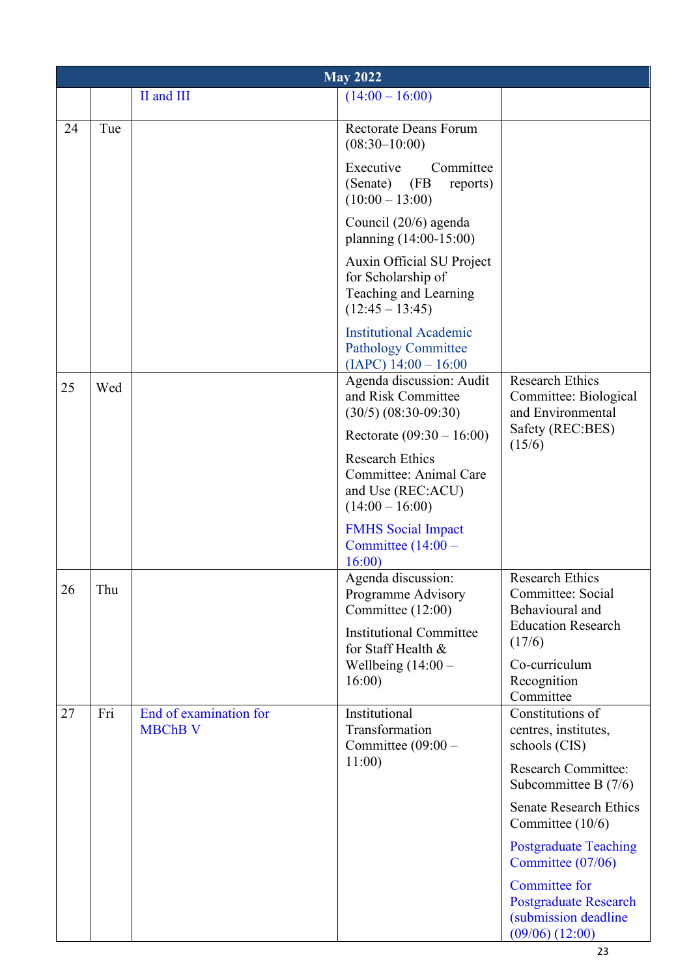|    | <b>May 2022</b> |                                          |                                                                                               |                                                                                                      |  |
|----|-----------------|------------------------------------------|-----------------------------------------------------------------------------------------------|------------------------------------------------------------------------------------------------------|--|
|    |                 | II and III                               | $(14:00 - 16:00)$                                                                             |                                                                                                      |  |
| 24 | Tue             |                                          | <b>Rectorate Deans Forum</b><br>$(08:30-10:00)$                                               |                                                                                                      |  |
|    |                 |                                          | Executive<br>Committee<br>(Senate) (FB)<br>reports)<br>$(10:00 - 13:00)$                      |                                                                                                      |  |
|    |                 |                                          | Council (20/6) agenda<br>planning (14:00-15:00)                                               |                                                                                                      |  |
|    |                 |                                          | Auxin Official SU Project<br>for Scholarship of<br>Teaching and Learning<br>$(12:45 - 13:45)$ |                                                                                                      |  |
|    |                 |                                          | <b>Institutional Academic</b><br><b>Pathology Committee</b><br>$(IAPC)$ 14:00 - 16:00         |                                                                                                      |  |
| 25 | Wed             |                                          | Agenda discussion: Audit<br>and Risk Committee<br>$(30/5)$ $(08:30-09:30)$                    | <b>Research Ethics</b><br>Committee: Biological<br>and Environmental                                 |  |
|    |                 |                                          | Rectorate $(09:30 - 16:00)$                                                                   | Safety (REC:BES)<br>(15/6)                                                                           |  |
|    |                 |                                          | <b>Research Ethics</b><br>Committee: Animal Care<br>and Use (REC:ACU)<br>$(14:00 - 16:00)$    |                                                                                                      |  |
|    |                 |                                          | <b>FMHS</b> Social Impact<br>Committee $(14:00 -$<br>16:00                                    |                                                                                                      |  |
| 26 | Thu             |                                          | Agenda discussion:<br>Programme Advisory<br>Committee (12:00)                                 | <b>Research Ethics</b><br>Committee: Social<br>Behavioural and                                       |  |
|    |                 |                                          | <b>Institutional Committee</b><br>for Staff Health &                                          | <b>Education Research</b><br>(17/6)                                                                  |  |
|    |                 |                                          | Wellbeing $(14:00 -$                                                                          | Co-curriculum                                                                                        |  |
|    |                 |                                          | 16:00                                                                                         | Recognition<br>Committee                                                                             |  |
| 27 | Fri             | End of examination for<br><b>MBChB V</b> | Institutional<br>Transformation<br>Committee $(09:00 -$                                       | Constitutions of<br>centres, institutes,<br>schools (CIS)                                            |  |
|    |                 |                                          | 11:00                                                                                         | <b>Research Committee:</b><br>Subcommittee B (7/6)                                                   |  |
|    |                 |                                          |                                                                                               | <b>Senate Research Ethics</b><br>Committee (10/6)                                                    |  |
|    |                 |                                          |                                                                                               | <b>Postgraduate Teaching</b><br>Committee (07/06)                                                    |  |
|    |                 |                                          |                                                                                               | <b>Committee for</b><br><b>Postgraduate Research</b><br>(submission deadline)<br>$(09/06)$ $(12:00)$ |  |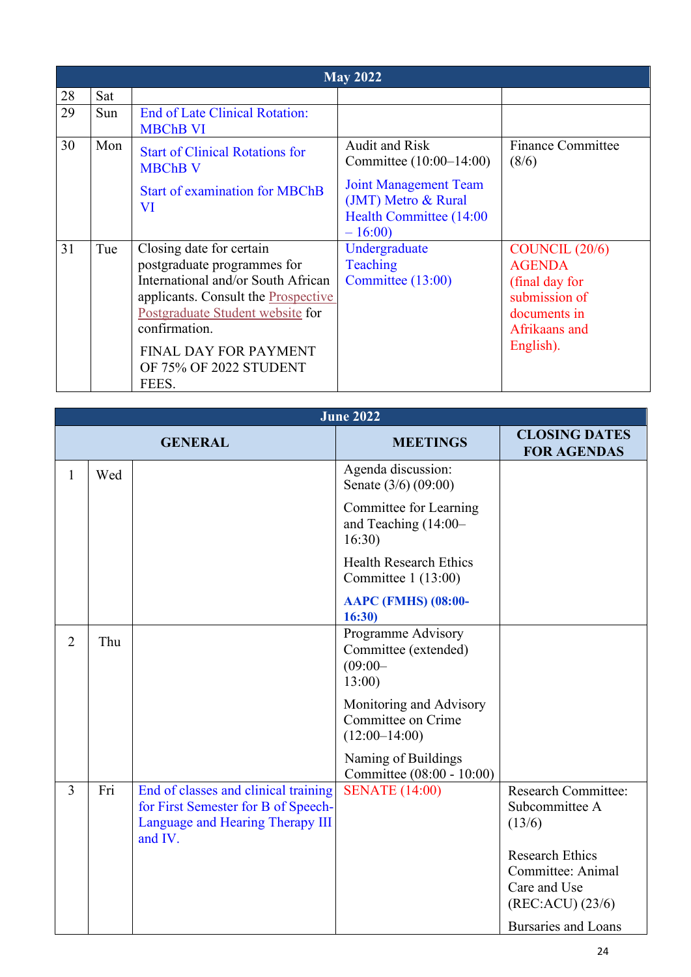|    | <b>May 2022</b> |                                        |                              |                          |  |  |
|----|-----------------|----------------------------------------|------------------------------|--------------------------|--|--|
| 28 | Sat             |                                        |                              |                          |  |  |
| 29 | Sun             | <b>End of Late Clinical Rotation:</b>  |                              |                          |  |  |
|    |                 | <b>MBChB VI</b>                        |                              |                          |  |  |
| 30 | Mon             | <b>Start of Clinical Rotations for</b> | <b>Audit and Risk</b>        | <b>Finance Committee</b> |  |  |
|    |                 | <b>MBChB V</b>                         | Committee (10:00–14:00)      | (8/6)                    |  |  |
|    |                 | <b>Start of examination for MBChB</b>  | <b>Joint Management Team</b> |                          |  |  |
|    |                 | VI                                     | (JMT) Metro & Rural          |                          |  |  |
|    |                 |                                        | Health Committee (14:00      |                          |  |  |
|    |                 |                                        | $-16:00$                     |                          |  |  |
| 31 | Tue             | Closing date for certain               | Undergraduate                | COUNCIL $(20/6)$         |  |  |
|    |                 | postgraduate programmes for            | Teaching                     | <b>AGENDA</b>            |  |  |
|    |                 | International and/or South African     | Committee $(13:00)$          | (final day for           |  |  |
|    |                 | applicants. Consult the Prospective    |                              | submission of            |  |  |
|    |                 | Postgraduate Student website for       |                              | documents in             |  |  |
|    |                 | confirmation.                          |                              | Afrikaans and            |  |  |
|    |                 | <b>FINAL DAY FOR PAYMENT</b>           |                              | English).                |  |  |
|    |                 | OF 75% OF 2022 STUDENT                 |                              |                          |  |  |
|    |                 | FEES.                                  |                              |                          |  |  |

|                | <b>June 2022</b> |                                                                                                                            |                                                                   |                                                                                                       |  |
|----------------|------------------|----------------------------------------------------------------------------------------------------------------------------|-------------------------------------------------------------------|-------------------------------------------------------------------------------------------------------|--|
|                |                  | <b>GENERAL</b>                                                                                                             | <b>MEETINGS</b>                                                   | <b>CLOSING DATES</b><br><b>FOR AGENDAS</b>                                                            |  |
| $\mathbf{1}$   | Wed              |                                                                                                                            | Agenda discussion:<br>Senate (3/6) (09:00)                        |                                                                                                       |  |
|                |                  |                                                                                                                            | Committee for Learning<br>and Teaching (14:00-<br>16:30           |                                                                                                       |  |
|                |                  |                                                                                                                            | <b>Health Research Ethics</b><br>Committee $1(13:00)$             |                                                                                                       |  |
|                |                  |                                                                                                                            | <b>AAPC (FMHS) (08:00-</b><br>16:30)                              |                                                                                                       |  |
| $\overline{2}$ | Thu              |                                                                                                                            | Programme Advisory<br>Committee (extended)<br>$(09:00 -$<br>13:00 |                                                                                                       |  |
|                |                  |                                                                                                                            | Monitoring and Advisory<br>Committee on Crime<br>$(12:00-14:00)$  |                                                                                                       |  |
|                |                  |                                                                                                                            | Naming of Buildings<br>Committee (08:00 - 10:00)                  |                                                                                                       |  |
| $\overline{3}$ | Fri              | End of classes and clinical training<br>for First Semester for B of Speech-<br>Language and Hearing Therapy III<br>and IV. | <b>SENATE</b> (14:00)                                             | <b>Research Committee:</b><br>Subcommittee A<br>(13/6)<br><b>Research Ethics</b><br>Committee: Animal |  |
|                |                  |                                                                                                                            |                                                                   | Care and Use<br>$(REC:ACU)$ $(23/6)$                                                                  |  |
|                |                  |                                                                                                                            |                                                                   | <b>Bursaries and Loans</b>                                                                            |  |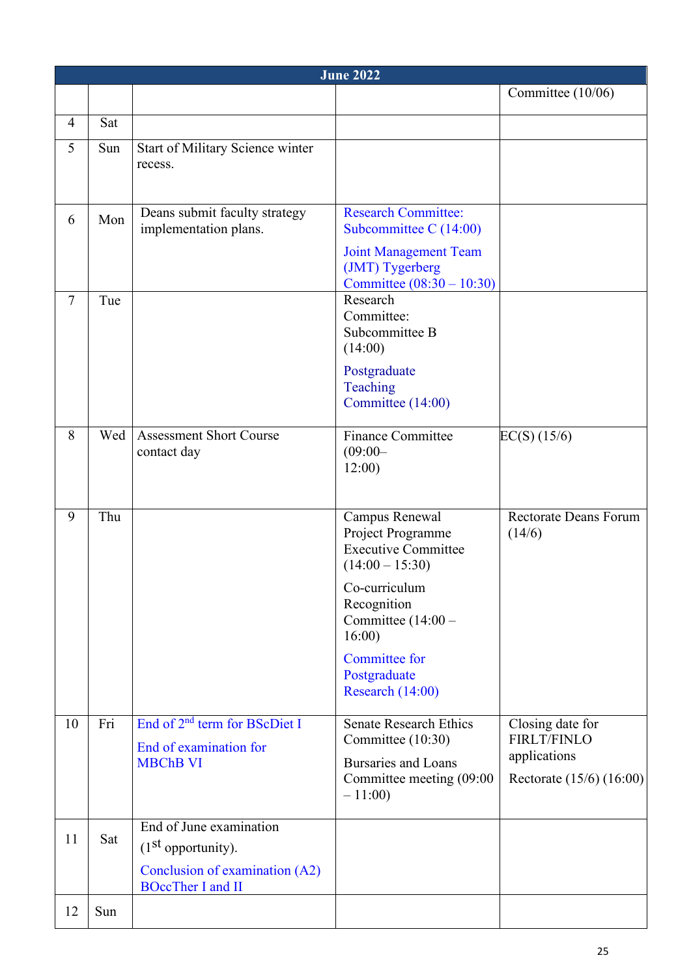|                | <b>June 2022</b> |                                                                                                               |                                                                                                                                                                                                                     |                                                                                    |  |
|----------------|------------------|---------------------------------------------------------------------------------------------------------------|---------------------------------------------------------------------------------------------------------------------------------------------------------------------------------------------------------------------|------------------------------------------------------------------------------------|--|
|                |                  |                                                                                                               |                                                                                                                                                                                                                     | Committee (10/06)                                                                  |  |
| $\overline{4}$ | Sat              |                                                                                                               |                                                                                                                                                                                                                     |                                                                                    |  |
| 5              | Sun              | Start of Military Science winter<br>recess.                                                                   |                                                                                                                                                                                                                     |                                                                                    |  |
| 6              | Mon              | Deans submit faculty strategy<br>implementation plans.                                                        | <b>Research Committee:</b><br>Subcommittee C (14:00)<br><b>Joint Management Team</b><br>(JMT) Tygerberg<br>Committee $(08:30 - 10:30)$                                                                              |                                                                                    |  |
| $\tau$         | Tue              |                                                                                                               | Research<br>Committee:<br>Subcommittee B<br>(14:00)<br>Postgraduate<br>Teaching<br>Committee (14:00)                                                                                                                |                                                                                    |  |
| 8              | Wed              | <b>Assessment Short Course</b><br>contact day                                                                 | <b>Finance Committee</b><br>$(09:00 -$<br>12:00                                                                                                                                                                     | $EC(S)$ (15/6)                                                                     |  |
| 9              | Thu              |                                                                                                               | Campus Renewal<br>Project Programme<br><b>Executive Committee</b><br>$(14:00 - 15:30)$<br>Co-curriculum<br>Recognition<br>Committee $(14:00 -$<br>16:00<br><b>Committee for</b><br>Postgraduate<br>Research (14:00) | <b>Rectorate Deans Forum</b><br>(14/6)                                             |  |
| 10             | Fri              | End of 2 <sup>nd</sup> term for BScDiet I<br>End of examination for<br><b>MBChB VI</b>                        | <b>Senate Research Ethics</b><br>Committee (10:30)<br><b>Bursaries and Loans</b><br>Committee meeting (09:00<br>$-11:00$                                                                                            | Closing date for<br><b>FIRLT/FINLO</b><br>applications<br>Rectorate (15/6) (16:00) |  |
| 11             | Sat              | End of June examination<br>$(1st$ opportunity).<br>Conclusion of examination (A2)<br><b>BOccTher I and II</b> |                                                                                                                                                                                                                     |                                                                                    |  |
| 12             | Sun              |                                                                                                               |                                                                                                                                                                                                                     |                                                                                    |  |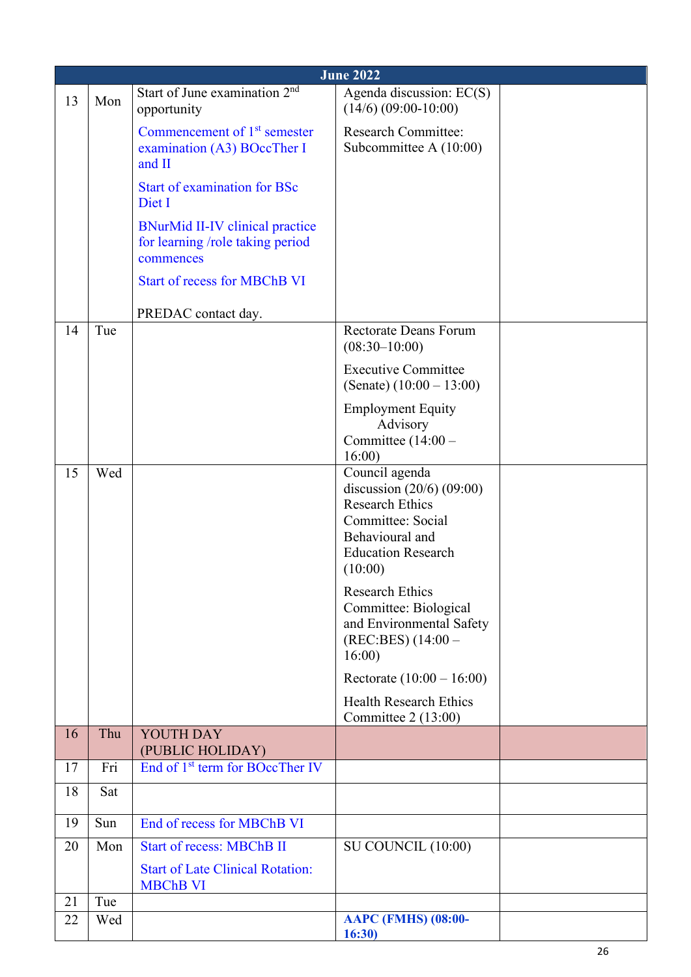|          | <b>June 2022</b> |                                                                                         |                                                                                                                                                                                                                                                                                                                                                                                                                    |  |  |
|----------|------------------|-----------------------------------------------------------------------------------------|--------------------------------------------------------------------------------------------------------------------------------------------------------------------------------------------------------------------------------------------------------------------------------------------------------------------------------------------------------------------------------------------------------------------|--|--|
| 13       | Mon              | Start of June examination 2 <sup>nd</sup><br>opportunity                                | Agenda discussion: EC(S)<br>$(14/6)$ $(09:00-10:00)$                                                                                                                                                                                                                                                                                                                                                               |  |  |
|          |                  | Commencement of 1 <sup>st</sup> semester<br>examination (A3) BOccTher I<br>and II       | <b>Research Committee:</b><br>Subcommittee A $(10:00)$                                                                                                                                                                                                                                                                                                                                                             |  |  |
|          |                  | <b>Start of examination for BSc</b><br>Diet I                                           |                                                                                                                                                                                                                                                                                                                                                                                                                    |  |  |
|          |                  | <b>BNurMid II-IV clinical practice</b><br>for learning /role taking period<br>commences |                                                                                                                                                                                                                                                                                                                                                                                                                    |  |  |
|          |                  | <b>Start of recess for MBChB VI</b>                                                     |                                                                                                                                                                                                                                                                                                                                                                                                                    |  |  |
|          |                  | PREDAC contact day.                                                                     |                                                                                                                                                                                                                                                                                                                                                                                                                    |  |  |
| 14       | Tue              |                                                                                         | <b>Rectorate Deans Forum</b><br>$(08:30-10:00)$                                                                                                                                                                                                                                                                                                                                                                    |  |  |
|          |                  |                                                                                         | <b>Executive Committee</b><br>(Senate) $(10:00 - 13:00)$                                                                                                                                                                                                                                                                                                                                                           |  |  |
| 15       | Wed              |                                                                                         | <b>Employment Equity</b><br>Advisory<br>Committee $(14:00 -$<br>16:00<br>Council agenda<br>discussion $(20/6)$ $(09:00)$<br><b>Research Ethics</b><br>Committee: Social<br>Behavioural and<br><b>Education Research</b><br>(10:00)<br><b>Research Ethics</b><br>Committee: Biological<br>and Environmental Safety<br>$(REC:BES) (14:00 -$<br>16:00<br>Rectorate $(10:00 - 16:00)$<br><b>Health Research Ethics</b> |  |  |
|          |                  |                                                                                         | Committee 2 (13:00)                                                                                                                                                                                                                                                                                                                                                                                                |  |  |
| 16       | Thu              | YOUTH DAY<br>(PUBLIC HOLIDAY)                                                           |                                                                                                                                                                                                                                                                                                                                                                                                                    |  |  |
| 17       | Fri              | End of 1 <sup>st</sup> term for BOccTher IV                                             |                                                                                                                                                                                                                                                                                                                                                                                                                    |  |  |
| 18       | Sat              |                                                                                         |                                                                                                                                                                                                                                                                                                                                                                                                                    |  |  |
| 19       | Sun              | End of recess for MBChB VI                                                              |                                                                                                                                                                                                                                                                                                                                                                                                                    |  |  |
| 20       | Mon              | <b>Start of recess: MBChB II</b>                                                        | SU COUNCIL (10:00)                                                                                                                                                                                                                                                                                                                                                                                                 |  |  |
|          |                  | <b>Start of Late Clinical Rotation:</b><br><b>MBChB VI</b>                              |                                                                                                                                                                                                                                                                                                                                                                                                                    |  |  |
| 21<br>22 | Tue<br>Wed       |                                                                                         | <b>AAPC (FMHS) (08:00-</b><br>16:30)                                                                                                                                                                                                                                                                                                                                                                               |  |  |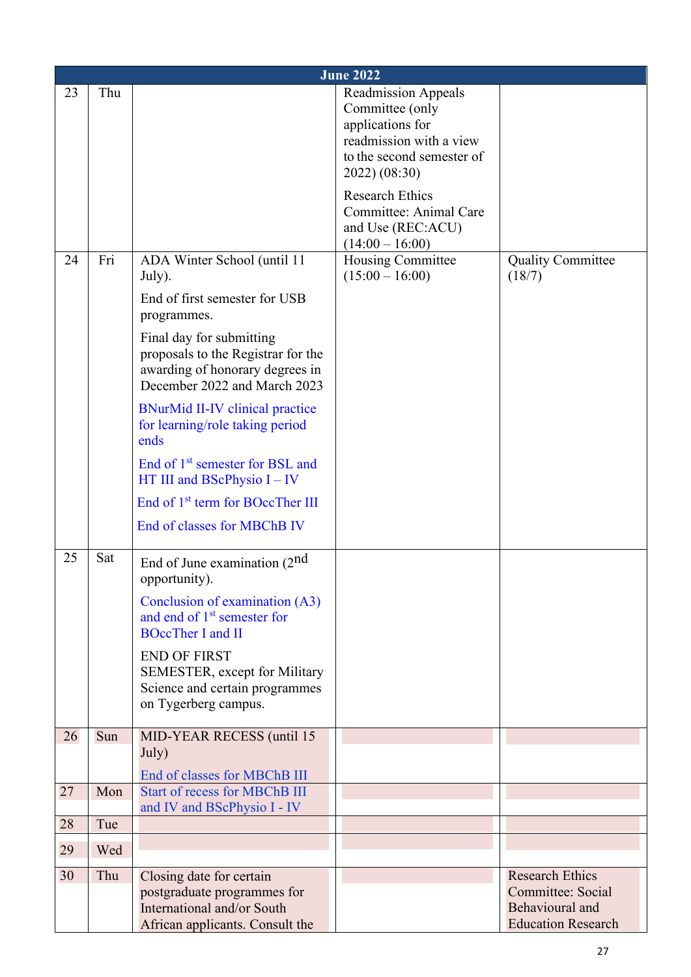|    | <b>June 2022</b> |                                                                                                                                                         |                                                                                                                                            |                                                                   |  |  |
|----|------------------|---------------------------------------------------------------------------------------------------------------------------------------------------------|--------------------------------------------------------------------------------------------------------------------------------------------|-------------------------------------------------------------------|--|--|
| 23 | Thu              |                                                                                                                                                         | <b>Readmission Appeals</b><br>Committee (only<br>applications for<br>readmission with a view<br>to the second semester of<br>2022) (08:30) |                                                                   |  |  |
|    |                  |                                                                                                                                                         | <b>Research Ethics</b><br>Committee: Animal Care<br>and Use (REC:ACU)<br>$(14:00 - 16:00)$                                                 |                                                                   |  |  |
| 24 | Fri              | ADA Winter School (until 11<br>July).                                                                                                                   | Housing Committee<br>$(15:00 - 16:00)$                                                                                                     | <b>Quality Committee</b><br>(18/7)                                |  |  |
|    |                  | End of first semester for USB<br>programmes.                                                                                                            |                                                                                                                                            |                                                                   |  |  |
|    |                  | Final day for submitting<br>proposals to the Registrar for the<br>awarding of honorary degrees in<br>December 2022 and March 2023                       |                                                                                                                                            |                                                                   |  |  |
|    |                  | <b>BNurMid II-IV clinical practice</b><br>for learning/role taking period<br>ends                                                                       |                                                                                                                                            |                                                                   |  |  |
|    |                  | End of 1 <sup>st</sup> semester for BSL and<br>HT III and BScPhysio $I - IV$                                                                            |                                                                                                                                            |                                                                   |  |  |
|    |                  | End of 1 <sup>st</sup> term for BOccTher III                                                                                                            |                                                                                                                                            |                                                                   |  |  |
|    |                  | End of classes for MBChB IV                                                                                                                             |                                                                                                                                            |                                                                   |  |  |
| 25 | Sat              | End of June examination (2nd)<br>opportunity).<br>Conclusion of examination (A3)<br>and end of 1 <sup>st</sup> semester for<br><b>BOccTher I and II</b> |                                                                                                                                            |                                                                   |  |  |
|    |                  | <b>END OF FIRST</b><br>SEMESTER, except for Military<br>Science and certain programmes<br>on Tygerberg campus.                                          |                                                                                                                                            |                                                                   |  |  |
| 26 | Sun              | MID-YEAR RECESS (until 15)<br>July)                                                                                                                     |                                                                                                                                            |                                                                   |  |  |
|    |                  | End of classes for MBChB III                                                                                                                            |                                                                                                                                            |                                                                   |  |  |
| 27 | Mon              | <b>Start of recess for MBChB III</b><br>and IV and BScPhysio I - IV                                                                                     |                                                                                                                                            |                                                                   |  |  |
| 28 | Tue              |                                                                                                                                                         |                                                                                                                                            |                                                                   |  |  |
| 29 | Wed              |                                                                                                                                                         |                                                                                                                                            |                                                                   |  |  |
| 30 | Thu              | Closing date for certain                                                                                                                                |                                                                                                                                            | <b>Research Ethics</b>                                            |  |  |
|    |                  | postgraduate programmes for<br>International and/or South<br>African applicants. Consult the                                                            |                                                                                                                                            | Committee: Social<br>Behavioural and<br><b>Education Research</b> |  |  |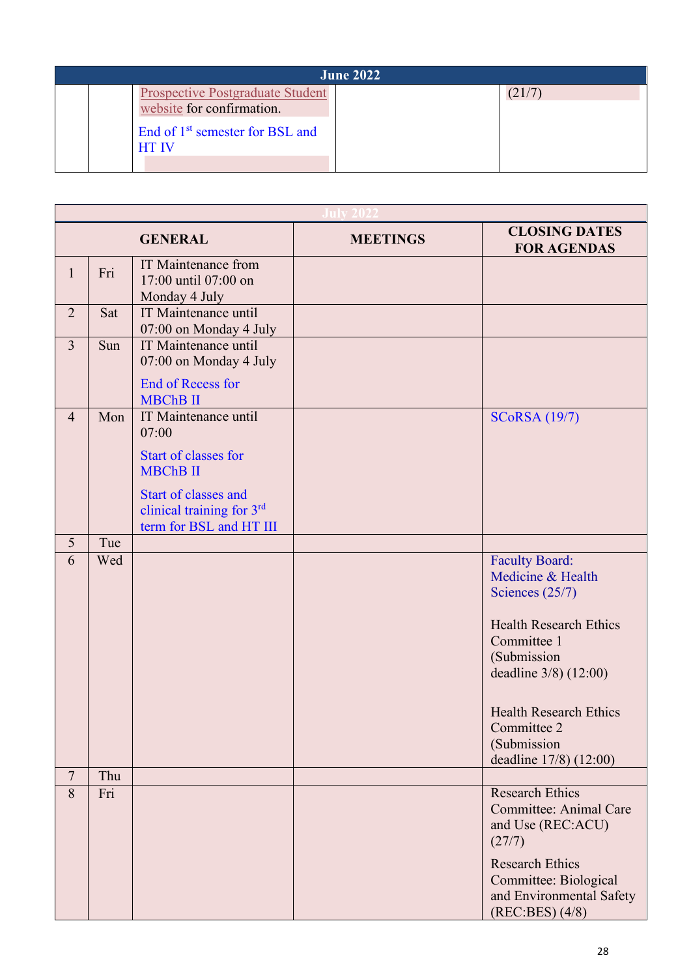| <b>June 2022</b>                                                                                                                    |  |        |  |
|-------------------------------------------------------------------------------------------------------------------------------------|--|--------|--|
| <b>Prospective Postgraduate Student</b><br>website for confirmation.<br>End of 1 <sup>st</sup> semester for BSL and<br><b>HT IV</b> |  | (21/7) |  |

|                |     | <b>GENERAL</b>                                                                      | <b>MEETINGS</b> | <b>CLOSING DATES</b><br><b>FOR AGENDAS</b>                                                                                                                                                                                                       |
|----------------|-----|-------------------------------------------------------------------------------------|-----------------|--------------------------------------------------------------------------------------------------------------------------------------------------------------------------------------------------------------------------------------------------|
| $\mathbf{1}$   | Fri | <b>IT Maintenance from</b><br>17:00 until 07:00 on<br>Monday 4 July                 |                 |                                                                                                                                                                                                                                                  |
| $\overline{2}$ | Sat | IT Maintenance until<br>07:00 on Monday 4 July                                      |                 |                                                                                                                                                                                                                                                  |
| $\overline{3}$ | Sun | IT Maintenance until<br>07:00 on Monday 4 July                                      |                 |                                                                                                                                                                                                                                                  |
|                |     | <b>End of Recess for</b><br><b>MBChB II</b>                                         |                 |                                                                                                                                                                                                                                                  |
| $\overline{4}$ | Mon | IT Maintenance until<br>07:00                                                       |                 | <b>SCoRSA</b> (19/7)                                                                                                                                                                                                                             |
|                |     | Start of classes for<br><b>MBChB II</b>                                             |                 |                                                                                                                                                                                                                                                  |
|                |     | <b>Start of classes and</b><br>clinical training for 3rd<br>term for BSL and HT III |                 |                                                                                                                                                                                                                                                  |
| 5              | Tue |                                                                                     |                 |                                                                                                                                                                                                                                                  |
| 6              | Wed |                                                                                     |                 | <b>Faculty Board:</b><br>Medicine & Health<br>Sciences $(25/7)$<br><b>Health Research Ethics</b><br>Committee 1<br>(Submission<br>deadline 3/8) (12:00)<br><b>Health Research Ethics</b><br>Committee 2<br>(Submission<br>deadline 17/8) (12:00) |
| $\overline{7}$ | Thu |                                                                                     |                 |                                                                                                                                                                                                                                                  |
| 8              | Fri |                                                                                     |                 | <b>Research Ethics</b><br><b>Committee: Animal Care</b><br>and Use (REC:ACU)<br>(27/7)<br><b>Research Ethics</b><br>Committee: Biological<br>and Environmental Safety<br>$(REC:BES)$ $(4/8)$                                                     |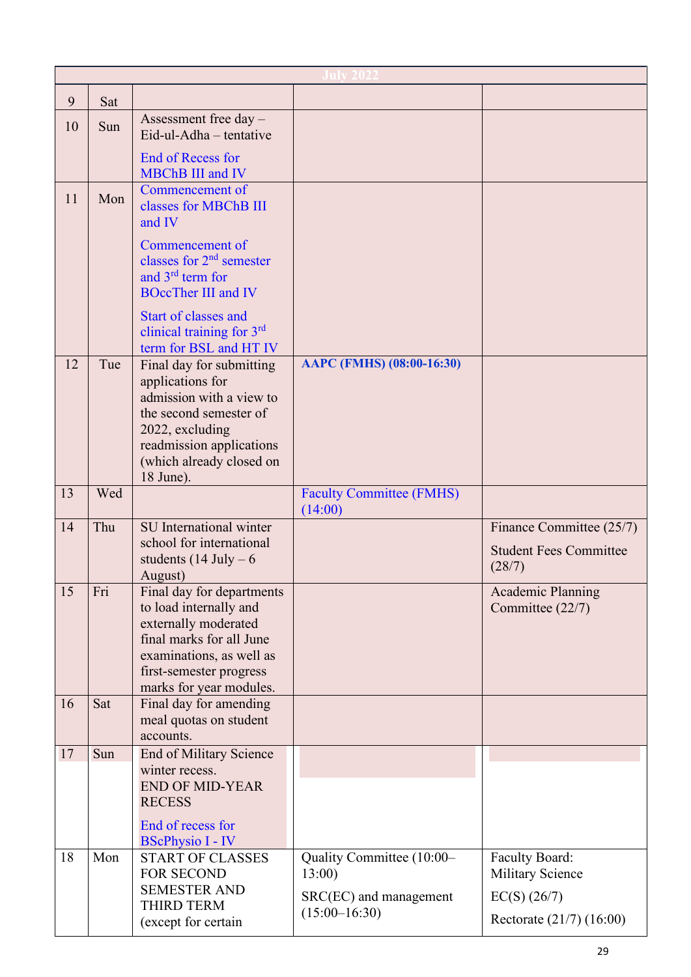| 9  | Sat |                                                                                                                                                                                           |                                                                                 |                                                                                         |
|----|-----|-------------------------------------------------------------------------------------------------------------------------------------------------------------------------------------------|---------------------------------------------------------------------------------|-----------------------------------------------------------------------------------------|
| 10 | Sun | Assessment free day -<br>Eid-ul-Adha - tentative                                                                                                                                          |                                                                                 |                                                                                         |
|    |     | <b>End of Recess for</b><br><b>MBChB III and IV</b>                                                                                                                                       |                                                                                 |                                                                                         |
| 11 | Mon | Commencement of<br>classes for MBChB III<br>and IV                                                                                                                                        |                                                                                 |                                                                                         |
|    |     | Commencement of<br>classes for $2nd$ semester<br>and 3 <sup>rd</sup> term for<br><b>BOccTher III and IV</b>                                                                               |                                                                                 |                                                                                         |
|    |     | Start of classes and<br>clinical training for 3rd<br>term for BSL and HT IV                                                                                                               |                                                                                 |                                                                                         |
| 12 | Tue | Final day for submitting<br>applications for<br>admission with a view to<br>the second semester of<br>2022, excluding<br>readmission applications<br>(which already closed on             | AAPC (FMHS) (08:00-16:30)                                                       |                                                                                         |
| 13 | Wed | 18 June).                                                                                                                                                                                 | <b>Faculty Committee (FMHS)</b><br>(14:00)                                      |                                                                                         |
| 14 | Thu | SU International winter<br>school for international<br>students $(14$ July $-6$<br>August)                                                                                                |                                                                                 | Finance Committee (25/7)<br><b>Student Fees Committee</b><br>(28/7)                     |
| 15 | Fri | Final day for departments<br>to load internally and<br>externally moderated<br>final marks for all June<br>examinations, as well as<br>first-semester progress<br>marks for year modules. |                                                                                 | <b>Academic Planning</b><br>Committee (22/7)                                            |
| 16 | Sat | Final day for amending<br>meal quotas on student<br>accounts.                                                                                                                             |                                                                                 |                                                                                         |
| 17 | Sun | <b>End of Military Science</b><br>winter recess.<br><b>END OF MID-YEAR</b>                                                                                                                |                                                                                 |                                                                                         |
| 18 | Mon | <b>RECESS</b><br>End of recess for<br><b>BScPhysio I - IV</b><br><b>START OF CLASSES</b><br>FOR SECOND<br><b>SEMESTER AND</b><br><b>THIRD TERM</b><br>(except for certain                 | Quality Committee (10:00-<br>13:00<br>SRC(EC) and management<br>$(15:00-16:30)$ | Faculty Board:<br><b>Military Science</b><br>$EC(S)$ (26/7)<br>Rectorate (21/7) (16:00) |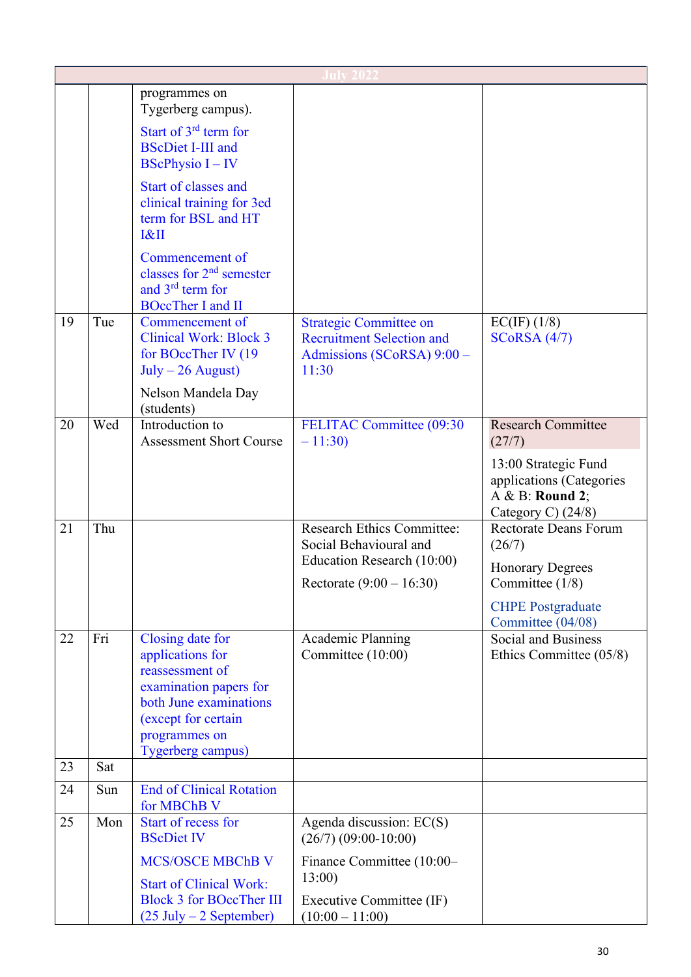|    |     | programmes on<br>Tygerberg campus).                                                                                                                                      |                                                                                                          |                                                                                             |
|----|-----|--------------------------------------------------------------------------------------------------------------------------------------------------------------------------|----------------------------------------------------------------------------------------------------------|---------------------------------------------------------------------------------------------|
|    |     | Start of $3rd$ term for<br><b>BScDiet I-III and</b><br><b>BScPhysio <math>I - IV</math></b>                                                                              |                                                                                                          |                                                                                             |
|    |     | Start of classes and<br>clinical training for 3ed<br>term for BSL and HT<br>R                                                                                            |                                                                                                          |                                                                                             |
|    |     | Commencement of<br>classes for $2nd$ semester<br>and 3 <sup>rd</sup> term for<br><b>BOccTher I and II</b>                                                                |                                                                                                          |                                                                                             |
| 19 | Tue | Commencement of<br><b>Clinical Work: Block 3</b><br>for BOccTher IV (19)<br>$July - 26 August)$<br>Nelson Mandela Day                                                    | <b>Strategic Committee on</b><br><b>Recruitment Selection and</b><br>Admissions (SCoRSA) 9:00 -<br>11:30 | EC(IF) (1/8)<br>$SCoRSA$ (4/7)                                                              |
| 20 | Wed | (students)<br>Introduction to<br><b>Assessment Short Course</b>                                                                                                          | FELITAC Committee (09:30<br>$-11:30$                                                                     | <b>Research Committee</b><br>(27/7)                                                         |
|    |     |                                                                                                                                                                          |                                                                                                          | 13:00 Strategic Fund<br>applications (Categories<br>A & B: Round 2;<br>Category C) $(24/8)$ |
| 21 | Thu |                                                                                                                                                                          | <b>Research Ethics Committee:</b><br>Social Behavioural and                                              | <b>Rectorate Deans Forum</b><br>(26/7)                                                      |
|    |     |                                                                                                                                                                          | Education Research (10:00)<br>Rectorate $(9:00 - 16:30)$                                                 | <b>Honorary Degrees</b><br>Committee $(1/8)$                                                |
|    |     |                                                                                                                                                                          |                                                                                                          | <b>CHPE Postgraduate</b><br>Committee (04/08)                                               |
| 22 | Fri | Closing date for<br>applications for<br>reassessment of<br>examination papers for<br>both June examinations<br>(except for certain<br>programmes on<br>Tygerberg campus) | Academic Planning<br>Committee (10:00)                                                                   | Social and Business<br>Ethics Committee (05/8)                                              |
| 23 | Sat |                                                                                                                                                                          |                                                                                                          |                                                                                             |
| 24 | Sun | <b>End of Clinical Rotation</b><br>for MBChB V                                                                                                                           |                                                                                                          |                                                                                             |
| 25 | Mon | Start of recess for<br><b>BScDiet IV</b>                                                                                                                                 | Agenda discussion: EC(S)<br>$(26/7)$ $(09:00-10:00)$                                                     |                                                                                             |
|    |     | <b>MCS/OSCE MBChB V</b><br><b>Start of Clinical Work:</b>                                                                                                                | Finance Committee (10:00-<br>13:00                                                                       |                                                                                             |
|    |     | <b>Block 3 for BOccTher III</b><br>$(25 \text{ July} - 2 \text{ September})$                                                                                             | Executive Committee (IF)<br>$(10:00 - 11:00)$                                                            |                                                                                             |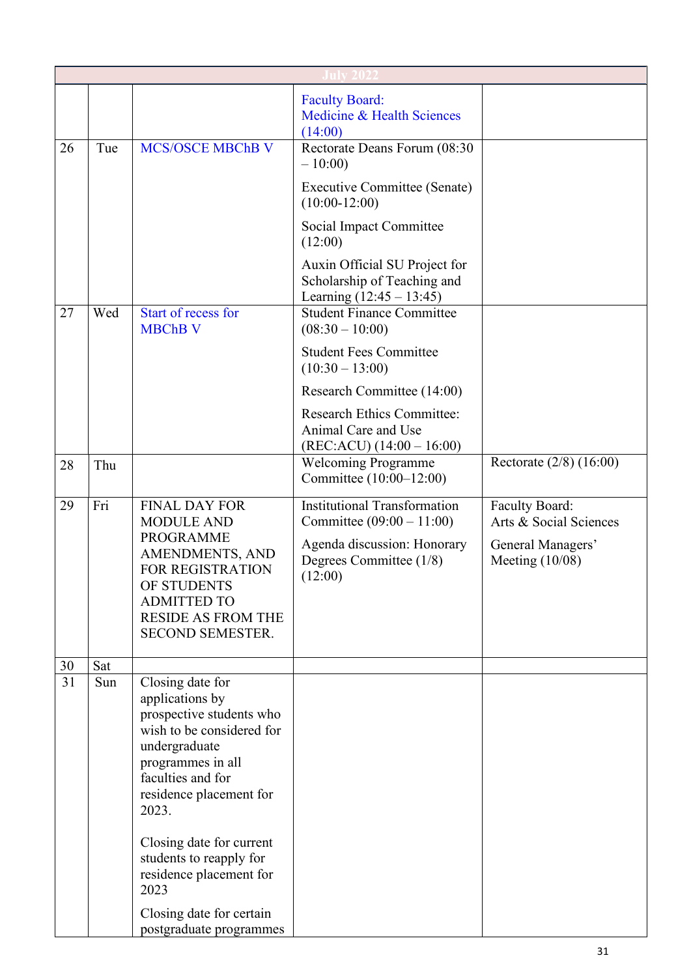|    |     |                                                                                                                                                                                                                                                                                       | <b>Faculty Board:</b><br>Medicine & Health Sciences<br>(14:00)                                                                          |                                                                                    |  |
|----|-----|---------------------------------------------------------------------------------------------------------------------------------------------------------------------------------------------------------------------------------------------------------------------------------------|-----------------------------------------------------------------------------------------------------------------------------------------|------------------------------------------------------------------------------------|--|
| 26 | Tue | <b>MCS/OSCE MBChB V</b>                                                                                                                                                                                                                                                               | Rectorate Deans Forum (08:30<br>$-10:00$                                                                                                |                                                                                    |  |
|    |     |                                                                                                                                                                                                                                                                                       | <b>Executive Committee (Senate)</b><br>$(10:00-12:00)$                                                                                  |                                                                                    |  |
|    |     |                                                                                                                                                                                                                                                                                       | Social Impact Committee<br>(12:00)                                                                                                      |                                                                                    |  |
|    |     |                                                                                                                                                                                                                                                                                       | Auxin Official SU Project for<br>Scholarship of Teaching and<br>Learning $(12:45 - 13:45)$                                              |                                                                                    |  |
| 27 | Wed | Start of recess for<br><b>MBChB V</b>                                                                                                                                                                                                                                                 | <b>Student Finance Committee</b><br>$(08:30 - 10:00)$                                                                                   |                                                                                    |  |
|    |     |                                                                                                                                                                                                                                                                                       | <b>Student Fees Committee</b><br>$(10:30 - 13:00)$                                                                                      |                                                                                    |  |
|    |     |                                                                                                                                                                                                                                                                                       | Research Committee (14:00)                                                                                                              |                                                                                    |  |
|    |     |                                                                                                                                                                                                                                                                                       | <b>Research Ethics Committee:</b><br>Animal Care and Use<br>$(REC:ACU) (14:00 - 16:00)$                                                 |                                                                                    |  |
| 28 | Thu |                                                                                                                                                                                                                                                                                       | <b>Welcoming Programme</b><br>Committee (10:00-12:00)                                                                                   | Rectorate $(2/8)$ $(16:00)$                                                        |  |
| 29 | Fri | <b>FINAL DAY FOR</b><br><b>MODULE AND</b><br><b>PROGRAMME</b><br>AMENDMENTS, AND<br>FOR REGISTRATION<br>OF STUDENTS<br><b>ADMITTED TO</b><br><b>RESIDE AS FROM THE</b><br>SECOND SEMESTER.                                                                                            | <b>Institutional Transformation</b><br>Committee $(09:00 - 11:00)$<br>Agenda discussion: Honorary<br>Degrees Committee (1/8)<br>(12:00) | Faculty Board:<br>Arts & Social Sciences<br>General Managers'<br>Meeting $(10/08)$ |  |
| 30 | Sat |                                                                                                                                                                                                                                                                                       |                                                                                                                                         |                                                                                    |  |
| 31 | Sun | Closing date for<br>applications by<br>prospective students who<br>wish to be considered for<br>undergraduate<br>programmes in all<br>faculties and for<br>residence placement for<br>2023.<br>Closing date for current<br>students to reapply for<br>residence placement for<br>2023 |                                                                                                                                         |                                                                                    |  |
|    |     | Closing date for certain<br>postgraduate programmes                                                                                                                                                                                                                                   |                                                                                                                                         |                                                                                    |  |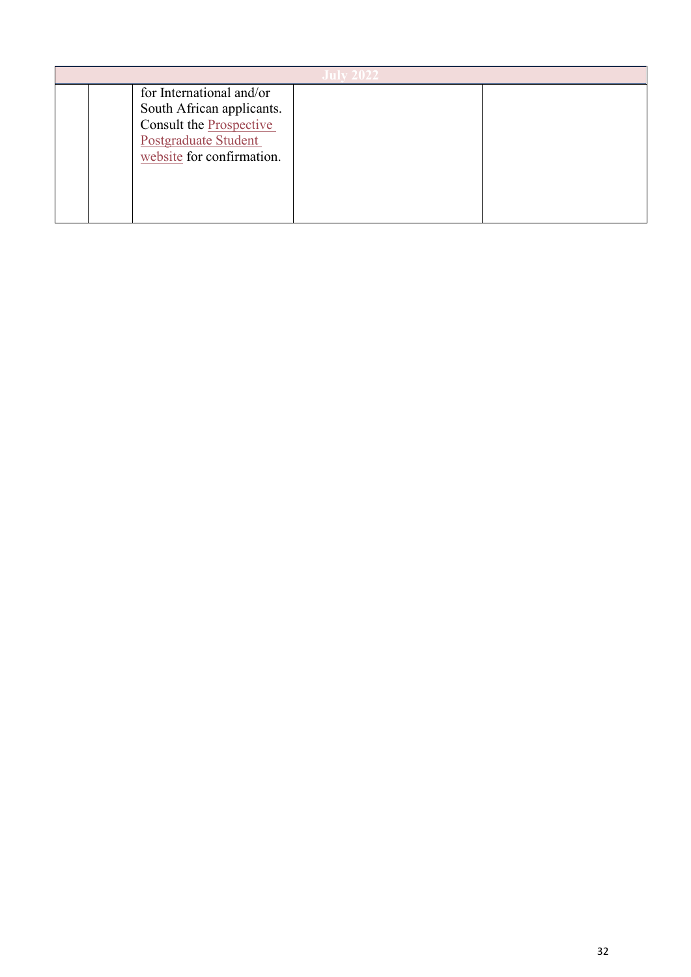| for International and/or<br>South African applicants.<br>Consult the Prospective |  |  |  |
|----------------------------------------------------------------------------------|--|--|--|
| <b>Postgraduate Student</b><br>website for confirmation.                         |  |  |  |
|                                                                                  |  |  |  |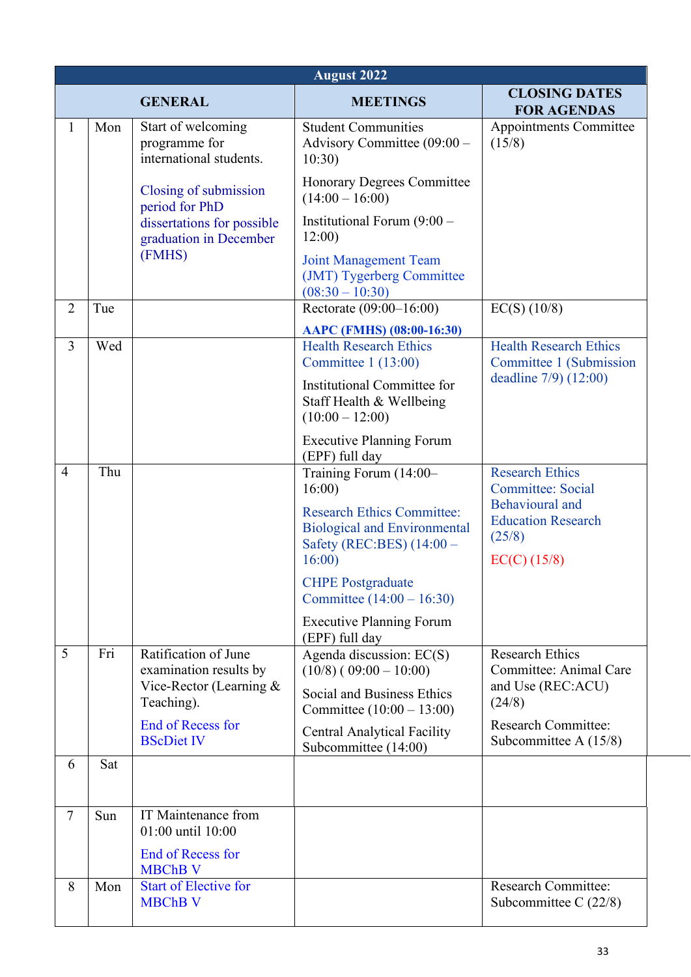|                | <b>August 2022</b> |                                                                |                                                                                                                |                                                                          |  |  |
|----------------|--------------------|----------------------------------------------------------------|----------------------------------------------------------------------------------------------------------------|--------------------------------------------------------------------------|--|--|
|                |                    | <b>GENERAL</b>                                                 | <b>MEETINGS</b>                                                                                                | <b>CLOSING DATES</b><br><b>FOR AGENDAS</b>                               |  |  |
| $\mathbf{1}$   | Mon                | Start of welcoming<br>programme for<br>international students. | <b>Student Communities</b><br>Advisory Committee (09:00 -<br>10:30)                                            | Appointments Committee<br>(15/8)                                         |  |  |
|                |                    | Closing of submission<br>period for PhD                        | <b>Honorary Degrees Committee</b><br>$(14:00 - 16:00)$                                                         |                                                                          |  |  |
|                |                    | dissertations for possible<br>graduation in December           | Institutional Forum $(9:00 -$<br>12:00)                                                                        |                                                                          |  |  |
|                |                    | (FMHS)                                                         | <b>Joint Management Team</b><br>(JMT) Tygerberg Committee<br>$(08:30 - 10:30)$                                 |                                                                          |  |  |
| $\overline{2}$ | Tue                |                                                                | Rectorate (09:00-16:00)                                                                                        | $EC(S)$ (10/8)                                                           |  |  |
|                |                    |                                                                | AAPC (FMHS) (08:00-16:30)                                                                                      |                                                                          |  |  |
| $\overline{3}$ | Wed                |                                                                | <b>Health Research Ethics</b><br>Committee $1(13:00)$                                                          | <b>Health Research Ethics</b><br>Committee 1 (Submission                 |  |  |
|                |                    |                                                                | Institutional Committee for<br>Staff Health & Wellbeing<br>$(10:00 - 12:00)$                                   | deadline 7/9) (12:00)                                                    |  |  |
| $\overline{4}$ | Thu                |                                                                | <b>Executive Planning Forum</b><br>(EPF) full day<br>Training Forum (14:00-<br>16:00                           | <b>Research Ethics</b><br><b>Committee: Social</b>                       |  |  |
|                |                    |                                                                | <b>Research Ethics Committee:</b><br><b>Biological and Environmental</b><br>Safety (REC:BES) (14:00 -<br>16:00 | Behavioural and<br><b>Education Research</b><br>(25/8)<br>$EC(C)$ (15/8) |  |  |
|                |                    |                                                                | <b>CHPE Postgraduate</b><br>Committee $(14:00 - 16:30)$                                                        |                                                                          |  |  |
|                |                    |                                                                | <b>Executive Planning Forum</b><br>(EPF) full day                                                              |                                                                          |  |  |
| 5              | Fri                | Ratification of June<br>examination results by                 | Agenda discussion: EC(S)<br>$(10/8) (09:00 - 10:00)$                                                           | <b>Research Ethics</b><br>Committee: Animal Care                         |  |  |
|                |                    | Vice-Rector (Learning $&$<br>Teaching).                        | Social and Business Ethics<br>Committee $(10:00 - 13:00)$                                                      | and Use (REC:ACU)<br>(24/8)                                              |  |  |
|                |                    | <b>End of Recess for</b><br><b>BScDiet IV</b>                  | <b>Central Analytical Facility</b><br>Subcommittee (14:00)                                                     | <b>Research Committee:</b><br>Subcommittee A $(15/8)$                    |  |  |
| 6              | Sat                |                                                                |                                                                                                                |                                                                          |  |  |
| $\tau$         | Sun                | IT Maintenance from<br>01:00 until 10:00                       |                                                                                                                |                                                                          |  |  |
|                |                    | <b>End of Recess for</b><br><b>MBChB V</b>                     |                                                                                                                |                                                                          |  |  |
| 8              | Mon                | <b>Start of Elective for</b><br><b>MBChB V</b>                 |                                                                                                                | <b>Research Committee:</b><br>Subcommittee C $(22/8)$                    |  |  |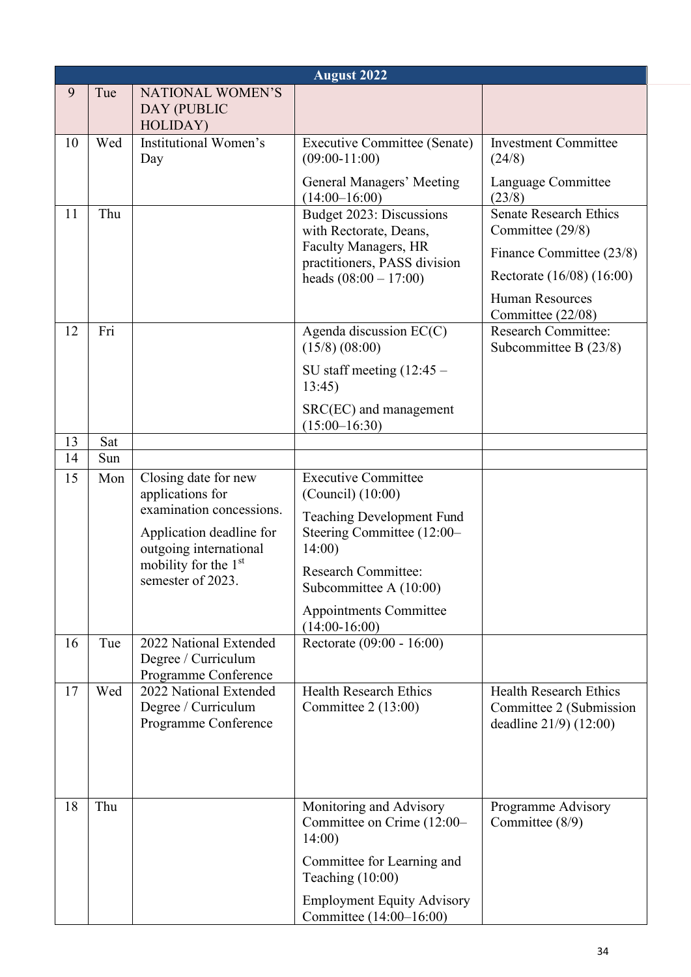|          | <b>August 2022</b> |                                                                                                                                                                         |                                                                                                                                                                                                                                       |                                                                                                                                                                                           |  |  |
|----------|--------------------|-------------------------------------------------------------------------------------------------------------------------------------------------------------------------|---------------------------------------------------------------------------------------------------------------------------------------------------------------------------------------------------------------------------------------|-------------------------------------------------------------------------------------------------------------------------------------------------------------------------------------------|--|--|
| 9        | Tue                | <b>NATIONAL WOMEN'S</b><br>DAY (PUBLIC<br>HOLIDAY)                                                                                                                      |                                                                                                                                                                                                                                       |                                                                                                                                                                                           |  |  |
| 10       | Wed                | Institutional Women's<br>Day                                                                                                                                            | <b>Executive Committee (Senate)</b><br>$(09:00-11:00)$                                                                                                                                                                                | <b>Investment Committee</b><br>(24/8)                                                                                                                                                     |  |  |
| 11       | Thu                |                                                                                                                                                                         | General Managers' Meeting<br>$(14:00-16:00)$<br>Budget 2023: Discussions<br>with Rectorate, Deans,<br>Faculty Managers, HR<br>practitioners, PASS division<br>heads $(08:00 - 17:00)$                                                 | Language Committee<br>(23/8)<br><b>Senate Research Ethics</b><br>Committee (29/8)<br>Finance Committee (23/8)<br>Rectorate (16/08) (16:00)<br><b>Human Resources</b><br>Committee (22/08) |  |  |
| 12       | Fri                |                                                                                                                                                                         | Agenda discussion EC(C)<br>$(15/8)$ $(08:00)$<br>SU staff meeting $(12:45 -$<br>13:45                                                                                                                                                 | <b>Research Committee:</b><br>Subcommittee B (23/8)                                                                                                                                       |  |  |
|          |                    |                                                                                                                                                                         | SRC(EC) and management<br>$(15:00-16:30)$                                                                                                                                                                                             |                                                                                                                                                                                           |  |  |
| 13<br>14 | Sat<br>Sun         |                                                                                                                                                                         |                                                                                                                                                                                                                                       |                                                                                                                                                                                           |  |  |
| 15       | Mon                | Closing date for new<br>applications for<br>examination concessions.<br>Application deadline for<br>outgoing international<br>mobility for the 1st<br>semester of 2023. | <b>Executive Committee</b><br>$(Council)$ $(10:00)$<br><b>Teaching Development Fund</b><br>Steering Committee (12:00-<br>14:00<br><b>Research Committee:</b><br>Subcommittee A $(10:00)$<br>Appointments Committee<br>$(14:00-16:00)$ |                                                                                                                                                                                           |  |  |
| 16       | Tue                | 2022 National Extended<br>Degree / Curriculum<br>Programme Conference                                                                                                   | Rectorate (09:00 - 16:00)                                                                                                                                                                                                             |                                                                                                                                                                                           |  |  |
| 17       | Wed                | 2022 National Extended<br>Degree / Curriculum<br>Programme Conference                                                                                                   | <b>Health Research Ethics</b><br>Committee $2(13:00)$                                                                                                                                                                                 | <b>Health Research Ethics</b><br>Committee 2 (Submission<br>deadline 21/9) (12:00)                                                                                                        |  |  |
| 18       | Thu                |                                                                                                                                                                         | Monitoring and Advisory<br>Committee on Crime (12:00–<br>14:00<br>Committee for Learning and<br>Teaching $(10:00)$<br><b>Employment Equity Advisory</b><br>Committee (14:00-16:00)                                                    | Programme Advisory<br>Committee (8/9)                                                                                                                                                     |  |  |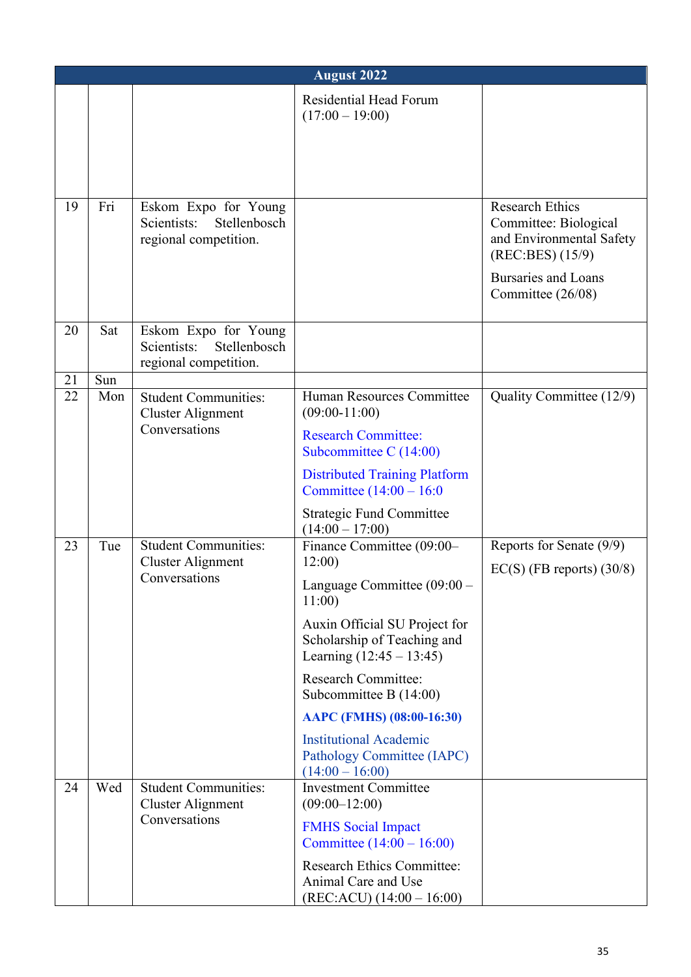|    | <b>August 2022</b>                                             |                                                                              |                                                                                             |                                                                                                                                                    |  |
|----|----------------------------------------------------------------|------------------------------------------------------------------------------|---------------------------------------------------------------------------------------------|----------------------------------------------------------------------------------------------------------------------------------------------------|--|
|    |                                                                |                                                                              | Residential Head Forum<br>$(17:00 - 19:00)$                                                 |                                                                                                                                                    |  |
|    |                                                                |                                                                              |                                                                                             |                                                                                                                                                    |  |
| 19 | Fri                                                            | Eskom Expo for Young<br>Scientists:<br>Stellenbosch<br>regional competition. |                                                                                             | <b>Research Ethics</b><br>Committee: Biological<br>and Environmental Safety<br>(REC:BES) (15/9)<br><b>Bursaries and Loans</b><br>Committee (26/08) |  |
|    |                                                                |                                                                              |                                                                                             |                                                                                                                                                    |  |
| 20 | Sat                                                            | Eskom Expo for Young<br>Scientists:<br>Stellenbosch<br>regional competition. |                                                                                             |                                                                                                                                                    |  |
| 21 | Sun                                                            |                                                                              |                                                                                             |                                                                                                                                                    |  |
| 22 | <b>Student Communities:</b><br>Mon<br><b>Cluster Alignment</b> | Human Resources Committee<br>$(09:00-11:00)$                                 | Quality Committee (12/9)                                                                    |                                                                                                                                                    |  |
|    |                                                                | Conversations                                                                | <b>Research Committee:</b><br>Subcommittee C $(14:00)$                                      |                                                                                                                                                    |  |
|    |                                                                |                                                                              | <b>Distributed Training Platform</b><br>Committee $(14:00 - 16:0)$                          |                                                                                                                                                    |  |
| 23 | Tue                                                            | <b>Student Communities:</b><br>Cluster Alignment<br>Conversations            | <b>Strategic Fund Committee</b><br>$(14:00 - 17:00)$<br>Finance Committee (09:00-<br>12:00) | Reports for Senate (9/9)<br>$EC(S)$ (FB reports) (30/8)                                                                                            |  |
|    |                                                                |                                                                              | Language Committee (09:00 -<br>11:00                                                        |                                                                                                                                                    |  |
|    |                                                                |                                                                              | Auxin Official SU Project for<br>Scholarship of Teaching and<br>Learning $(12:45 - 13:45)$  |                                                                                                                                                    |  |
|    |                                                                |                                                                              | <b>Research Committee:</b><br>Subcommittee B $(14:00)$                                      |                                                                                                                                                    |  |
|    |                                                                |                                                                              | AAPC (FMHS) (08:00-16:30)                                                                   |                                                                                                                                                    |  |
|    |                                                                |                                                                              | <b>Institutional Academic</b><br>Pathology Committee (IAPC)<br>$(14:00 - 16:00)$            |                                                                                                                                                    |  |
| 24 | Wed                                                            | <b>Student Communities:</b><br><b>Cluster Alignment</b>                      | <b>Investment Committee</b><br>$(09:00-12:00)$                                              |                                                                                                                                                    |  |
|    |                                                                | Conversations                                                                | <b>FMHS</b> Social Impact<br>Committee $(14:00 - 16:00)$                                    |                                                                                                                                                    |  |
|    |                                                                |                                                                              | <b>Research Ethics Committee:</b><br>Animal Care and Use<br>$(REC:ACU) (14:00 - 16:00)$     |                                                                                                                                                    |  |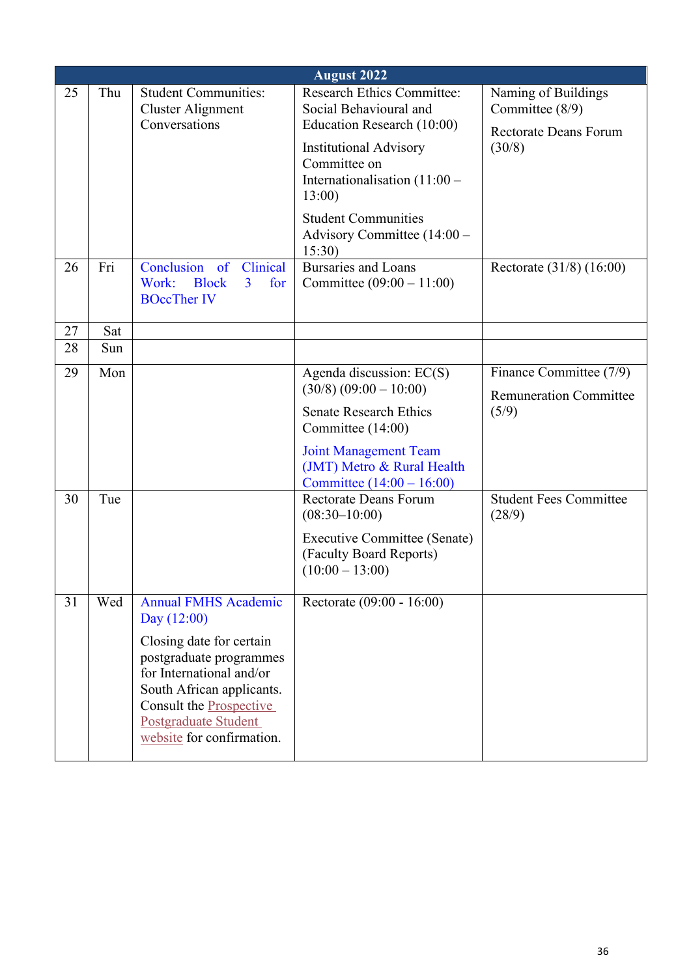|    | <b>August 2022</b> |                                                                                                                                                                                                                                              |                                                                                                                                                                                                                                                              |                                                                                  |  |  |  |
|----|--------------------|----------------------------------------------------------------------------------------------------------------------------------------------------------------------------------------------------------------------------------------------|--------------------------------------------------------------------------------------------------------------------------------------------------------------------------------------------------------------------------------------------------------------|----------------------------------------------------------------------------------|--|--|--|
| 25 | Thu                | <b>Student Communities:</b><br><b>Cluster Alignment</b><br>Conversations                                                                                                                                                                     | <b>Research Ethics Committee:</b><br>Social Behavioural and<br>Education Research (10:00)<br><b>Institutional Advisory</b><br>Committee on<br>Internationalisation $(11:00 -$<br>13:00<br><b>Student Communities</b><br>Advisory Committee (14:00 -<br>15:30 | Naming of Buildings<br>Committee (8/9)<br><b>Rectorate Deans Forum</b><br>(30/8) |  |  |  |
| 26 | Fri                | Conclusion of Clinical<br>Work:<br><b>Block</b><br>$\overline{3}$<br>for<br><b>BOccTher IV</b>                                                                                                                                               | <b>Bursaries and Loans</b><br>Committee $(09:00 - 11:00)$                                                                                                                                                                                                    | Rectorate (31/8) (16:00)                                                         |  |  |  |
| 27 | Sat                |                                                                                                                                                                                                                                              |                                                                                                                                                                                                                                                              |                                                                                  |  |  |  |
| 28 | Sun                |                                                                                                                                                                                                                                              |                                                                                                                                                                                                                                                              |                                                                                  |  |  |  |
| 29 | Mon                |                                                                                                                                                                                                                                              | Agenda discussion: EC(S)<br>$(30/8) (09:00 - 10:00)$<br><b>Senate Research Ethics</b><br>Committee (14:00)<br><b>Joint Management Team</b>                                                                                                                   | Finance Committee (7/9)<br><b>Remuneration Committee</b><br>(5/9)                |  |  |  |
|    |                    |                                                                                                                                                                                                                                              | (JMT) Metro & Rural Health<br>Committee $(14:00 - 16:00)$                                                                                                                                                                                                    |                                                                                  |  |  |  |
| 30 | Tue                |                                                                                                                                                                                                                                              | <b>Rectorate Deans Forum</b><br>$(08:30-10:00)$<br>Executive Committee (Senate)<br>(Faculty Board Reports)<br>$(10:00 - 13:00)$                                                                                                                              | <b>Student Fees Committee</b><br>(28/9)                                          |  |  |  |
| 31 | Wed                | <b>Annual FMHS Academic</b><br>Day $(12:00)$<br>Closing date for certain<br>postgraduate programmes<br>for International and/or<br>South African applicants.<br>Consult the Prospective<br>Postgraduate Student<br>website for confirmation. | Rectorate (09:00 - 16:00)                                                                                                                                                                                                                                    |                                                                                  |  |  |  |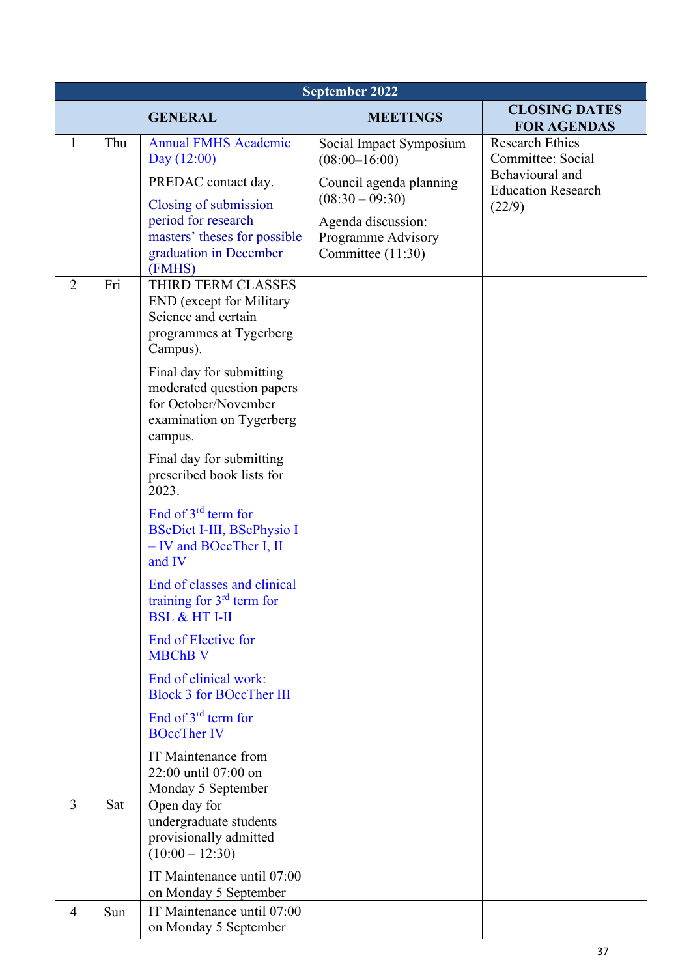|                | September 2022 |                                                                                                                      |                                                               |                                              |
|----------------|----------------|----------------------------------------------------------------------------------------------------------------------|---------------------------------------------------------------|----------------------------------------------|
|                |                | <b>GENERAL</b>                                                                                                       | <b>MEETINGS</b>                                               | <b>CLOSING DATES</b><br><b>FOR AGENDAS</b>   |
| $\mathbf{1}$   | Thu            | <b>Annual FMHS Academic</b><br>Day $(12:00)$                                                                         | Social Impact Symposium<br>$(08:00-16:00)$                    | <b>Research Ethics</b><br>Committee: Social  |
|                |                | PREDAC contact day.                                                                                                  | Council agenda planning<br>$(08:30 - 09:30)$                  | Behavioural and<br><b>Education Research</b> |
|                |                | Closing of submission<br>period for research<br>masters' theses for possible<br>graduation in December<br>(FMHS)     | Agenda discussion:<br>Programme Advisory<br>Committee (11:30) | (22/9)                                       |
| $\overline{2}$ | Fri            | THIRD TERM CLASSES<br><b>END</b> (except for Military<br>Science and certain<br>programmes at Tygerberg<br>Campus).  |                                                               |                                              |
|                |                | Final day for submitting<br>moderated question papers<br>for October/November<br>examination on Tygerberg<br>campus. |                                                               |                                              |
|                |                | Final day for submitting<br>prescribed book lists for<br>2023.                                                       |                                                               |                                              |
|                |                | End of $3^{rd}$ term for<br><b>BScDiet I-III, BScPhysio I</b><br>- IV and BOccTher I, II<br>and IV                   |                                                               |                                              |
|                |                | End of classes and clinical<br>training for 3 <sup>rd</sup> term for<br><b>BSL &amp; HT I-II</b>                     |                                                               |                                              |
|                |                | End of Elective for<br><b>MBChB V</b>                                                                                |                                                               |                                              |
|                |                | End of clinical work:<br><b>Block 3 for BOccTher III</b>                                                             |                                                               |                                              |
|                |                | End of 3 <sup>rd</sup> term for<br><b>BOccTher IV</b>                                                                |                                                               |                                              |
|                |                | IT Maintenance from<br>22:00 until 07:00 on<br>Monday 5 September                                                    |                                                               |                                              |
| $\overline{3}$ | Sat            | Open day for<br>undergraduate students<br>provisionally admitted<br>$(10:00 - 12:30)$                                |                                                               |                                              |
|                |                | IT Maintenance until 07:00<br>on Monday 5 September                                                                  |                                                               |                                              |
| 4              | Sun            | IT Maintenance until 07:00<br>on Monday 5 September                                                                  |                                                               |                                              |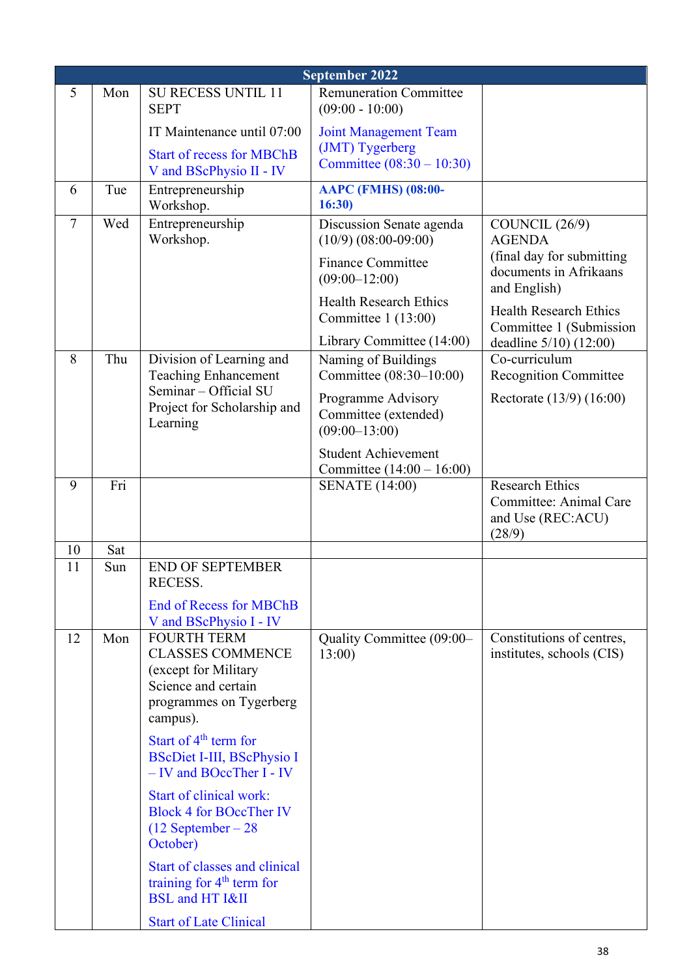|                | September 2022 |                                                                                                                                     |                                                               |                                                                                 |  |
|----------------|----------------|-------------------------------------------------------------------------------------------------------------------------------------|---------------------------------------------------------------|---------------------------------------------------------------------------------|--|
| 5              | Mon            | <b>SU RECESS UNTIL 11</b><br><b>SEPT</b>                                                                                            | <b>Remuneration Committee</b><br>$(09:00 - 10:00)$            |                                                                                 |  |
|                |                | IT Maintenance until 07:00                                                                                                          | <b>Joint Management Team</b>                                  |                                                                                 |  |
|                |                | <b>Start of recess for MBChB</b><br>V and BScPhysio II - IV                                                                         | (JMT) Tygerberg<br>Committee $(08:30 - 10:30)$                |                                                                                 |  |
| 6              | Tue            | Entrepreneurship<br>Workshop.                                                                                                       | <b>AAPC (FMHS) (08:00-</b><br>16:30)                          |                                                                                 |  |
| $\overline{7}$ | Wed            | Entrepreneurship<br>Workshop.                                                                                                       | Discussion Senate agenda<br>$(10/9)$ $(08:00-09:00)$          | COUNCIL (26/9)<br><b>AGENDA</b>                                                 |  |
|                |                |                                                                                                                                     | <b>Finance Committee</b><br>$(09:00 - 12:00)$                 | (final day for submitting<br>documents in Afrikaans<br>and English)             |  |
|                |                |                                                                                                                                     | <b>Health Research Ethics</b><br>Committee 1 (13:00)          | <b>Health Research Ethics</b><br>Committee 1 (Submission                        |  |
|                |                |                                                                                                                                     | Library Committee (14:00)                                     | deadline 5/10) (12:00)                                                          |  |
| 8              | Thu            | Division of Learning and<br><b>Teaching Enhancement</b>                                                                             | Naming of Buildings<br>Committee (08:30-10:00)                | Co-curriculum<br><b>Recognition Committee</b>                                   |  |
|                |                | Seminar - Official SU<br>Project for Scholarship and<br>Learning                                                                    | Programme Advisory<br>Committee (extended)<br>$(09:00-13:00)$ | Rectorate (13/9) (16:00)                                                        |  |
|                |                |                                                                                                                                     | <b>Student Achievement</b><br>Committee $(14:00 - 16:00)$     |                                                                                 |  |
| 9              | Fri            |                                                                                                                                     | <b>SENATE</b> (14:00)                                         | <b>Research Ethics</b><br>Committee: Animal Care<br>and Use (REC:ACU)<br>(28/9) |  |
| 10             | Sat            |                                                                                                                                     |                                                               |                                                                                 |  |
| 11             | Sun            | <b>END OF SEPTEMBER</b><br>RECESS.                                                                                                  |                                                               |                                                                                 |  |
|                |                | <b>End of Recess for MBChB</b><br>V and BScPhysio I - IV                                                                            |                                                               |                                                                                 |  |
| 12             | Mon            | <b>FOURTH TERM</b><br><b>CLASSES COMMENCE</b><br>(except for Military<br>Science and certain<br>programmes on Tygerberg<br>campus). | Quality Committee (09:00-<br>13:00                            | Constitutions of centres,<br>institutes, schools (CIS)                          |  |
|                |                | Start of $4th$ term for<br><b>BScDiet I-III, BScPhysio I</b><br>- IV and BOccTher I - IV                                            |                                                               |                                                                                 |  |
|                |                | <b>Start of clinical work:</b><br><b>Block 4 for BOccTher IV</b><br>$(12$ September – 28<br>October)                                |                                                               |                                                                                 |  |
|                |                | Start of classes and clinical<br>training for $4th$ term for<br><b>BSL</b> and HT I&II                                              |                                                               |                                                                                 |  |
|                |                | <b>Start of Late Clinical</b>                                                                                                       |                                                               |                                                                                 |  |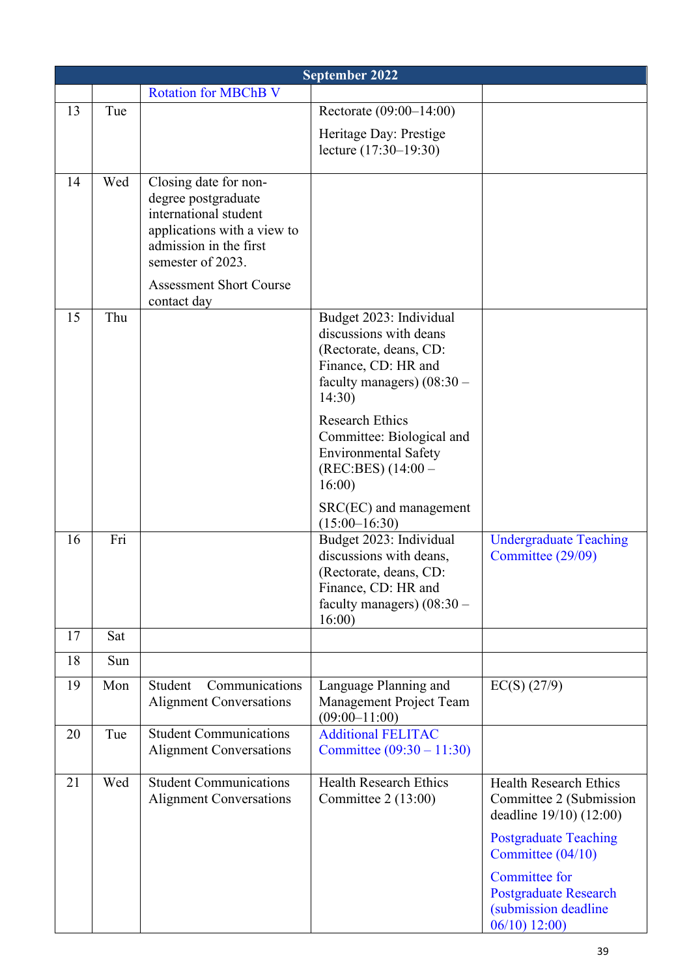|    | <b>September 2022</b> |                                                                                                                                                                                                      |                                                                                                                                                                       |                                                                                            |  |  |
|----|-----------------------|------------------------------------------------------------------------------------------------------------------------------------------------------------------------------------------------------|-----------------------------------------------------------------------------------------------------------------------------------------------------------------------|--------------------------------------------------------------------------------------------|--|--|
|    |                       | <b>Rotation for MBChB V</b>                                                                                                                                                                          |                                                                                                                                                                       |                                                                                            |  |  |
| 13 | Tue                   |                                                                                                                                                                                                      | Rectorate (09:00-14:00)                                                                                                                                               |                                                                                            |  |  |
|    |                       |                                                                                                                                                                                                      | Heritage Day: Prestige<br>lecture (17:30–19:30)                                                                                                                       |                                                                                            |  |  |
| 14 | Wed                   | Closing date for non-<br>degree postgraduate<br>international student<br>applications with a view to<br>admission in the first<br>semester of 2023.<br><b>Assessment Short Course</b><br>contact day |                                                                                                                                                                       |                                                                                            |  |  |
| 15 | Thu                   |                                                                                                                                                                                                      | Budget 2023: Individual<br>discussions with deans<br>(Rectorate, deans, CD:<br>Finance, CD: HR and<br>faculty managers) $(08:30 -$<br>14:30<br><b>Research Ethics</b> |                                                                                            |  |  |
|    |                       |                                                                                                                                                                                                      | Committee: Biological and<br><b>Environmental Safety</b><br>(REC:BES) (14:00 –<br>16:00                                                                               |                                                                                            |  |  |
|    |                       |                                                                                                                                                                                                      | $SRC(EC)$ and management<br>$(15:00-16:30)$                                                                                                                           |                                                                                            |  |  |
| 16 | Fri                   |                                                                                                                                                                                                      | Budget 2023: Individual<br>discussions with deans,<br>(Rectorate, deans, CD:<br>Finance, CD: HR and<br>faculty managers) $(08:30 -$<br>16:00                          | <b>Undergraduate Teaching</b><br>Committee (29/09)                                         |  |  |
| 17 | Sat                   |                                                                                                                                                                                                      |                                                                                                                                                                       |                                                                                            |  |  |
| 18 | Sun                   |                                                                                                                                                                                                      |                                                                                                                                                                       |                                                                                            |  |  |
| 19 | Mon                   | Communications<br>Student<br><b>Alignment Conversations</b>                                                                                                                                          | Language Planning and<br>Management Project Team<br>$(09:00 - 11:00)$                                                                                                 | $EC(S)$ (27/9)                                                                             |  |  |
| 20 | Tue                   | <b>Student Communications</b><br><b>Alignment Conversations</b>                                                                                                                                      | <b>Additional FELITAC</b><br>Committee $(09:30 - 11:30)$                                                                                                              |                                                                                            |  |  |
| 21 | Wed                   | <b>Student Communications</b><br><b>Alignment Conversations</b>                                                                                                                                      | <b>Health Research Ethics</b><br>Committee $2(13:00)$                                                                                                                 | <b>Health Research Ethics</b><br>Committee 2 (Submission<br>deadline 19/10) (12:00)        |  |  |
|    |                       |                                                                                                                                                                                                      |                                                                                                                                                                       | <b>Postgraduate Teaching</b><br>Committee (04/10)                                          |  |  |
|    |                       |                                                                                                                                                                                                      |                                                                                                                                                                       | Committee for<br><b>Postgraduate Research</b><br>(submission deadline)<br>$06/10$ ) 12:00) |  |  |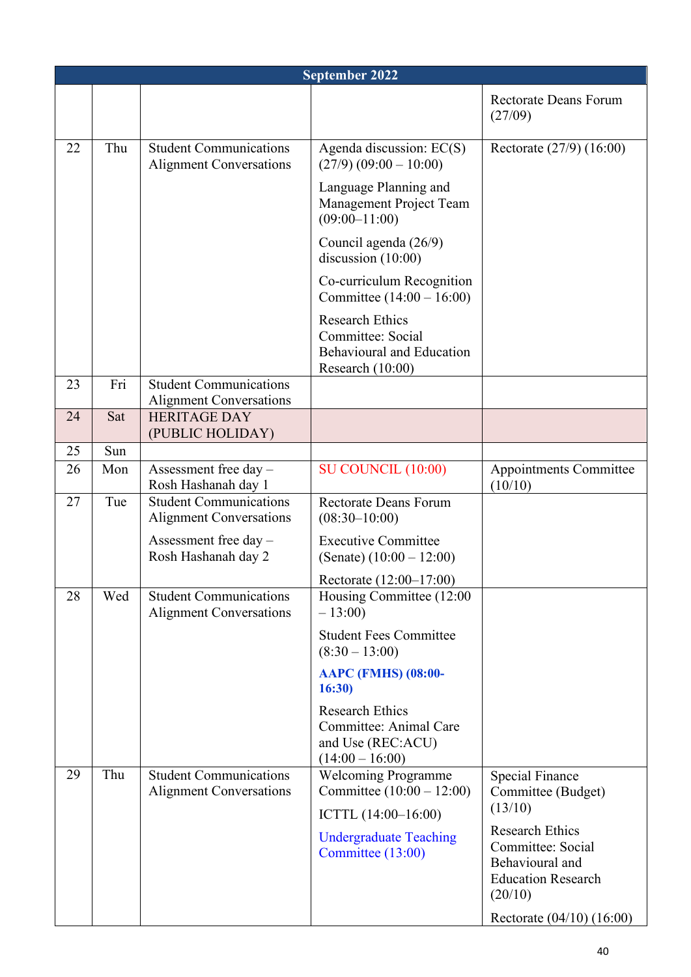|    | September 2022 |                                                                 |                                                                                                     |                                                                                                                                     |  |
|----|----------------|-----------------------------------------------------------------|-----------------------------------------------------------------------------------------------------|-------------------------------------------------------------------------------------------------------------------------------------|--|
|    |                |                                                                 |                                                                                                     | <b>Rectorate Deans Forum</b><br>(27/09)                                                                                             |  |
| 22 | Thu            | <b>Student Communications</b><br><b>Alignment Conversations</b> | Agenda discussion: EC(S)<br>$(27/9) (09:00 - 10:00)$                                                | Rectorate (27/9) (16:00)                                                                                                            |  |
|    |                |                                                                 | Language Planning and<br>Management Project Team<br>$(09:00-11:00)$                                 |                                                                                                                                     |  |
|    |                |                                                                 | Council agenda (26/9)<br>discussion $(10:00)$                                                       |                                                                                                                                     |  |
|    |                |                                                                 | Co-curriculum Recognition<br>Committee $(14:00 - 16:00)$                                            |                                                                                                                                     |  |
|    |                |                                                                 | <b>Research Ethics</b><br>Committee: Social<br><b>Behavioural and Education</b><br>Research (10:00) |                                                                                                                                     |  |
| 23 | Fri            | <b>Student Communications</b><br><b>Alignment Conversations</b> |                                                                                                     |                                                                                                                                     |  |
| 24 | Sat            | <b>HERITAGE DAY</b><br>(PUBLIC HOLIDAY)                         |                                                                                                     |                                                                                                                                     |  |
| 25 | Sun            |                                                                 |                                                                                                     |                                                                                                                                     |  |
| 26 | Mon            | Assessment free day -<br>Rosh Hashanah day 1                    | <b>SU COUNCIL (10:00)</b>                                                                           | <b>Appointments Committee</b><br>(10/10)                                                                                            |  |
| 27 | Tue            | <b>Student Communications</b><br><b>Alignment Conversations</b> | <b>Rectorate Deans Forum</b><br>$(08:30-10:00)$                                                     |                                                                                                                                     |  |
|    |                | Assessment free day $-$<br>Rosh Hashanah day 2                  | <b>Executive Committee</b><br>(Senate) $(10:00 - 12:00)$                                            |                                                                                                                                     |  |
|    |                |                                                                 | Rectorate (12:00-17:00)                                                                             |                                                                                                                                     |  |
| 28 | Wed            | <b>Student Communications</b><br><b>Alignment Conversations</b> | Housing Committee (12:00<br>$-13:00$                                                                |                                                                                                                                     |  |
|    |                |                                                                 | <b>Student Fees Committee</b><br>$(8:30 - 13:00)$                                                   |                                                                                                                                     |  |
|    |                |                                                                 | <b>AAPC (FMHS) (08:00-</b><br>16:30)                                                                |                                                                                                                                     |  |
|    |                |                                                                 | <b>Research Ethics</b><br>Committee: Animal Care<br>and Use (REC:ACU)<br>$(14:00 - 16:00)$          |                                                                                                                                     |  |
| 29 | Thu            | <b>Student Communications</b><br><b>Alignment Conversations</b> | <b>Welcoming Programme</b><br>Committee $(10:00 - 12:00)$<br>ICTTL (14:00-16:00)                    | <b>Special Finance</b><br>Committee (Budget)<br>(13/10)                                                                             |  |
|    |                |                                                                 | <b>Undergraduate Teaching</b><br>Committee (13:00)                                                  | <b>Research Ethics</b><br>Committee: Social<br>Behavioural and<br><b>Education Research</b><br>(20/10)<br>Rectorate (04/10) (16:00) |  |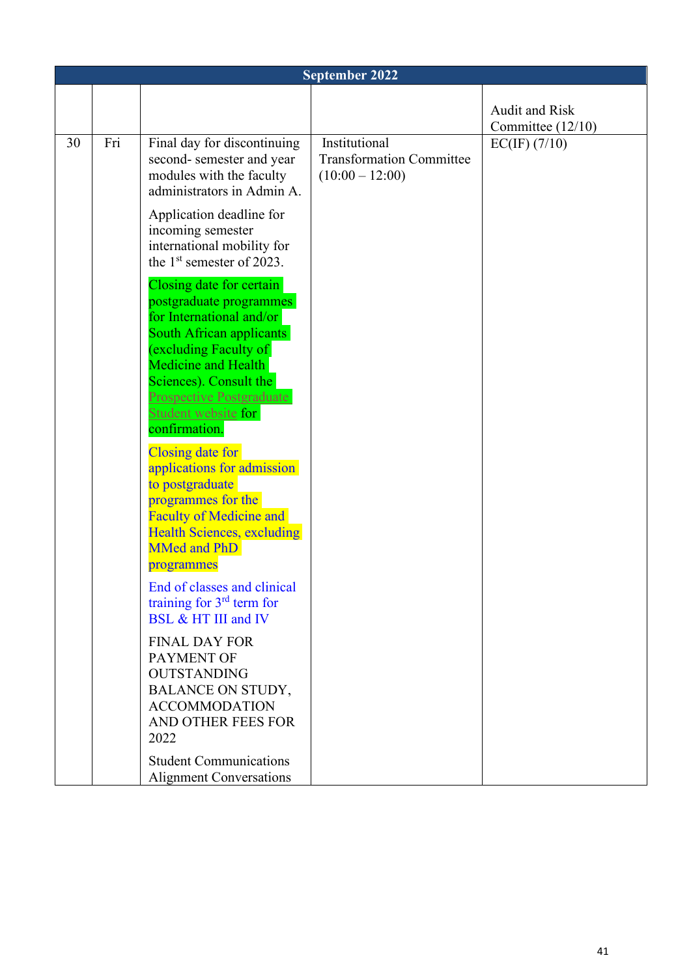|    | <b>September 2022</b> |                                                                                                                                                                                                                                                          |                                                                       |                       |  |
|----|-----------------------|----------------------------------------------------------------------------------------------------------------------------------------------------------------------------------------------------------------------------------------------------------|-----------------------------------------------------------------------|-----------------------|--|
|    |                       |                                                                                                                                                                                                                                                          |                                                                       | <b>Audit and Risk</b> |  |
|    |                       |                                                                                                                                                                                                                                                          |                                                                       | Committee $(12/10)$   |  |
| 30 | Fri                   | Final day for discontinuing<br>second-semester and year<br>modules with the faculty<br>administrators in Admin A.                                                                                                                                        | Institutional<br><b>Transformation Committee</b><br>$(10:00 - 12:00)$ | EC(IF) (7/10)         |  |
|    |                       | Application deadline for<br>incoming semester<br>international mobility for<br>the $1st$ semester of 2023.                                                                                                                                               |                                                                       |                       |  |
|    |                       | Closing date for certain<br>postgraduate programmes<br>for International and/or<br>South African applicants<br>excluding Faculty of<br>Medicine and Health<br>Sciences). Consult the<br>Prospective Postgraduate<br>Student website for<br>confirmation. |                                                                       |                       |  |
|    |                       | Closing date for<br>applications for admission<br>to postgraduate<br>programmes for the<br><b>Faculty of Medicine and</b><br><b>Health Sciences, excluding</b><br><b>MMed and PhD</b><br>programmes                                                      |                                                                       |                       |  |
|    |                       | End of classes and clinical<br>training for $3rd$ term for<br>BSL & HT III and IV                                                                                                                                                                        |                                                                       |                       |  |
|    |                       | <b>FINAL DAY FOR</b><br>PAYMENT OF<br><b>OUTSTANDING</b><br><b>BALANCE ON STUDY,</b><br><b>ACCOMMODATION</b><br>AND OTHER FEES FOR<br>2022                                                                                                               |                                                                       |                       |  |
|    |                       | <b>Student Communications</b><br><b>Alignment Conversations</b>                                                                                                                                                                                          |                                                                       |                       |  |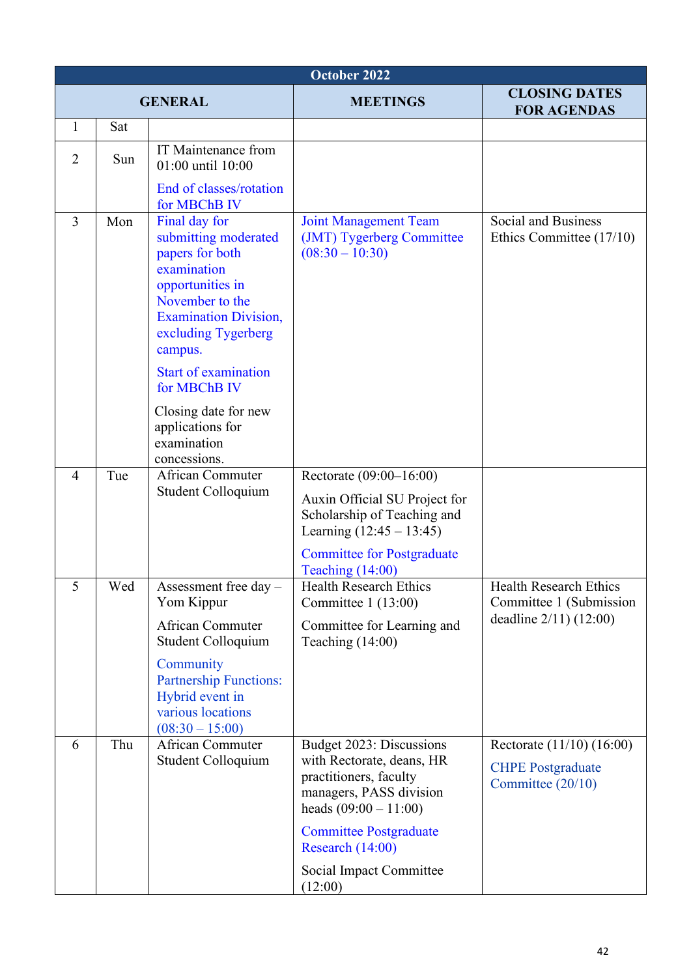| October 2022   |     |                                                                                                                                                                                                                             |                                                                                                                                       |                                                                            |
|----------------|-----|-----------------------------------------------------------------------------------------------------------------------------------------------------------------------------------------------------------------------------|---------------------------------------------------------------------------------------------------------------------------------------|----------------------------------------------------------------------------|
| <b>GENERAL</b> |     |                                                                                                                                                                                                                             | <b>MEETINGS</b>                                                                                                                       | <b>CLOSING DATES</b><br><b>FOR AGENDAS</b>                                 |
| 1              | Sat |                                                                                                                                                                                                                             |                                                                                                                                       |                                                                            |
| $\overline{2}$ | Sun | IT Maintenance from<br>01:00 until 10:00                                                                                                                                                                                    |                                                                                                                                       |                                                                            |
| $\overline{3}$ | Mon | End of classes/rotation<br>for MBChB IV<br>Final day for<br>submitting moderated<br>papers for both<br>examination<br>opportunities in<br>November to the<br><b>Examination Division,</b><br>excluding Tygerberg<br>campus. | <b>Joint Management Team</b><br>(JMT) Tygerberg Committee<br>$(08:30 - 10:30)$                                                        | Social and Business<br>Ethics Committee (17/10)                            |
|                |     | <b>Start of examination</b><br>for MBChB IV<br>Closing date for new<br>applications for<br>examination                                                                                                                      |                                                                                                                                       |                                                                            |
|                |     | concessions.                                                                                                                                                                                                                |                                                                                                                                       |                                                                            |
| 4              | Tue | <b>African Commuter</b><br>Student Colloquium                                                                                                                                                                               | Rectorate (09:00–16:00)                                                                                                               |                                                                            |
|                |     |                                                                                                                                                                                                                             | Auxin Official SU Project for<br>Scholarship of Teaching and<br>Learning $(12:45 - 13:45)$                                            |                                                                            |
|                |     |                                                                                                                                                                                                                             | <b>Committee for Postgraduate</b><br>Teaching $(14:00)$                                                                               |                                                                            |
| 5              | Wed | Assessment free day $-$<br>Yom Kippur                                                                                                                                                                                       | <b>Health Research Ethics</b><br>Committee $1(13:00)$                                                                                 | <b>Health Research Ethics</b><br>Committee 1 (Submission                   |
|                |     | <b>African Commuter</b><br>Student Colloquium                                                                                                                                                                               | Committee for Learning and<br>Teaching $(14:00)$                                                                                      | deadline 2/11) (12:00)                                                     |
|                |     | Community<br><b>Partnership Functions:</b>                                                                                                                                                                                  |                                                                                                                                       |                                                                            |
|                |     | Hybrid event in<br>various locations<br>$(08:30 - 15:00)$                                                                                                                                                                   |                                                                                                                                       |                                                                            |
| 6              | Thu | African Commuter<br>Student Colloquium                                                                                                                                                                                      | Budget 2023: Discussions<br>with Rectorate, deans, HR<br>practitioners, faculty<br>managers, PASS division<br>heads $(09:00 - 11:00)$ | Rectorate (11/10) (16:00)<br><b>CHPE Postgraduate</b><br>Committee (20/10) |
|                |     |                                                                                                                                                                                                                             | <b>Committee Postgraduate</b><br>Research (14:00)                                                                                     |                                                                            |
|                |     |                                                                                                                                                                                                                             | Social Impact Committee<br>(12:00)                                                                                                    |                                                                            |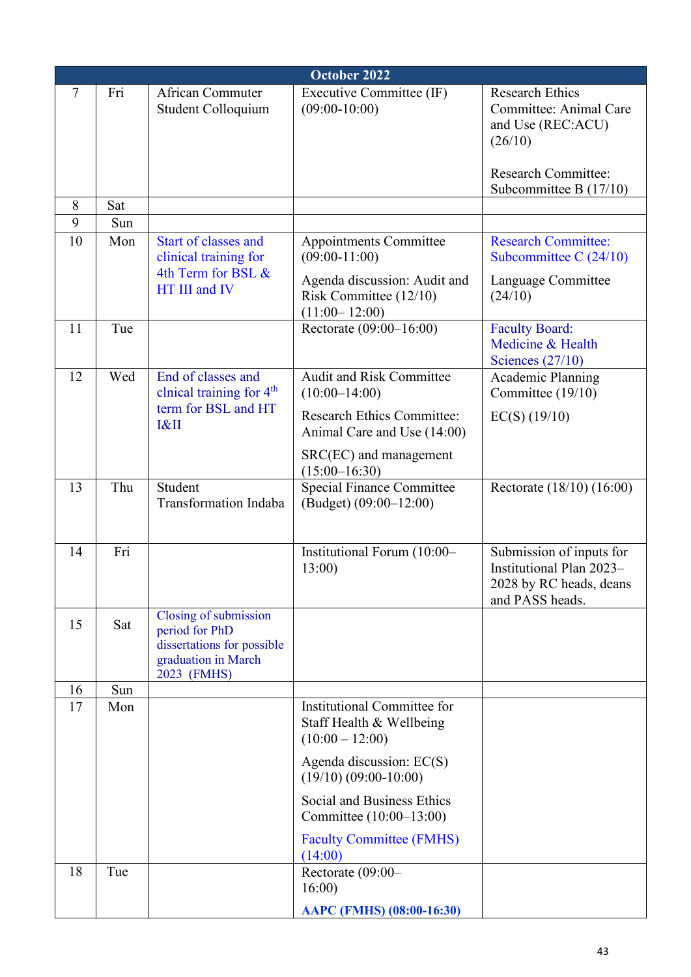|    | October 2022 |                                                                                                             |                                                                              |                                                                                                    |  |
|----|--------------|-------------------------------------------------------------------------------------------------------------|------------------------------------------------------------------------------|----------------------------------------------------------------------------------------------------|--|
| 7  | Fri          | <b>African Commuter</b><br>Student Colloquium                                                               | Executive Committee (IF)<br>$(09:00-10:00)$                                  | <b>Research Ethics</b><br>Committee: Animal Care<br>and Use (REC:ACU)<br>(26/10)                   |  |
|    |              |                                                                                                             |                                                                              | <b>Research Committee:</b><br>Subcommittee B $(17/10)$                                             |  |
| 8  | Sat          |                                                                                                             |                                                                              |                                                                                                    |  |
| 9  | Sun          |                                                                                                             |                                                                              |                                                                                                    |  |
| 10 | Mon          | <b>Start of classes and</b><br>clinical training for<br>4th Term for BSL &<br>HT III and IV                 | Appointments Committee<br>$(09:00-11:00)$<br>Agenda discussion: Audit and    | <b>Research Committee:</b><br>Subcommittee C $(24/10)$<br>Language Committee                       |  |
|    |              |                                                                                                             | Risk Committee $(12/10)$<br>$(11:00-12:00)$                                  | (24/10)                                                                                            |  |
| 11 | Tue          |                                                                                                             | Rectorate (09:00-16:00)                                                      | <b>Faculty Board:</b><br>Medicine & Health<br>Sciences $(27/10)$                                   |  |
| 12 | Wed          | End of classes and<br>clnical training for 4 <sup>th</sup>                                                  | <b>Audit and Risk Committee</b><br>$(10:00-14:00)$                           | <b>Academic Planning</b><br>Committee (19/10)                                                      |  |
|    |              | term for BSL and HT<br>I&II                                                                                 | <b>Research Ethics Committee:</b><br>Animal Care and Use (14:00)             | $EC(S)$ (19/10)                                                                                    |  |
|    |              |                                                                                                             | SRC(EC) and management<br>$(15:00-16:30)$                                    |                                                                                                    |  |
| 13 | Thu          | Student<br><b>Transformation Indaba</b>                                                                     | <b>Special Finance Committee</b><br>$(Budget) (09:00-12:00)$                 | Rectorate (18/10) (16:00)                                                                          |  |
| 14 | Fri          |                                                                                                             | Institutional Forum (10:00-<br>13:00                                         | Submission of inputs for<br>Institutional Plan 2023-<br>2028 by RC heads, deans<br>and PASS heads. |  |
| 15 | Sat          | Closing of submission<br>period for PhD<br>dissertations for possible<br>graduation in March<br>2023 (FMHS) |                                                                              |                                                                                                    |  |
| 16 | Sun          |                                                                                                             |                                                                              |                                                                                                    |  |
| 17 | Mon          |                                                                                                             | Institutional Committee for<br>Staff Health & Wellbeing<br>$(10:00 - 12:00)$ |                                                                                                    |  |
|    |              |                                                                                                             | Agenda discussion: EC(S)<br>$(19/10)$ $(09:00-10:00)$                        |                                                                                                    |  |
|    |              |                                                                                                             | Social and Business Ethics<br>Committee (10:00–13:00)                        |                                                                                                    |  |
| 18 | Tue          |                                                                                                             | <b>Faculty Committee (FMHS)</b><br>(14:00)<br>Rectorate (09:00-              |                                                                                                    |  |
|    |              |                                                                                                             | 16:00<br>AAPC (FMHS) (08:00-16:30)                                           |                                                                                                    |  |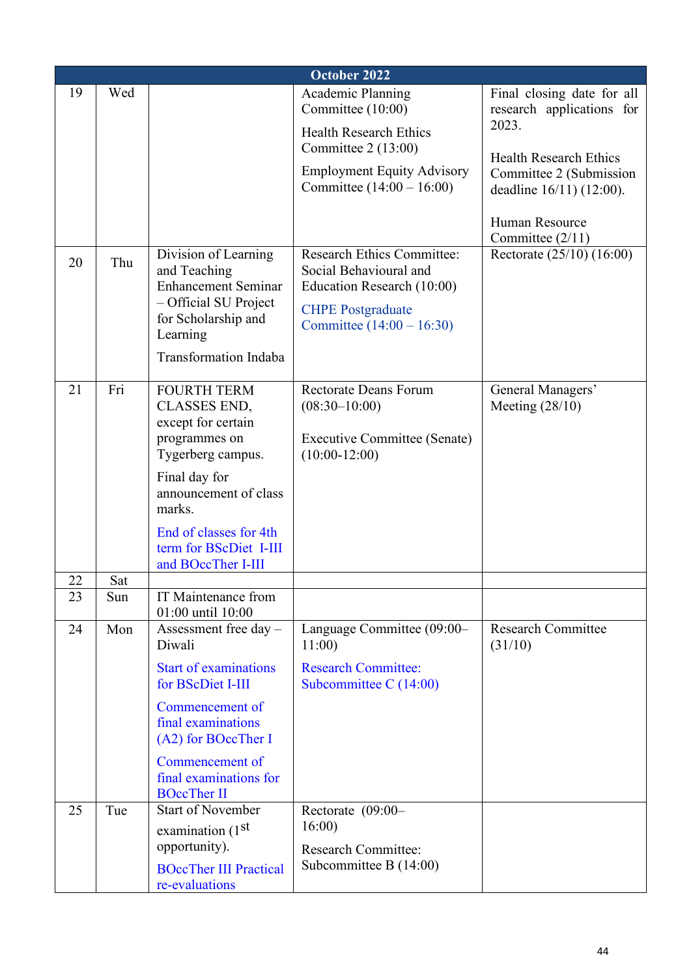|          | October 2022 |                                                                                                                                                                                                                                     |                                                                                                                                                                     |                                                                                                                                                                                                |  |
|----------|--------------|-------------------------------------------------------------------------------------------------------------------------------------------------------------------------------------------------------------------------------------|---------------------------------------------------------------------------------------------------------------------------------------------------------------------|------------------------------------------------------------------------------------------------------------------------------------------------------------------------------------------------|--|
| 19       | Wed          |                                                                                                                                                                                                                                     | Academic Planning<br>Committee (10:00)<br><b>Health Research Ethics</b><br>Committee $2(13:00)$<br><b>Employment Equity Advisory</b><br>Committee $(14:00 - 16:00)$ | Final closing date for all<br>research applications for<br>2023.<br><b>Health Research Ethics</b><br>Committee 2 (Submission<br>deadline 16/11) (12:00).<br>Human Resource<br>Committee (2/11) |  |
| 20       | Thu          | Division of Learning<br>and Teaching<br><b>Enhancement Seminar</b><br>- Official SU Project<br>for Scholarship and<br>Learning<br><b>Transformation Indaba</b>                                                                      | <b>Research Ethics Committee:</b><br>Social Behavioural and<br>Education Research (10:00)<br><b>CHPE Postgraduate</b><br>Committee $(14:00 - 16:30)$                | Rectorate (25/10) (16:00)                                                                                                                                                                      |  |
| 21       | Fri          | <b>FOURTH TERM</b><br><b>CLASSES END,</b><br>except for certain<br>programmes on<br>Tygerberg campus.<br>Final day for<br>announcement of class<br>marks.<br>End of classes for 4th<br>term for BScDiet I-III<br>and BOccTher I-III | <b>Rectorate Deans Forum</b><br>$(08:30-10:00)$<br>Executive Committee (Senate)<br>$(10:00-12:00)$                                                                  | General Managers'<br>Meeting $(28/10)$                                                                                                                                                         |  |
| 22<br>23 | Sat<br>Sun   | IT Maintenance from                                                                                                                                                                                                                 |                                                                                                                                                                     |                                                                                                                                                                                                |  |
|          |              | 01:00 until 10:00                                                                                                                                                                                                                   |                                                                                                                                                                     |                                                                                                                                                                                                |  |
| 24       | Mon          | Assessment free day -<br>Diwali<br><b>Start of examinations</b><br>for BScDiet I-III<br>Commencement of<br>final examinations<br>(A2) for BOccTher I<br>Commencement of<br>final examinations for<br><b>BOccTher II</b>             | Language Committee (09:00-<br>11:00<br><b>Research Committee:</b><br>Subcommittee C $(14:00)$                                                                       | <b>Research Committee</b><br>(31/10)                                                                                                                                                           |  |
| 25       | Tue          | <b>Start of November</b><br>examination (1 <sup>st</sup><br>opportunity).<br><b>BOccTher III Practical</b><br>re-evaluations                                                                                                        | Rectorate $(09:00-$<br>16:00<br><b>Research Committee:</b><br>Subcommittee B $(14:00)$                                                                              |                                                                                                                                                                                                |  |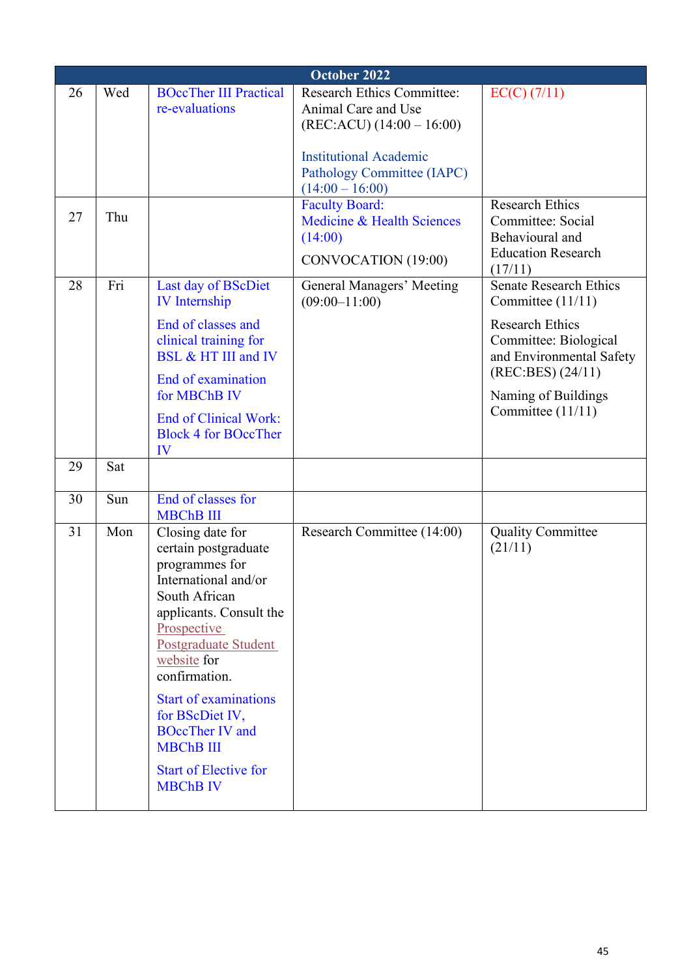|    | October 2022 |                                                                                                                                                                                                                                                                                                                                                           |                                                                                         |                                                                                                  |  |
|----|--------------|-----------------------------------------------------------------------------------------------------------------------------------------------------------------------------------------------------------------------------------------------------------------------------------------------------------------------------------------------------------|-----------------------------------------------------------------------------------------|--------------------------------------------------------------------------------------------------|--|
| 26 | Wed          | <b>BOccTher III Practical</b><br>re-evaluations                                                                                                                                                                                                                                                                                                           | <b>Research Ethics Committee:</b><br>Animal Care and Use<br>$(REC:ACU) (14:00 - 16:00)$ | $EC(C)$ (7/11)                                                                                   |  |
|    |              |                                                                                                                                                                                                                                                                                                                                                           | <b>Institutional Academic</b><br>Pathology Committee (IAPC)<br>$(14:00 - 16:00)$        |                                                                                                  |  |
| 27 | Thu          |                                                                                                                                                                                                                                                                                                                                                           | <b>Faculty Board:</b><br>Medicine & Health Sciences<br>(14:00)<br>CONVOCATION (19:00)   | <b>Research Ethics</b><br>Committee: Social<br>Behavioural and<br><b>Education Research</b>      |  |
| 28 | Fri          | Last day of BScDiet<br><b>IV</b> Internship                                                                                                                                                                                                                                                                                                               | General Managers' Meeting<br>$(09:00-11:00)$                                            | (17/11)<br><b>Senate Research Ethics</b><br>Committee (11/11)                                    |  |
|    |              | End of classes and<br>clinical training for<br>BSL & HT III and IV<br>End of examination                                                                                                                                                                                                                                                                  |                                                                                         | <b>Research Ethics</b><br>Committee: Biological<br>and Environmental Safety<br>(REC:BES) (24/11) |  |
|    |              | for MBChB IV<br><b>End of Clinical Work:</b>                                                                                                                                                                                                                                                                                                              |                                                                                         | Naming of Buildings<br>Committee (11/11)                                                         |  |
|    |              | <b>Block 4 for BOccTher</b><br>IV                                                                                                                                                                                                                                                                                                                         |                                                                                         |                                                                                                  |  |
| 29 | Sat          |                                                                                                                                                                                                                                                                                                                                                           |                                                                                         |                                                                                                  |  |
| 30 | Sun          | End of classes for<br><b>MBChB III</b>                                                                                                                                                                                                                                                                                                                    |                                                                                         |                                                                                                  |  |
| 31 | Mon          | Closing date for<br>certain postgraduate<br>programmes for<br>International and/or<br>South African<br>applicants. Consult the<br>Prospective<br>Postgraduate Student<br>website for<br>confirmation.<br><b>Start of examinations</b><br>for BScDiet IV,<br><b>BOccTher IV and</b><br><b>MBChB III</b><br><b>Start of Elective for</b><br><b>MBChB IV</b> | Research Committee (14:00)                                                              | <b>Quality Committee</b><br>(21/11)                                                              |  |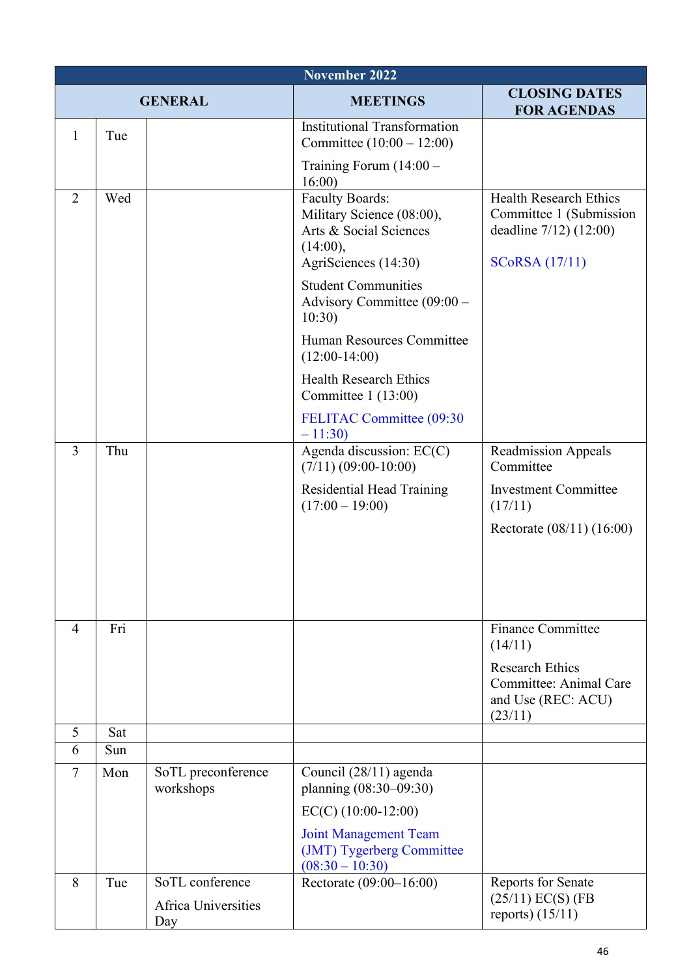|                | <b>November 2022</b> |                                                      |                                                                                                                   |                                                                                                                  |  |
|----------------|----------------------|------------------------------------------------------|-------------------------------------------------------------------------------------------------------------------|------------------------------------------------------------------------------------------------------------------|--|
| <b>GENERAL</b> |                      |                                                      | <b>MEETINGS</b>                                                                                                   | <b>CLOSING DATES</b><br><b>FOR AGENDAS</b>                                                                       |  |
| 1              | Tue                  |                                                      | <b>Institutional Transformation</b><br>Committee $(10:00 - 12:00)$                                                |                                                                                                                  |  |
|                |                      |                                                      | Training Forum $(14:00 -$<br>16:00                                                                                |                                                                                                                  |  |
| 2              | Wed                  |                                                      | <b>Faculty Boards:</b><br>Military Science (08:00),<br>Arts & Social Sciences<br>(14:00),<br>AgriSciences (14:30) | <b>Health Research Ethics</b><br>Committee 1 (Submission<br>deadline $7/12$ ) $(12:00)$<br><b>SCoRSA</b> (17/11) |  |
|                |                      |                                                      | <b>Student Communities</b><br>Advisory Committee (09:00 -<br>10:30)                                               |                                                                                                                  |  |
|                |                      |                                                      | Human Resources Committee<br>$(12:00-14:00)$                                                                      |                                                                                                                  |  |
|                |                      |                                                      | <b>Health Research Ethics</b><br>Committee $1(13:00)$                                                             |                                                                                                                  |  |
|                |                      |                                                      | FELITAC Committee (09:30<br>$-11:30$                                                                              |                                                                                                                  |  |
| $\overline{3}$ | Thu                  |                                                      | Agenda discussion: EC(C)<br>$(7/11)$ $(09:00-10:00)$                                                              | <b>Readmission Appeals</b><br>Committee                                                                          |  |
|                |                      |                                                      | <b>Residential Head Training</b><br>$(17:00 - 19:00)$                                                             | <b>Investment Committee</b><br>(17/11)                                                                           |  |
|                |                      |                                                      |                                                                                                                   | Rectorate (08/11) (16:00)                                                                                        |  |
|                |                      |                                                      |                                                                                                                   |                                                                                                                  |  |
|                |                      |                                                      |                                                                                                                   |                                                                                                                  |  |
| $\overline{4}$ | Fri                  |                                                      |                                                                                                                   | <b>Finance Committee</b><br>(14/11)                                                                              |  |
|                |                      |                                                      |                                                                                                                   | <b>Research Ethics</b><br>Committee: Animal Care<br>and Use (REC: ACU)<br>(23/11)                                |  |
| 5              | Sat                  |                                                      |                                                                                                                   |                                                                                                                  |  |
| 6              | Sun                  |                                                      |                                                                                                                   |                                                                                                                  |  |
| $\overline{7}$ | Mon                  | SoTL preconference<br>workshops                      | Council (28/11) agenda<br>planning (08:30-09:30)                                                                  |                                                                                                                  |  |
|                |                      |                                                      | $EC(C)$ (10:00-12:00)                                                                                             |                                                                                                                  |  |
|                |                      |                                                      | <b>Joint Management Team</b><br>(JMT) Tygerberg Committee<br>$(08:30 - 10:30)$                                    |                                                                                                                  |  |
| 8              | Tue                  | SoTL conference<br><b>Africa Universities</b><br>Day | Rectorate (09:00-16:00)                                                                                           | <b>Reports for Senate</b><br>$(25/11)$ EC(S) (FB<br>reports) $(15/11)$                                           |  |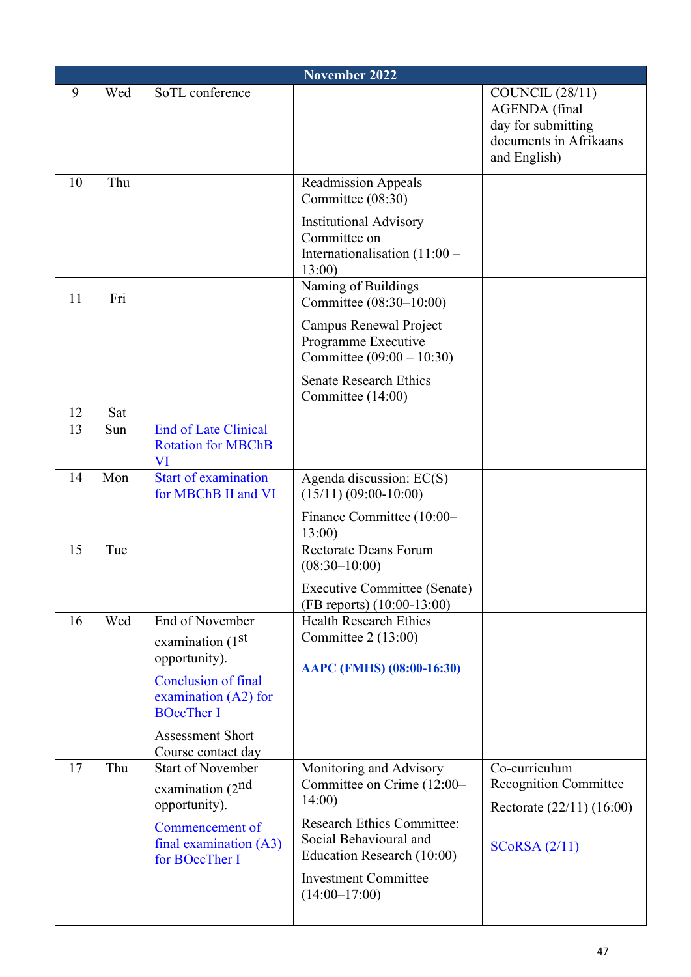|    | November 2022 |                                                                |                                                                                     |                                                                                                                |  |
|----|---------------|----------------------------------------------------------------|-------------------------------------------------------------------------------------|----------------------------------------------------------------------------------------------------------------|--|
| 9  | Wed           | SoTL conference                                                |                                                                                     | <b>COUNCIL</b> (28/11)<br><b>AGENDA</b> (final<br>day for submitting<br>documents in Afrikaans<br>and English) |  |
| 10 | Thu           |                                                                | <b>Readmission Appeals</b><br>Committee (08:30)<br><b>Institutional Advisory</b>    |                                                                                                                |  |
|    |               |                                                                | Committee on<br>Internationalisation $(11:00 -$<br>13:00)                           |                                                                                                                |  |
| 11 | Fri           |                                                                | Naming of Buildings<br>Committee (08:30-10:00)                                      |                                                                                                                |  |
|    |               |                                                                | <b>Campus Renewal Project</b><br>Programme Executive<br>Committee $(09:00 - 10:30)$ |                                                                                                                |  |
|    |               |                                                                | <b>Senate Research Ethics</b><br>Committee (14:00)                                  |                                                                                                                |  |
| 12 | Sat           |                                                                |                                                                                     |                                                                                                                |  |
| 13 | Sun           | <b>End of Late Clinical</b><br><b>Rotation for MBChB</b><br>VI |                                                                                     |                                                                                                                |  |
| 14 | Mon           | <b>Start of examination</b><br>for MBChB II and VI             | Agenda discussion: EC(S)<br>$(15/11) (09:00-10:00)$                                 |                                                                                                                |  |
|    |               |                                                                | Finance Committee (10:00-<br>13:00                                                  |                                                                                                                |  |
| 15 | Tue           |                                                                | <b>Rectorate Deans Forum</b><br>$(08:30-10:00)$                                     |                                                                                                                |  |
|    |               |                                                                | <b>Executive Committee (Senate)</b><br>$(FB$ reports) $(10:00-13:00)$               |                                                                                                                |  |
| 16 | Wed           | End of November                                                | <b>Health Research Ethics</b>                                                       |                                                                                                                |  |
|    |               | examination (1st<br>opportunity).                              | Committee $2(13:00)$                                                                |                                                                                                                |  |
|    |               | <b>Conclusion of final</b>                                     | AAPC (FMHS) (08:00-16:30)                                                           |                                                                                                                |  |
|    |               | examination $(A2)$ for<br><b>BOccTher I</b>                    |                                                                                     |                                                                                                                |  |
|    |               | <b>Assessment Short</b><br>Course contact day                  |                                                                                     |                                                                                                                |  |
| 17 | Thu           | <b>Start of November</b>                                       | Monitoring and Advisory                                                             | Co-curriculum                                                                                                  |  |
|    |               | examination $(2^{nd}$<br>opportunity).                         | Committee on Crime (12:00-<br>14:00                                                 | <b>Recognition Committee</b>                                                                                   |  |
|    |               | Commencement of                                                | <b>Research Ethics Committee:</b>                                                   | Rectorate (22/11) (16:00)                                                                                      |  |
|    |               | final examination $(A3)$<br>for BOccTher I                     | Social Behavioural and<br>Education Research (10:00)                                | SCoRSA (2/11)                                                                                                  |  |
|    |               |                                                                | <b>Investment Committee</b><br>$(14:00-17:00)$                                      |                                                                                                                |  |
|    |               |                                                                |                                                                                     |                                                                                                                |  |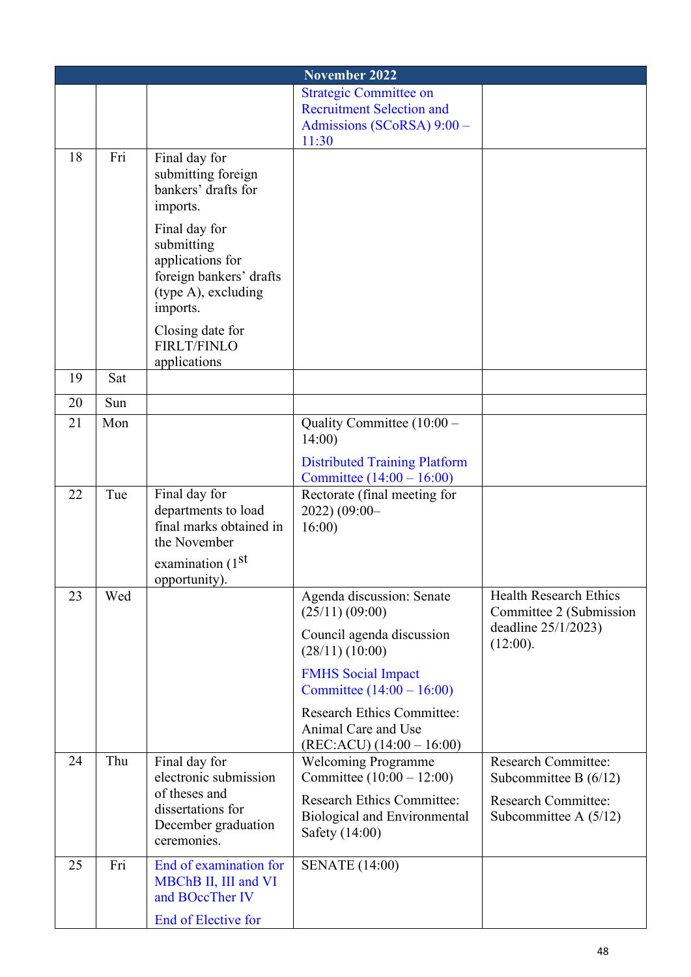|    |     |                                                                                                                 | November 2022                                                                                                         |                                                       |
|----|-----|-----------------------------------------------------------------------------------------------------------------|-----------------------------------------------------------------------------------------------------------------------|-------------------------------------------------------|
|    |     |                                                                                                                 | <b>Strategic Committee on</b>                                                                                         |                                                       |
|    |     |                                                                                                                 | <b>Recruitment Selection and</b><br>Admissions (SCoRSA) 9:00 -                                                        |                                                       |
|    |     |                                                                                                                 | 11:30                                                                                                                 |                                                       |
| 18 | Fri | Final day for<br>submitting foreign<br>bankers' drafts for<br>imports.                                          |                                                                                                                       |                                                       |
|    |     | Final day for<br>submitting<br>applications for<br>foreign bankers' drafts<br>(type A), excluding<br>imports.   |                                                                                                                       |                                                       |
|    |     | Closing date for<br><b>FIRLT/FINLO</b><br>applications                                                          |                                                                                                                       |                                                       |
| 19 | Sat |                                                                                                                 |                                                                                                                       |                                                       |
| 20 | Sun |                                                                                                                 |                                                                                                                       |                                                       |
| 21 | Mon |                                                                                                                 | Quality Committee (10:00 -<br>14:00                                                                                   |                                                       |
|    |     |                                                                                                                 | <b>Distributed Training Platform</b><br>Committee $(14:00 - 16:00)$                                                   |                                                       |
| 22 | Tue | Final day for<br>departments to load<br>final marks obtained in<br>the November<br>examination (1 <sup>st</sup> | Rectorate (final meeting for<br>2022) (09:00-<br>16:00                                                                |                                                       |
| 23 | Wed | opportunity).                                                                                                   | Agenda discussion: Senate                                                                                             | <b>Health Research Ethics</b>                         |
|    |     |                                                                                                                 | (25/11)(09:00)                                                                                                        | Committee 2 (Submission<br>deadline $25/1/2023$ )     |
|    |     |                                                                                                                 | Council agenda discussion<br>(28/11) (10:00)                                                                          | (12:00).                                              |
|    |     |                                                                                                                 | <b>FMHS</b> Social Impact<br>Committee $(14:00 - 16:00)$                                                              |                                                       |
| 24 | Thu | Final day for                                                                                                   | <b>Research Ethics Committee:</b><br>Animal Care and Use<br>$(REC:ACU) (14:00 - 16:00)$<br><b>Welcoming Programme</b> | <b>Research Committee:</b>                            |
|    |     | electronic submission<br>of theses and                                                                          | Committee $(10:00 - 12:00)$                                                                                           | Subcommittee B $(6/12)$                               |
|    |     | dissertations for<br>December graduation<br>ceremonies.                                                         | <b>Research Ethics Committee:</b><br><b>Biological and Environmental</b><br>Safety (14:00)                            | <b>Research Committee:</b><br>Subcommittee A $(5/12)$ |
| 25 | Fri | End of examination for<br>MBChB II, III and VI<br>and BOccTher IV                                               | <b>SENATE</b> (14:00)                                                                                                 |                                                       |
|    |     | End of Elective for                                                                                             |                                                                                                                       |                                                       |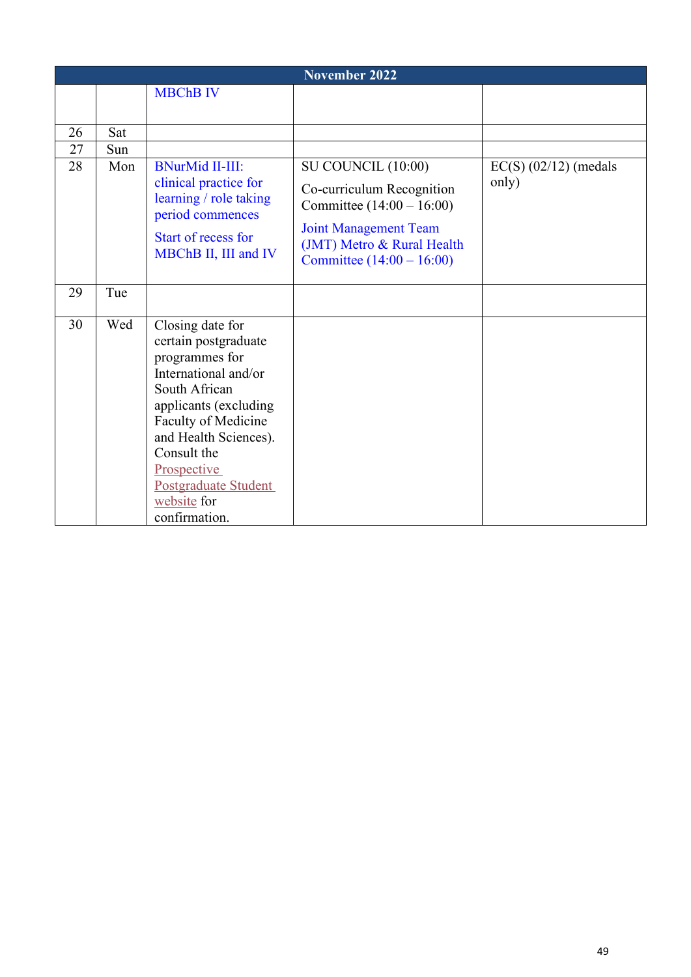|    | <b>November 2022</b> |                                                                                                                                                                                                                                                                    |                                                                                                                                                                             |                                  |  |
|----|----------------------|--------------------------------------------------------------------------------------------------------------------------------------------------------------------------------------------------------------------------------------------------------------------|-----------------------------------------------------------------------------------------------------------------------------------------------------------------------------|----------------------------------|--|
|    |                      | <b>MBChB IV</b>                                                                                                                                                                                                                                                    |                                                                                                                                                                             |                                  |  |
|    |                      |                                                                                                                                                                                                                                                                    |                                                                                                                                                                             |                                  |  |
| 26 | Sat                  |                                                                                                                                                                                                                                                                    |                                                                                                                                                                             |                                  |  |
| 27 | Sun                  |                                                                                                                                                                                                                                                                    |                                                                                                                                                                             |                                  |  |
| 28 | Mon                  | <b>BNurMid II-III:</b><br>clinical practice for<br>learning / role taking<br>period commences<br>Start of recess for<br>MBChB II, III and IV                                                                                                                       | SU COUNCIL (10:00)<br>Co-curriculum Recognition<br>Committee $(14:00 - 16:00)$<br><b>Joint Management Team</b><br>(JMT) Metro & Rural Health<br>Committee $(14:00 - 16:00)$ | $EC(S)$ (02/12) (medals<br>only) |  |
| 29 | Tue                  |                                                                                                                                                                                                                                                                    |                                                                                                                                                                             |                                  |  |
| 30 | Wed                  | Closing date for<br>certain postgraduate<br>programmes for<br>International and/or<br>South African<br>applicants (excluding<br>Faculty of Medicine<br>and Health Sciences).<br>Consult the<br>Prospective<br>Postgraduate Student<br>website for<br>confirmation. |                                                                                                                                                                             |                                  |  |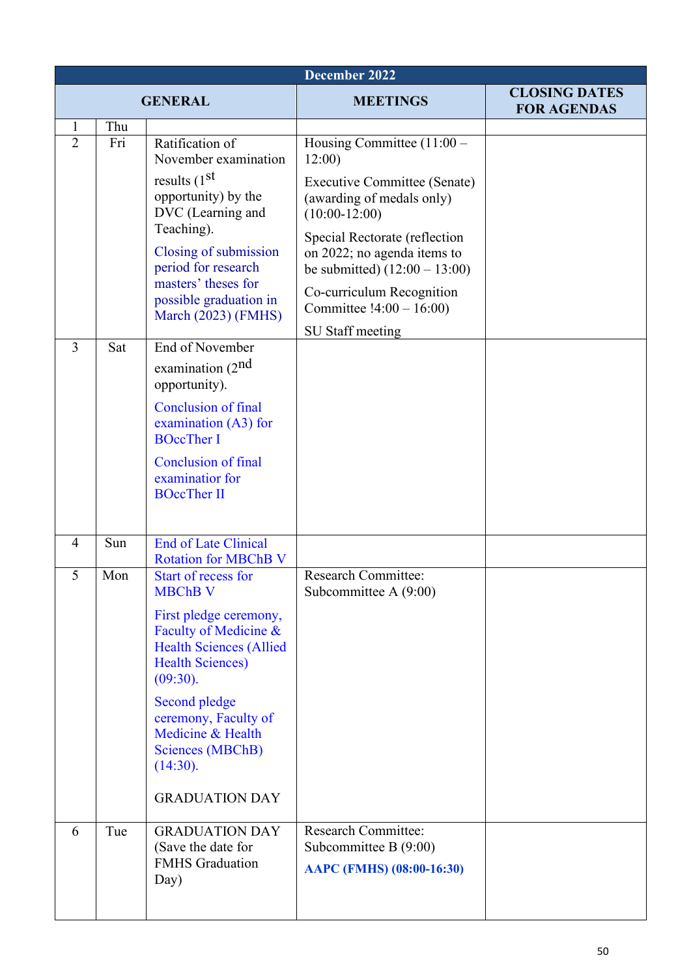| December 2022       |            |                                                                                                                                                                                                                                                                                                 |                                                                                                                                                                                                                                                                                                               |                                            |  |
|---------------------|------------|-------------------------------------------------------------------------------------------------------------------------------------------------------------------------------------------------------------------------------------------------------------------------------------------------|---------------------------------------------------------------------------------------------------------------------------------------------------------------------------------------------------------------------------------------------------------------------------------------------------------------|--------------------------------------------|--|
| <b>GENERAL</b>      |            |                                                                                                                                                                                                                                                                                                 | <b>MEETINGS</b>                                                                                                                                                                                                                                                                                               | <b>CLOSING DATES</b><br><b>FOR AGENDAS</b> |  |
| 1<br>$\overline{2}$ | Thu<br>Fri | Ratification of<br>November examination<br>results $(1st$<br>opportunity) by the<br>DVC (Learning and<br>Teaching).<br>Closing of submission<br>period for research<br>masters' theses for<br>possible graduation in<br>March $(2023)$ (FMHS)                                                   | Housing Committee $(11:00 -$<br>12:00<br><b>Executive Committee (Senate)</b><br>(awarding of medals only)<br>$(10:00-12:00)$<br>Special Rectorate (reflection<br>on 2022; no agenda items to<br>be submitted) $(12:00 - 13:00)$<br>Co-curriculum Recognition<br>Committee $!4:00 - 16:00$<br>SU Staff meeting |                                            |  |
| $\overline{3}$      | Sat        | End of November<br>examination $(2nd$<br>opportunity).<br><b>Conclusion of final</b><br>examination (A3) for<br><b>BOccTher I</b><br><b>Conclusion of final</b><br>examinatior for<br><b>BOccTher II</b>                                                                                        |                                                                                                                                                                                                                                                                                                               |                                            |  |
| 4                   | Sun        | <b>End of Late Clinical</b><br><b>Rotation for MBChB V</b>                                                                                                                                                                                                                                      |                                                                                                                                                                                                                                                                                                               |                                            |  |
| 5                   | Mon        | Start of recess for<br><b>MBChB V</b><br>First pledge ceremony,<br>Faculty of Medicine &<br><b>Health Sciences (Allied</b><br><b>Health Sciences)</b><br>(09:30).<br>Second pledge<br>ceremony, Faculty of<br>Medicine & Health<br><b>Sciences (MBChB)</b><br>(14:30).<br><b>GRADUATION DAY</b> | <b>Research Committee:</b><br>Subcommittee A $(9:00)$                                                                                                                                                                                                                                                         |                                            |  |
| 6                   | Tue        | <b>GRADUATION DAY</b><br>(Save the date for<br><b>FMHS</b> Graduation<br>Day)                                                                                                                                                                                                                   | <b>Research Committee:</b><br>Subcommittee B (9:00)<br>AAPC (FMHS) (08:00-16:30)                                                                                                                                                                                                                              |                                            |  |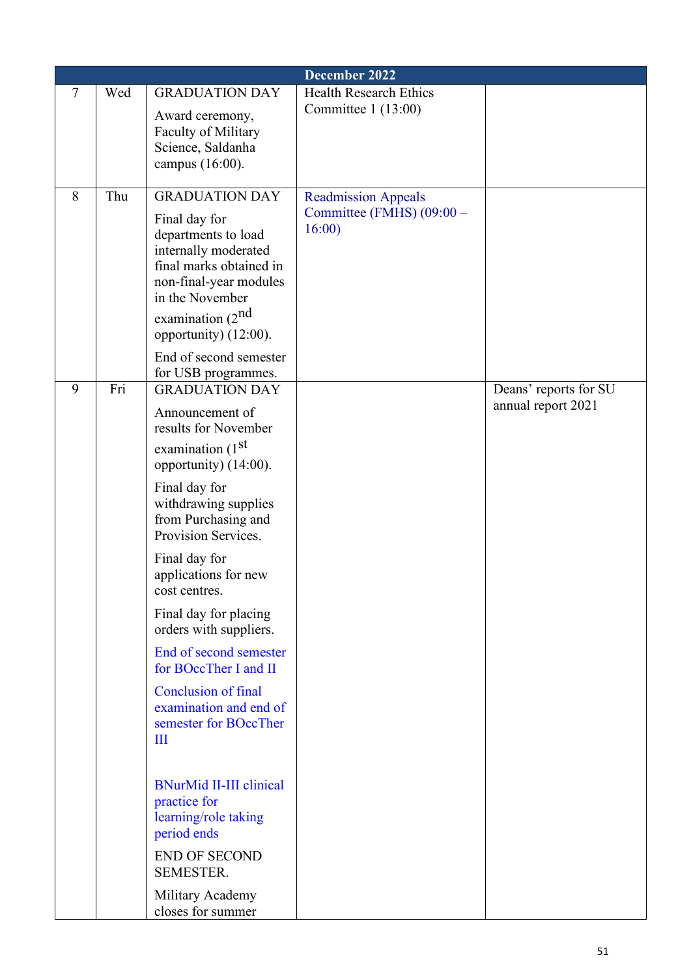|   | December 2022 |                                                                                                                                      |                                    |                                             |  |  |
|---|---------------|--------------------------------------------------------------------------------------------------------------------------------------|------------------------------------|---------------------------------------------|--|--|
| 7 | Wed           | <b>GRADUATION DAY</b>                                                                                                                | <b>Health Research Ethics</b>      |                                             |  |  |
|   |               | Award ceremony,<br><b>Faculty of Military</b><br>Science, Saldanha<br>campus (16:00).                                                | Committee $1(13:00)$               |                                             |  |  |
| 8 | Thu           | <b>GRADUATION DAY</b>                                                                                                                | <b>Readmission Appeals</b>         |                                             |  |  |
|   |               | Final day for<br>departments to load<br>internally moderated<br>final marks obtained in<br>non-final-year modules<br>in the November | Committee (FMHS) (09:00 -<br>16:00 |                                             |  |  |
|   |               | examination $(2^{nd}$<br>opportunity) (12:00).                                                                                       |                                    |                                             |  |  |
|   |               | End of second semester<br>for USB programmes.                                                                                        |                                    |                                             |  |  |
| 9 | Fri           | <b>GRADUATION DAY</b>                                                                                                                |                                    | Deans' reports for SU<br>annual report 2021 |  |  |
|   |               | Announcement of<br>results for November                                                                                              |                                    |                                             |  |  |
|   |               | examination (1 <sup>st</sup><br>opportunity) (14:00).                                                                                |                                    |                                             |  |  |
|   |               | Final day for<br>withdrawing supplies<br>from Purchasing and<br>Provision Services.                                                  |                                    |                                             |  |  |
|   |               | Final day for<br>applications for new<br>cost centres.                                                                               |                                    |                                             |  |  |
|   |               | Final day for placing<br>orders with suppliers.                                                                                      |                                    |                                             |  |  |
|   |               | End of second semester<br>for BOccTher I and II                                                                                      |                                    |                                             |  |  |
|   |               | <b>Conclusion of final</b><br>examination and end of<br>semester for BOccTher<br>Ш                                                   |                                    |                                             |  |  |
|   |               | <b>BNurMid II-III clinical</b><br>practice for<br>learning/role taking<br>period ends                                                |                                    |                                             |  |  |
|   |               | <b>END OF SECOND</b><br>SEMESTER.                                                                                                    |                                    |                                             |  |  |
|   |               | Military Academy<br>closes for summer                                                                                                |                                    |                                             |  |  |